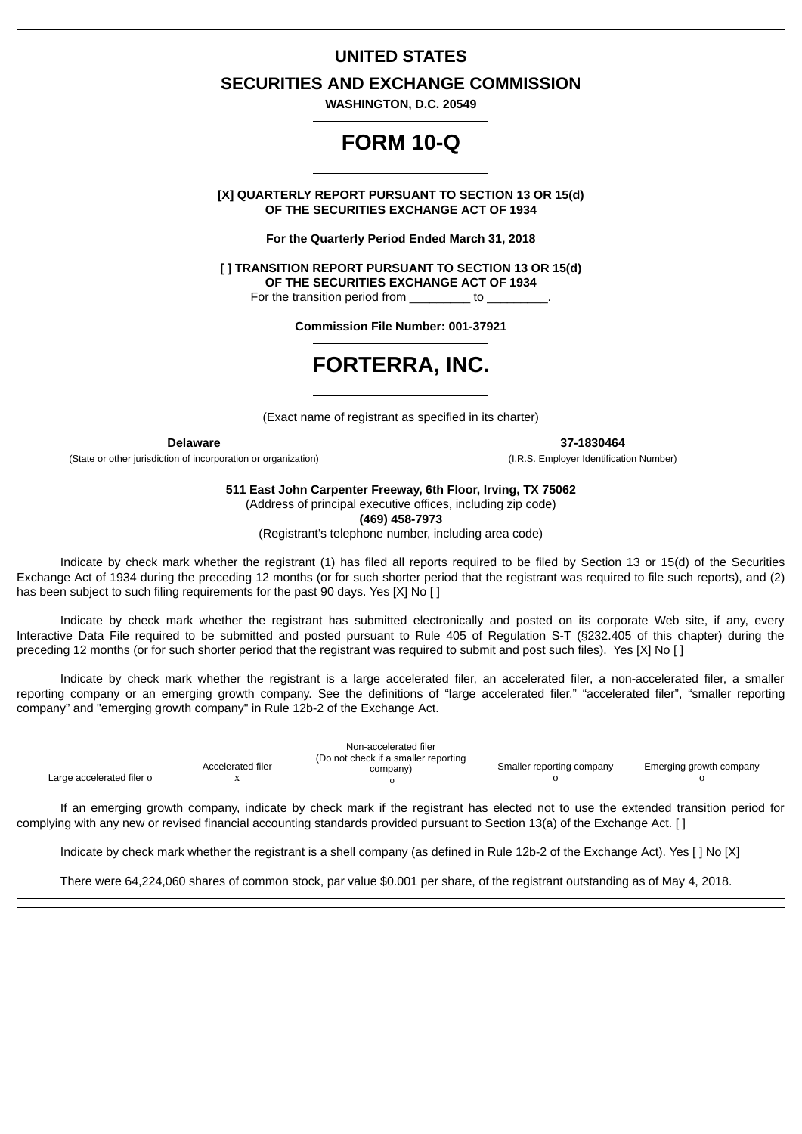# **UNITED STATES**

# **SECURITIES AND EXCHANGE COMMISSION**

**WASHINGTON, D.C. 20549**

# **FORM 10-Q**

**[X] QUARTERLY REPORT PURSUANT TO SECTION 13 OR 15(d) OF THE SECURITIES EXCHANGE ACT OF 1934**

**For the Quarterly Period Ended March 31, 2018**

**[ ] TRANSITION REPORT PURSUANT TO SECTION 13 OR 15(d) OF THE SECURITIES EXCHANGE ACT OF 1934**

For the transition period from to

**Commission File Number: 001-37921**

# **FORTERRA, INC.**

(Exact name of registrant as specified in its charter)

(State or other jurisdiction of incorporation or organization) (I.R.S. Employer Identification Number)

**Delaware 37-1830464**

**511 East John Carpenter Freeway, 6th Floor, Irving, TX 75062**

(Address of principal executive offices, including zip code)

**(469) 458-7973**

(Registrant's telephone number, including area code)

Indicate by check mark whether the registrant (1) has filed all reports required to be filed by Section 13 or 15(d) of the Securities Exchange Act of 1934 during the preceding 12 months (or for such shorter period that the registrant was required to file such reports), and (2) has been subject to such filing requirements for the past 90 days. Yes [X] No []

Indicate by check mark whether the registrant has submitted electronically and posted on its corporate Web site, if any, every Interactive Data File required to be submitted and posted pursuant to Rule 405 of Regulation S-T (§232.405 of this chapter) during the preceding 12 months (or for such shorter period that the registrant was required to submit and post such files). Yes [X] No [ ]

Indicate by check mark whether the registrant is a large accelerated filer, an accelerated filer, a non-accelerated filer, a smaller reporting company or an emerging growth company. See the definitions of "large accelerated filer," "accelerated filer", "smaller reporting company" and "emerging growth company" in Rule 12b-2 of the Exchange Act.

| Large accelerated filer o | Accelerated filer | Non-accelerated filer<br>(Do not check if a smaller reporting<br>company) | Smaller reporting company | Emerging growth company |
|---------------------------|-------------------|---------------------------------------------------------------------------|---------------------------|-------------------------|
|                           |                   |                                                                           |                           |                         |

If an emerging growth company, indicate by check mark if the registrant has elected not to use the extended transition period for complying with any new or revised financial accounting standards provided pursuant to Section 13(a) of the Exchange Act. [ ]

Indicate by check mark whether the registrant is a shell company (as defined in Rule 12b-2 of the Exchange Act). Yes [ ] No [X]

There were 64,224,060 shares of common stock, par value \$0.001 per share, of the registrant outstanding as of May 4, 2018.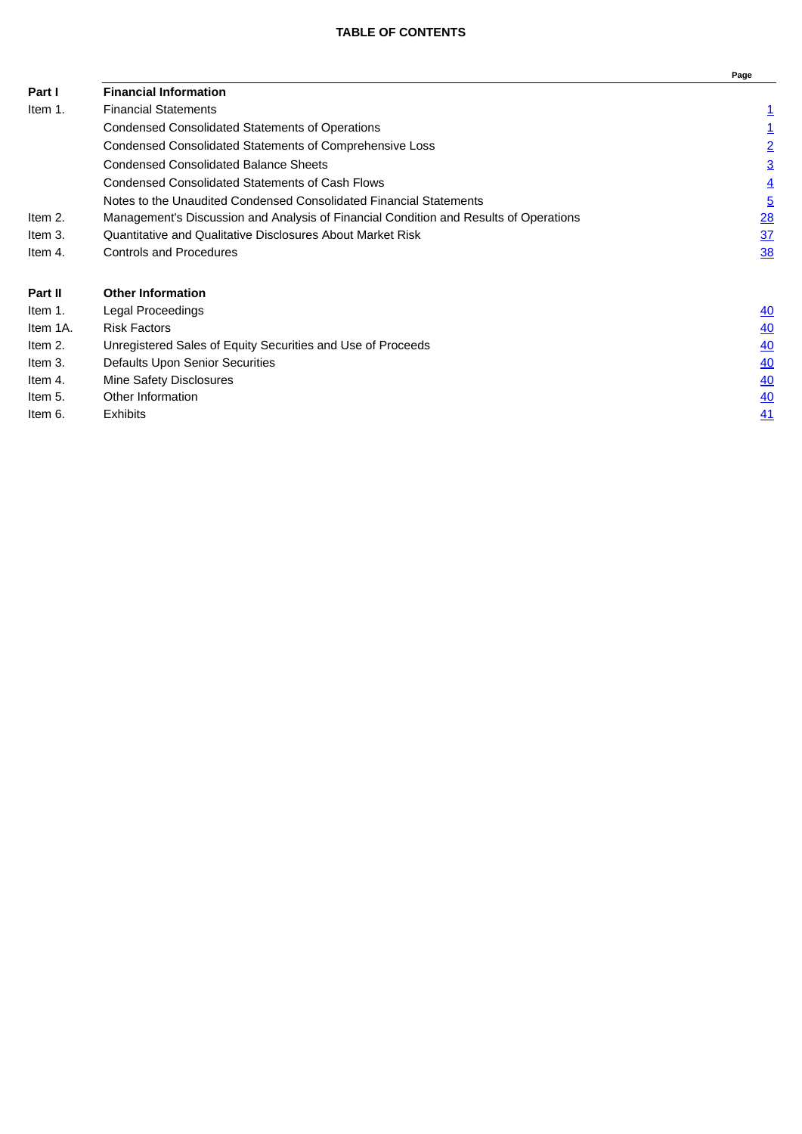|                |                                                                                       | Page           |
|----------------|---------------------------------------------------------------------------------------|----------------|
| Part I         | <b>Financial Information</b>                                                          |                |
| Item 1.        | <b>Financial Statements</b>                                                           | $\overline{1}$ |
|                | Condensed Consolidated Statements of Operations                                       | ≟              |
|                | Condensed Consolidated Statements of Comprehensive Loss                               | $\overline{2}$ |
|                | <b>Condensed Consolidated Balance Sheets</b>                                          | $\overline{3}$ |
|                | <b>Condensed Consolidated Statements of Cash Flows</b>                                | $\overline{4}$ |
|                | Notes to the Unaudited Condensed Consolidated Financial Statements                    | $\overline{5}$ |
| Item 2.        | Management's Discussion and Analysis of Financial Condition and Results of Operations | $\frac{28}{2}$ |
| Item 3.        | Quantitative and Qualitative Disclosures About Market Risk                            | 37             |
| Item 4.        | Controls and Procedures                                                               | <b>38</b>      |
| <b>Part II</b> | <b>Other Information</b>                                                              |                |
| Item 1.        | Legal Proceedings                                                                     | <u>40</u>      |
| Item 1A.       | <b>Risk Factors</b>                                                                   | 40             |
| Item 2.        | Unregistered Sales of Equity Securities and Use of Proceeds                           | 40             |
| Item 3.        | Defaults Upon Senior Securities                                                       | 40             |
| Item 4.        | Mine Safety Disclosures                                                               | 40             |
| Item 5.        | Other Information                                                                     | 40             |
| Item 6.        | Exhibits                                                                              | <u>41</u>      |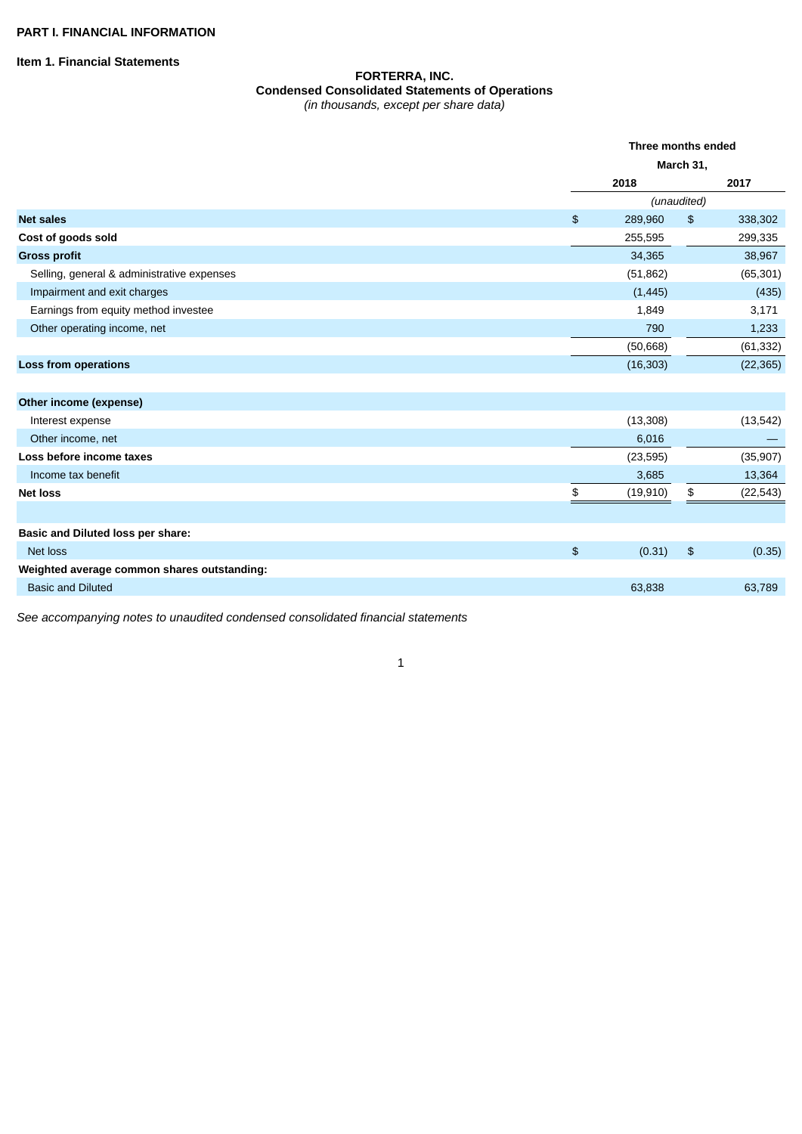<span id="page-2-1"></span><span id="page-2-0"></span>**Item 1. Financial Statements**

### **FORTERRA, INC. Condensed Consolidated Statements of Operations** *(in thousands, except per share data)*

|                                             |               | Three months ended<br>March 31, |               |           |
|---------------------------------------------|---------------|---------------------------------|---------------|-----------|
|                                             |               |                                 |               |           |
|                                             |               | 2018                            |               | 2017      |
|                                             |               |                                 | (unaudited)   |           |
| <b>Net sales</b>                            | $\frac{1}{2}$ | 289,960                         | $\frac{1}{2}$ | 338,302   |
| Cost of goods sold                          |               | 255,595                         |               | 299,335   |
| <b>Gross profit</b>                         |               | 34,365                          |               | 38,967    |
| Selling, general & administrative expenses  |               | (51, 862)                       |               | (65, 301) |
| Impairment and exit charges                 |               | (1, 445)                        |               | (435)     |
| Earnings from equity method investee        |               | 1,849                           |               | 3,171     |
| Other operating income, net                 |               | 790                             |               | 1,233     |
|                                             |               | (50,668)                        |               | (61, 332) |
| Loss from operations                        |               | (16, 303)                       |               | (22, 365) |
|                                             |               |                                 |               |           |
| Other income (expense)                      |               |                                 |               |           |
| Interest expense                            |               | (13, 308)                       |               | (13, 542) |
| Other income, net                           |               | 6,016                           |               |           |
| Loss before income taxes                    |               | (23, 595)                       |               | (35, 907) |
| Income tax benefit                          |               | 3,685                           |               | 13,364    |
| <b>Net loss</b>                             | \$            | (19, 910)                       | \$            | (22, 543) |
|                                             |               |                                 |               |           |
| Basic and Diluted loss per share:           |               |                                 |               |           |
| Net loss                                    | $\frac{1}{2}$ | (0.31)                          | $\frac{1}{2}$ | (0.35)    |
| Weighted average common shares outstanding: |               |                                 |               |           |
| <b>Basic and Diluted</b>                    |               | 63,838                          |               | 63,789    |

*See accompanying notes to unaudited condensed consolidated financial statements*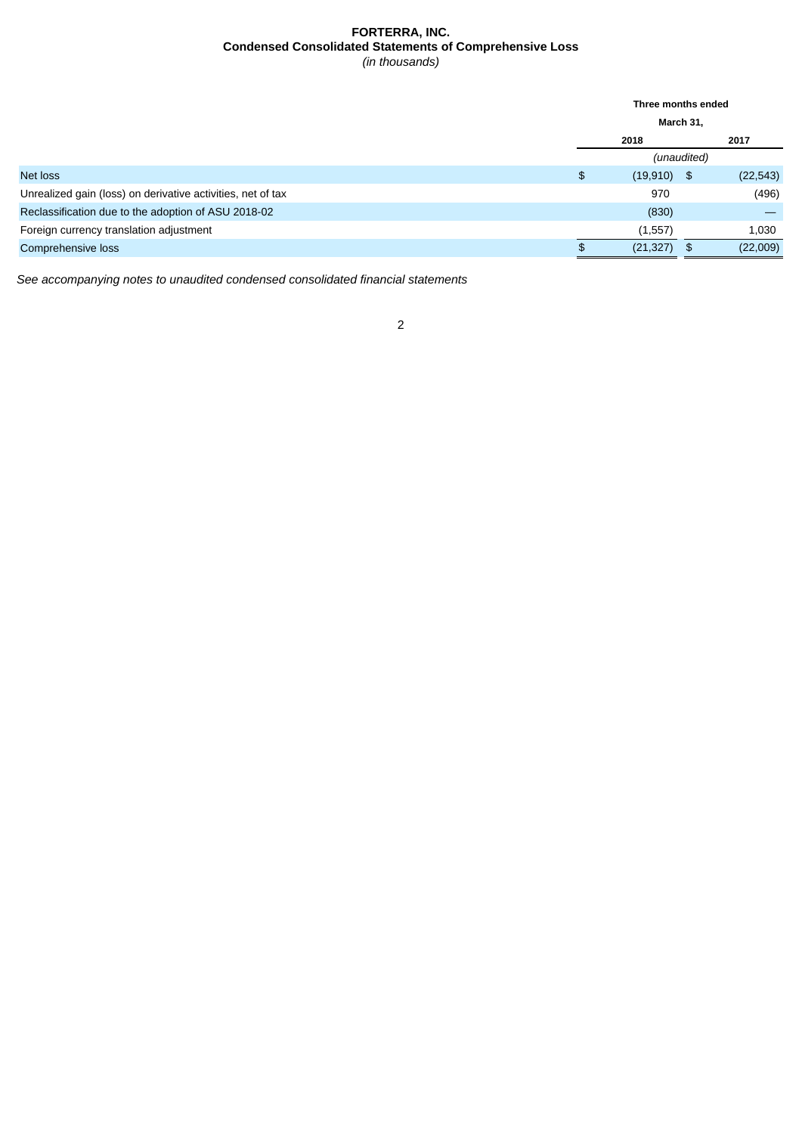# **FORTERRA, INC. Condensed Consolidated Statements of Comprehensive Loss** *(in thousands)*

<span id="page-3-0"></span>

|                                                             | Three months ended |               |      |           |
|-------------------------------------------------------------|--------------------|---------------|------|-----------|
|                                                             | March 31,          |               |      |           |
|                                                             | 2017<br>2018       |               |      |           |
|                                                             | (unaudited)        |               |      |           |
| Net loss                                                    | \$                 | $(19,910)$ \$ |      | (22, 543) |
| Unrealized gain (loss) on derivative activities, net of tax |                    | 970           |      | (496)     |
| Reclassification due to the adoption of ASU 2018-02         |                    | (830)         |      |           |
| Foreign currency translation adjustment                     |                    | (1, 557)      |      | 1,030     |
| Comprehensive loss                                          |                    | (21, 327)     | - \$ | (22,009)  |

*See accompanying notes to unaudited condensed consolidated financial statements*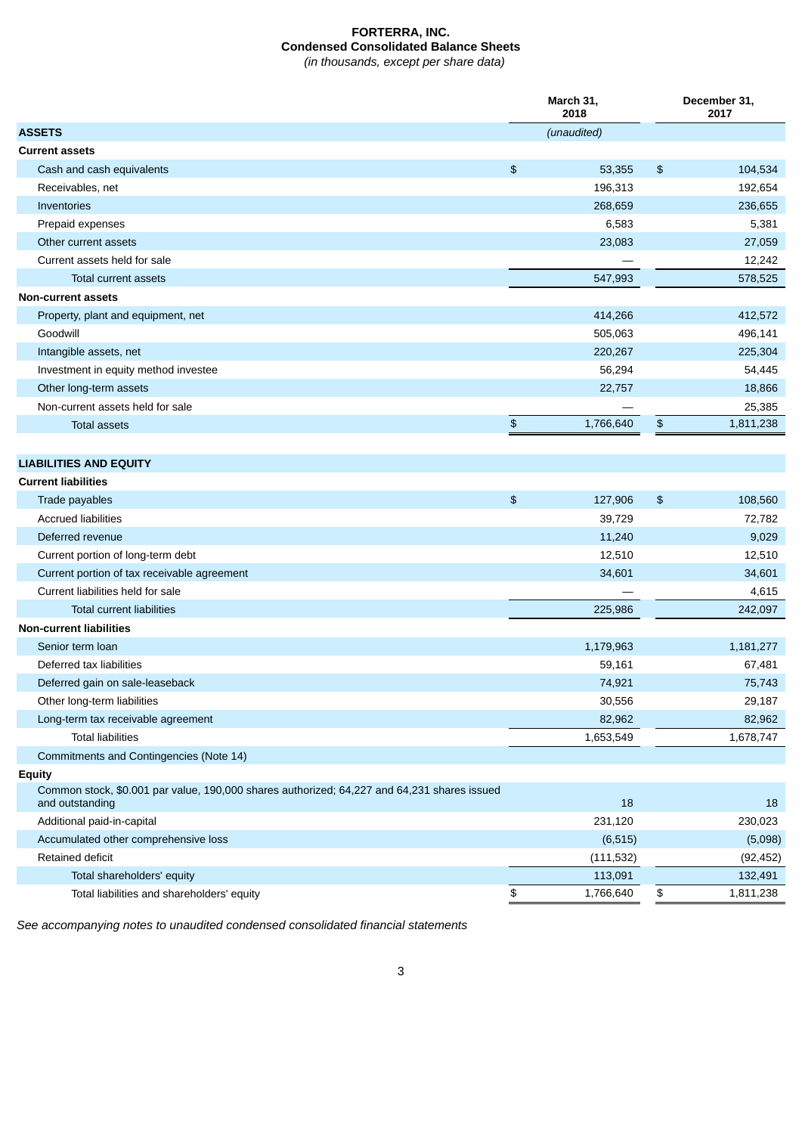# **FORTERRA, INC. Condensed Consolidated Balance Sheets** *(in thousands, except per share data)*

<span id="page-4-0"></span>**March 31, 2018 December 31, 2017 ASSETS** *(unaudited)* **Current assets** Cash and cash equivalents **6** 104,534 Receivables, net 192,654 Inventories 268,659 236,655 Prepaid expenses 6,381 5,381 5,381 5,381 5,381 5,381 5,381 5,381 5,381 5,381 5,381 5,381 5,381 5,381 5,381 5,381 5,381 5,381 5,381 5,381 5,381 5,381 5,381 5,381 5,381 5,381 5,381 5,381 5,381 5,381 5,381 5,381 5,381 5,381 5 Other current assets 23,083 27,059 Current assets held for sale — 12,242 Total current assets 578,525 578,525 **Non-current assets** Property, plant and equipment, net 412,572 Goodwill 505,063 496,141 Intangible assets, net 220,267 225,304 Investment in equity method investee 56,294 54,445 Other long-term assets 22,757 18,866 Non-current assets held for sale example and the same of the same of the same of the same of the same of the same of the same of the same of the same of the same of the same of the same of the same of the same of the same Total assets \$ 1,766,640 \$ 1,811,238 **LIABILITIES AND EQUITY Current liabilities** Trade payables \$ 127,906 \$ 108,560 Accrued liabilities 39,729 72,782 Deferred revenue 11,240 9,029 Current portion of long-term debt 12.510 12.510 12.510 12.510 Current portion of tax receivable agreement 34,601 34,601 Current liabilities held for sale — 4,615 Total current liabilities 225,986 242,097 **Non-current liabilities** Senior term loan 1,179,963 1,181,277 Deferred tax liabilities 59,161 67,481 Deferred gain on sale-leaseback 74,921 75,743 Other long-term liabilities 29,187 and 29,187 and 29,187 and 29,187 and 29,187 and 29,187 and 29,187 and 29,187 and 29,187 and 29,187 and 29,187 and 29,187 and 29,187 and 29,187 and 29,187 and 20,187 and 20,187 and 20,187 Long-term tax receivable agreement 82,962 82,962 Total liabilities 1,653,549 1,678,747 Commitments and Contingencies (Note 14) **Equity** Common stock, \$0.001 par value, 190,000 shares authorized; 64,227 and 64,231 shares issued and outstanding the contract of the contract of the contract of the contract of the contract of the contract of the contract of the contract of the contract of the contract of the contract of the contract of the contract o Additional paid-in-capital 231,120 230,023 Accumulated other comprehensive loss (6,515) (5,098) Retained deficit (111,532) (92,452) Total shareholders' equity 132,491 132,491 132,491 132,491 132,491 132,491 132,491 132,491 132,491 132,491 132,491 132,491 132,491 132,491 132,491 132,491 132,491 132,491 132,491 132,491 132,491 132,491 132,491 132,491 132 Total liabilities and shareholders' equity the state of the state of the state of the state of the state of the state of the state of the state of the state of the state of the state of the state of the state of the state

*See accompanying notes to unaudited condensed consolidated financial statements*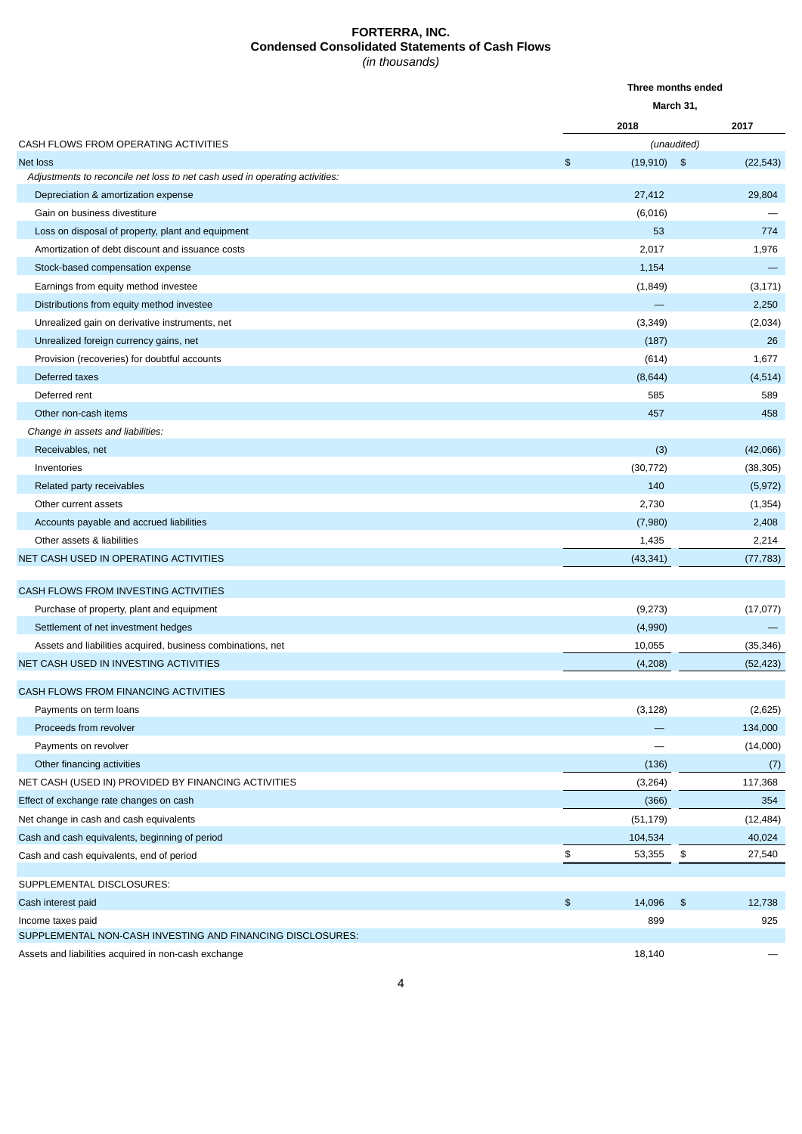# **FORTERRA, INC. Condensed Consolidated Statements of Cash Flows** *(in thousands)*

<span id="page-5-0"></span>

|                                                                             |               | Three months ended |                           |           |
|-----------------------------------------------------------------------------|---------------|--------------------|---------------------------|-----------|
|                                                                             |               | March 31,          |                           |           |
|                                                                             |               | 2018               |                           | 2017      |
| CASH FLOWS FROM OPERATING ACTIVITIES                                        |               |                    | (unaudited)               |           |
| <b>Net loss</b>                                                             | \$            | $(19,910)$ \$      |                           | (22, 543) |
| Adjustments to reconcile net loss to net cash used in operating activities: |               |                    |                           |           |
| Depreciation & amortization expense                                         |               | 27,412             |                           | 29,804    |
| Gain on business divestiture                                                |               | (6,016)            |                           |           |
| Loss on disposal of property, plant and equipment                           |               | 53                 |                           | 774       |
| Amortization of debt discount and issuance costs                            |               | 2,017              |                           | 1,976     |
| Stock-based compensation expense                                            |               | 1,154              |                           |           |
| Earnings from equity method investee                                        |               | (1, 849)           |                           | (3, 171)  |
| Distributions from equity method investee                                   |               |                    |                           | 2,250     |
| Unrealized gain on derivative instruments, net                              |               | (3, 349)           |                           | (2,034)   |
| Unrealized foreign currency gains, net                                      |               | (187)              |                           | 26        |
| Provision (recoveries) for doubtful accounts                                |               | (614)              |                           | 1,677     |
| Deferred taxes                                                              |               | (8,644)            |                           | (4, 514)  |
| Deferred rent                                                               |               | 585                |                           | 589       |
| Other non-cash items                                                        |               | 457                |                           | 458       |
| Change in assets and liabilities:                                           |               |                    |                           |           |
| Receivables, net                                                            |               | (3)                |                           | (42,066)  |
| Inventories                                                                 |               | (30, 772)          |                           | (38, 305) |
| Related party receivables                                                   |               | 140                |                           | (5, 972)  |
| Other current assets                                                        |               | 2,730              |                           | (1, 354)  |
| Accounts payable and accrued liabilities                                    |               | (7,980)            |                           | 2,408     |
| Other assets & liabilities                                                  |               | 1,435              |                           | 2,214     |
| NET CASH USED IN OPERATING ACTIVITIES                                       |               | (43, 341)          |                           | (77, 783) |
| CASH FLOWS FROM INVESTING ACTIVITIES                                        |               |                    |                           |           |
| Purchase of property, plant and equipment                                   |               | (9,273)            |                           | (17, 077) |
| Settlement of net investment hedges                                         |               | (4,990)            |                           |           |
| Assets and liabilities acquired, business combinations, net                 |               | 10,055             |                           | (35, 346) |
| NET CASH USED IN INVESTING ACTIVITIES                                       |               | (4,208)            |                           | (52, 423) |
| CASH FLOWS FROM FINANCING ACTIVITIES                                        |               |                    |                           |           |
| Payments on term loans                                                      |               | (3, 128)           |                           | (2,625)   |
| Proceeds from revolver                                                      |               |                    |                           | 134,000   |
| Payments on revolver                                                        |               |                    |                           | (14,000)  |
| Other financing activities                                                  |               | (136)              |                           | (7)       |
| NET CASH (USED IN) PROVIDED BY FINANCING ACTIVITIES                         |               | (3, 264)           |                           | 117,368   |
| Effect of exchange rate changes on cash                                     |               | (366)              |                           | 354       |
| Net change in cash and cash equivalents                                     |               | (51, 179)          |                           | (12, 484) |
| Cash and cash equivalents, beginning of period                              |               | 104,534            |                           | 40,024    |
| Cash and cash equivalents, end of period                                    | \$            | 53,355             | \$                        | 27,540    |
| SUPPLEMENTAL DISCLOSURES:                                                   |               |                    |                           |           |
| Cash interest paid                                                          | $\frac{1}{2}$ | 14,096             | $\boldsymbol{\mathsf{s}}$ | 12,738    |
| Income taxes paid                                                           |               | 899                |                           | 925       |
| SUPPLEMENTAL NON-CASH INVESTING AND FINANCING DISCLOSURES:                  |               |                    |                           |           |
| Assets and liabilities acquired in non-cash exchange                        |               | 18,140             |                           |           |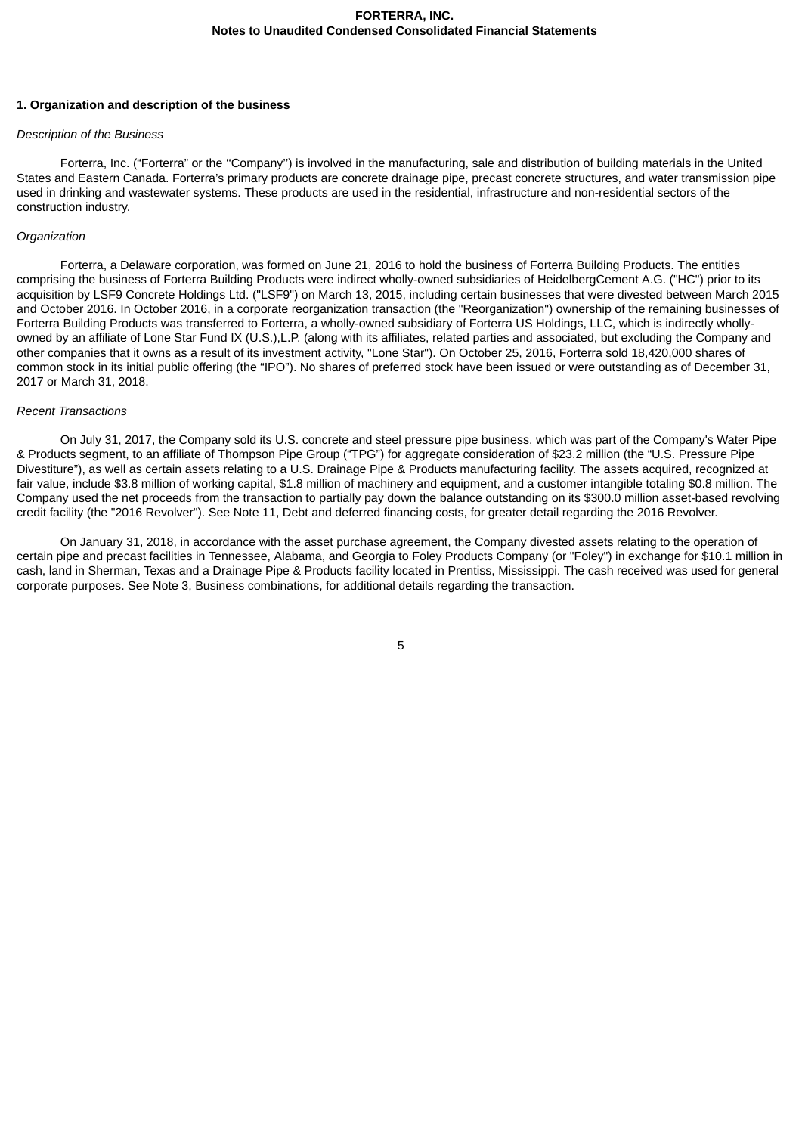### <span id="page-6-0"></span>**1. Organization and description of the business**

# *Description of the Business*

Forterra, Inc. ("Forterra" or the ''Company'') is involved in the manufacturing, sale and distribution of building materials in the United States and Eastern Canada. Forterra's primary products are concrete drainage pipe, precast concrete structures, and water transmission pipe used in drinking and wastewater systems. These products are used in the residential, infrastructure and non-residential sectors of the construction industry.

### *Organization*

Forterra, a Delaware corporation, was formed on June 21, 2016 to hold the business of Forterra Building Products. The entities comprising the business of Forterra Building Products were indirect wholly-owned subsidiaries of HeidelbergCement A.G. ("HC") prior to its acquisition by LSF9 Concrete Holdings Ltd. ("LSF9") on March 13, 2015, including certain businesses that were divested between March 2015 and October 2016. In October 2016, in a corporate reorganization transaction (the "Reorganization") ownership of the remaining businesses of Forterra Building Products was transferred to Forterra, a wholly-owned subsidiary of Forterra US Holdings, LLC, which is indirectly whollyowned by an affiliate of Lone Star Fund IX (U.S.),L.P. (along with its affiliates, related parties and associated, but excluding the Company and other companies that it owns as a result of its investment activity, "Lone Star"). On October 25, 2016, Forterra sold 18,420,000 shares of common stock in its initial public offering (the "IPO"). No shares of preferred stock have been issued or were outstanding as of December 31, 2017 or March 31, 2018.

### *Recent Transactions*

On July 31, 2017, the Company sold its U.S. concrete and steel pressure pipe business, which was part of the Company's Water Pipe & Products segment, to an affiliate of Thompson Pipe Group ("TPG") for aggregate consideration of \$23.2 million (the "U.S. Pressure Pipe Divestiture"), as well as certain assets relating to a U.S. Drainage Pipe & Products manufacturing facility. The assets acquired, recognized at fair value, include \$3.8 million of working capital, \$1.8 million of machinery and equipment, and a customer intangible totaling \$0.8 million. The Company used the net proceeds from the transaction to partially pay down the balance outstanding on its \$300.0 million asset-based revolving credit facility (the "2016 Revolver"). See Note 11, Debt and deferred financing costs, for greater detail regarding the 2016 Revolver.

On January 31, 2018, in accordance with the asset purchase agreement, the Company divested assets relating to the operation of certain pipe and precast facilities in Tennessee, Alabama, and Georgia to Foley Products Company (or "Foley") in exchange for \$10.1 million in cash, land in Sherman, Texas and a Drainage Pipe & Products facility located in Prentiss, Mississippi. The cash received was used for general corporate purposes. See Note 3, Business combinations, for additional details regarding the transaction.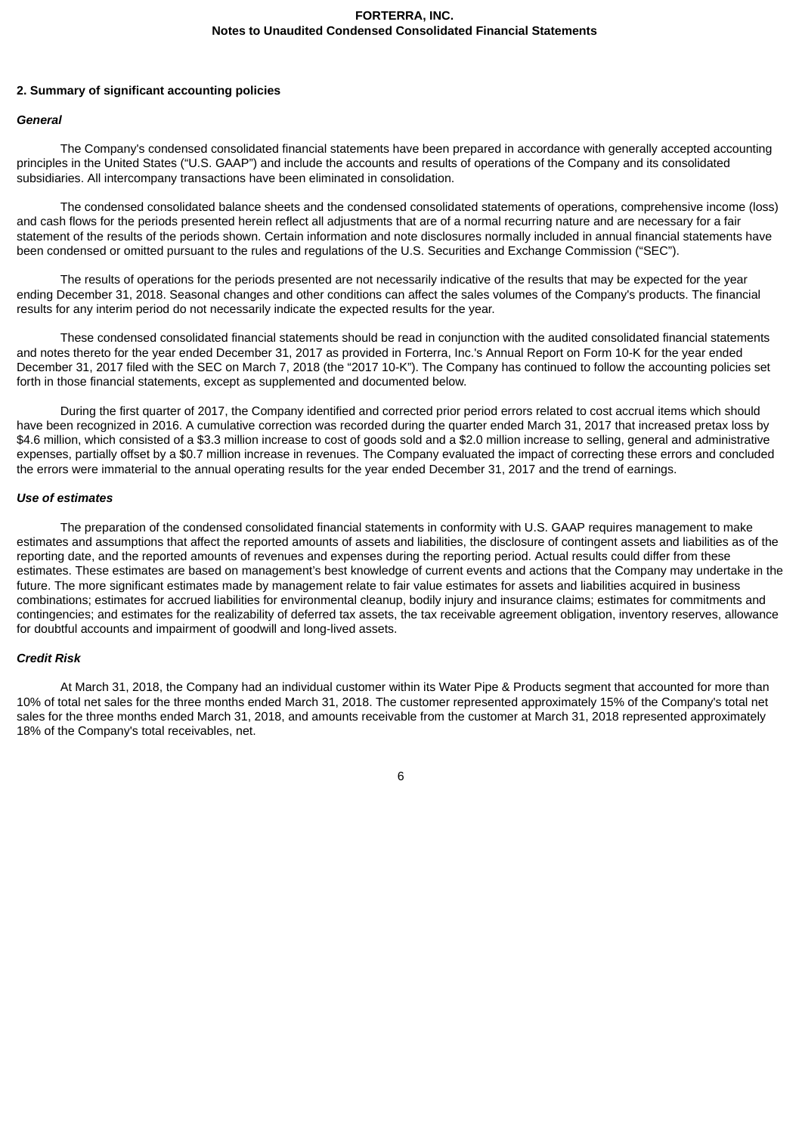### **2. Summary of significant accounting policies**

### *General*

The Company's condensed consolidated financial statements have been prepared in accordance with generally accepted accounting principles in the United States ("U.S. GAAP") and include the accounts and results of operations of the Company and its consolidated subsidiaries. All intercompany transactions have been eliminated in consolidation.

The condensed consolidated balance sheets and the condensed consolidated statements of operations, comprehensive income (loss) and cash flows for the periods presented herein reflect all adjustments that are of a normal recurring nature and are necessary for a fair statement of the results of the periods shown. Certain information and note disclosures normally included in annual financial statements have been condensed or omitted pursuant to the rules and regulations of the U.S. Securities and Exchange Commission ("SEC").

The results of operations for the periods presented are not necessarily indicative of the results that may be expected for the year ending December 31, 2018. Seasonal changes and other conditions can affect the sales volumes of the Company's products. The financial results for any interim period do not necessarily indicate the expected results for the year.

These condensed consolidated financial statements should be read in conjunction with the audited consolidated financial statements and notes thereto for the year ended December 31, 2017 as provided in Forterra, Inc.'s Annual Report on Form 10-K for the year ended December 31, 2017 filed with the SEC on March 7, 2018 (the "2017 10-K"). The Company has continued to follow the accounting policies set forth in those financial statements, except as supplemented and documented below.

During the first quarter of 2017, the Company identified and corrected prior period errors related to cost accrual items which should have been recognized in 2016. A cumulative correction was recorded during the quarter ended March 31, 2017 that increased pretax loss by \$4.6 million, which consisted of a \$3.3 million increase to cost of goods sold and a \$2.0 million increase to selling, general and administrative expenses, partially offset by a \$0.7 million increase in revenues. The Company evaluated the impact of correcting these errors and concluded the errors were immaterial to the annual operating results for the year ended December 31, 2017 and the trend of earnings.

### *Use of estimates*

The preparation of the condensed consolidated financial statements in conformity with U.S. GAAP requires management to make estimates and assumptions that affect the reported amounts of assets and liabilities, the disclosure of contingent assets and liabilities as of the reporting date, and the reported amounts of revenues and expenses during the reporting period. Actual results could differ from these estimates. These estimates are based on management's best knowledge of current events and actions that the Company may undertake in the future. The more significant estimates made by management relate to fair value estimates for assets and liabilities acquired in business combinations; estimates for accrued liabilities for environmental cleanup, bodily injury and insurance claims; estimates for commitments and contingencies; and estimates for the realizability of deferred tax assets, the tax receivable agreement obligation, inventory reserves, allowance for doubtful accounts and impairment of goodwill and long-lived assets.

# *Credit Risk*

At March 31, 2018, the Company had an individual customer within its Water Pipe & Products segment that accounted for more than 10% of total net sales for the three months ended March 31, 2018. The customer represented approximately 15% of the Company's total net sales for the three months ended March 31, 2018, and amounts receivable from the customer at March 31, 2018 represented approximately 18% of the Company's total receivables, net.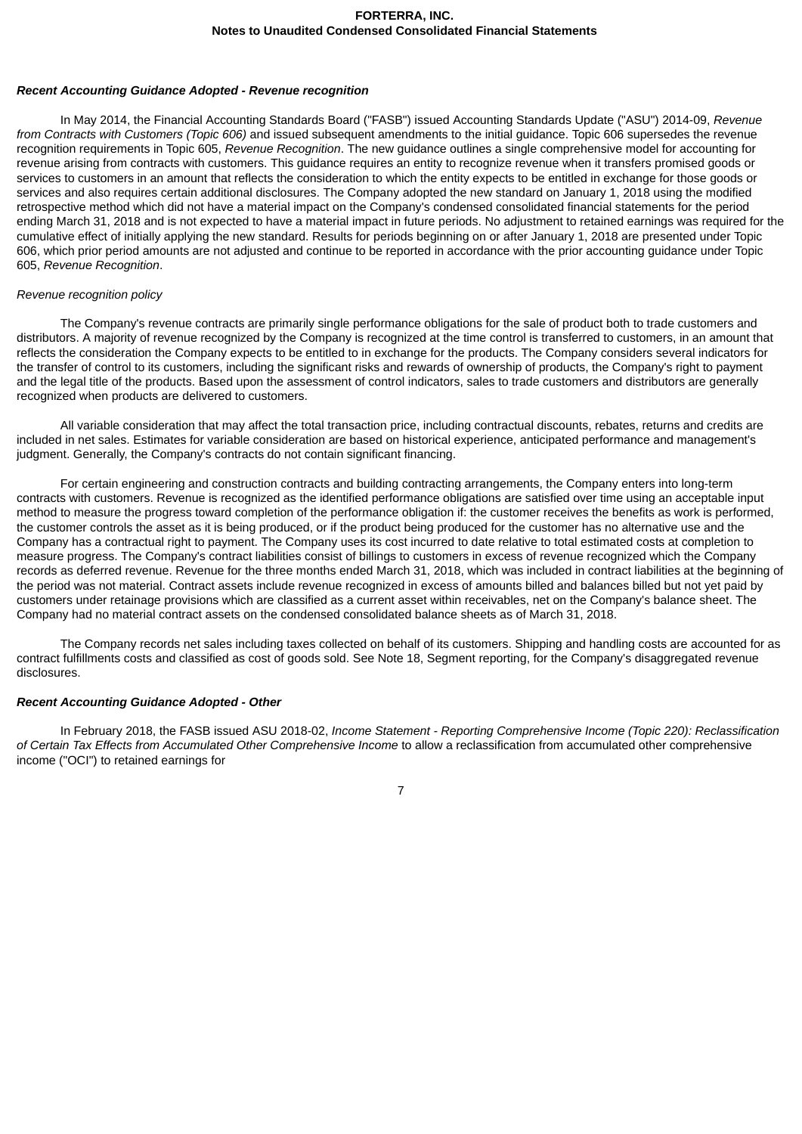#### *Recent Accounting Guidance Adopted - Revenue recognition*

In May 2014, the Financial Accounting Standards Board ("FASB") issued Accounting Standards Update ("ASU") 2014-09, *Revenue from Contracts with Customers (Topic 606)* and issued subsequent amendments to the initial guidance. Topic 606 supersedes the revenue recognition requirements in Topic 605, *Revenue Recognition*. The new guidance outlines a single comprehensive model for accounting for revenue arising from contracts with customers. This guidance requires an entity to recognize revenue when it transfers promised goods or services to customers in an amount that reflects the consideration to which the entity expects to be entitled in exchange for those goods or services and also requires certain additional disclosures. The Company adopted the new standard on January 1, 2018 using the modified retrospective method which did not have a material impact on the Company's condensed consolidated financial statements for the period ending March 31, 2018 and is not expected to have a material impact in future periods. No adjustment to retained earnings was required for the cumulative effect of initially applying the new standard. Results for periods beginning on or after January 1, 2018 are presented under Topic 606, which prior period amounts are not adjusted and continue to be reported in accordance with the prior accounting guidance under Topic 605, *Revenue Recognition*.

#### *Revenue recognition policy*

The Company's revenue contracts are primarily single performance obligations for the sale of product both to trade customers and distributors. A majority of revenue recognized by the Company is recognized at the time control is transferred to customers, in an amount that reflects the consideration the Company expects to be entitled to in exchange for the products. The Company considers several indicators for the transfer of control to its customers, including the significant risks and rewards of ownership of products, the Company's right to payment and the legal title of the products. Based upon the assessment of control indicators, sales to trade customers and distributors are generally recognized when products are delivered to customers.

All variable consideration that may affect the total transaction price, including contractual discounts, rebates, returns and credits are included in net sales. Estimates for variable consideration are based on historical experience, anticipated performance and management's judgment. Generally, the Company's contracts do not contain significant financing.

For certain engineering and construction contracts and building contracting arrangements, the Company enters into long-term contracts with customers. Revenue is recognized as the identified performance obligations are satisfied over time using an acceptable input method to measure the progress toward completion of the performance obligation if: the customer receives the benefits as work is performed, the customer controls the asset as it is being produced, or if the product being produced for the customer has no alternative use and the Company has a contractual right to payment. The Company uses its cost incurred to date relative to total estimated costs at completion to measure progress. The Company's contract liabilities consist of billings to customers in excess of revenue recognized which the Company records as deferred revenue. Revenue for the three months ended March 31, 2018, which was included in contract liabilities at the beginning of the period was not material. Contract assets include revenue recognized in excess of amounts billed and balances billed but not yet paid by customers under retainage provisions which are classified as a current asset within receivables, net on the Company's balance sheet. The Company had no material contract assets on the condensed consolidated balance sheets as of March 31, 2018.

The Company records net sales including taxes collected on behalf of its customers. Shipping and handling costs are accounted for as contract fulfillments costs and classified as cost of goods sold. See Note 18, Segment reporting, for the Company's disaggregated revenue disclosures.

### *Recent Accounting Guidance Adopted - Other*

In February 2018, the FASB issued ASU 2018-02, *Income Statement - Reporting Comprehensive Income (Topic 220): Reclassification of Certain Tax Effects from Accumulated Other Comprehensive Income* to allow a reclassification from accumulated other comprehensive income ("OCI") to retained earnings for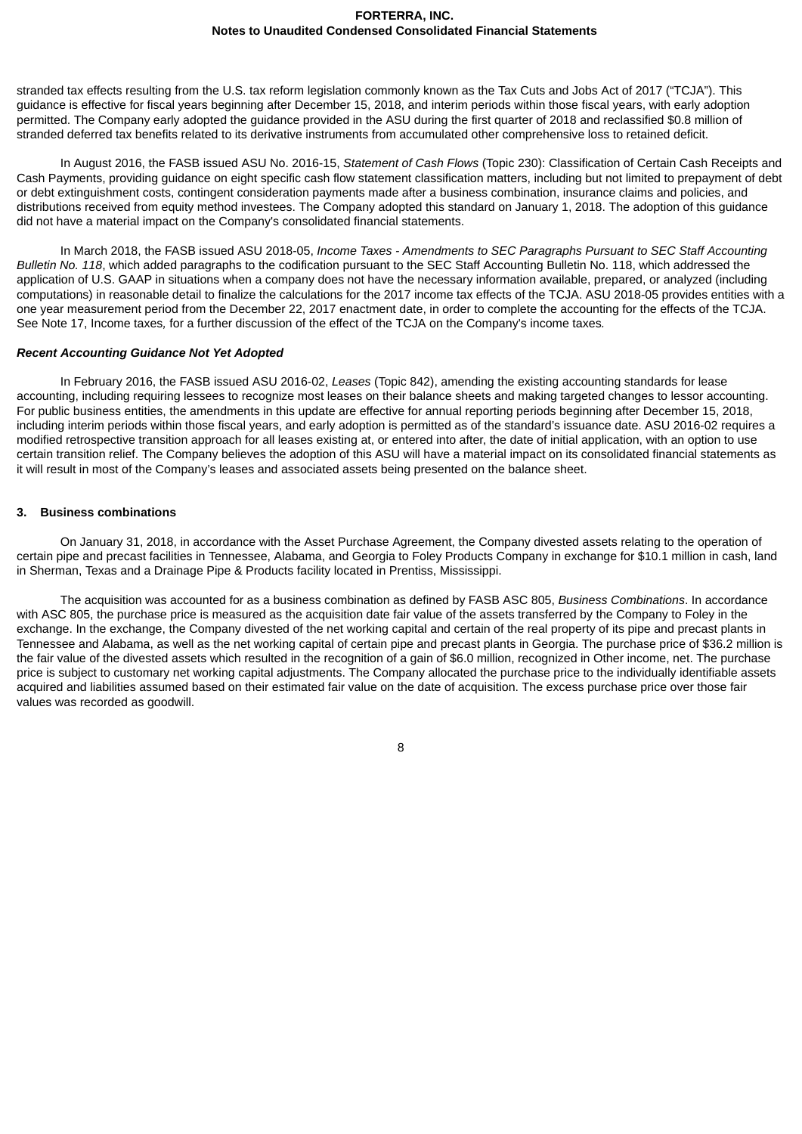stranded tax effects resulting from the U.S. tax reform legislation commonly known as the Tax Cuts and Jobs Act of 2017 ("TCJA"). This guidance is effective for fiscal years beginning after December 15, 2018, and interim periods within those fiscal years, with early adoption permitted. The Company early adopted the guidance provided in the ASU during the first quarter of 2018 and reclassified \$0.8 million of stranded deferred tax benefits related to its derivative instruments from accumulated other comprehensive loss to retained deficit.

In August 2016, the FASB issued ASU No. 2016-15, *Statement of Cash Flows* (Topic 230): Classification of Certain Cash Receipts and Cash Payments, providing guidance on eight specific cash flow statement classification matters, including but not limited to prepayment of debt or debt extinguishment costs, contingent consideration payments made after a business combination, insurance claims and policies, and distributions received from equity method investees. The Company adopted this standard on January 1, 2018. The adoption of this guidance did not have a material impact on the Company's consolidated financial statements.

In March 2018, the FASB issued ASU 2018-05, *Income Taxes - Amendments to SEC Paragraphs Pursuant to SEC Staff Accounting Bulletin No. 118*, which added paragraphs to the codification pursuant to the SEC Staff Accounting Bulletin No. 118, which addressed the application of U.S. GAAP in situations when a company does not have the necessary information available, prepared, or analyzed (including computations) in reasonable detail to finalize the calculations for the 2017 income tax effects of the TCJA. ASU 2018-05 provides entities with a one year measurement period from the December 22, 2017 enactment date, in order to complete the accounting for the effects of the TCJA. See Note 17, Income taxes*,* for a further discussion of the effect of the TCJA on the Company's income taxes*.*

### *Recent Accounting Guidance Not Yet Adopted*

In February 2016, the FASB issued ASU 2016-02, *Leases* (Topic 842), amending the existing accounting standards for lease accounting, including requiring lessees to recognize most leases on their balance sheets and making targeted changes to lessor accounting. For public business entities, the amendments in this update are effective for annual reporting periods beginning after December 15, 2018, including interim periods within those fiscal years, and early adoption is permitted as of the standard's issuance date. ASU 2016-02 requires a modified retrospective transition approach for all leases existing at, or entered into after, the date of initial application, with an option to use certain transition relief. The Company believes the adoption of this ASU will have a material impact on its consolidated financial statements as it will result in most of the Company's leases and associated assets being presented on the balance sheet.

### **3. Business combinations**

On January 31, 2018, in accordance with the Asset Purchase Agreement, the Company divested assets relating to the operation of certain pipe and precast facilities in Tennessee, Alabama, and Georgia to Foley Products Company in exchange for \$10.1 million in cash, land in Sherman, Texas and a Drainage Pipe & Products facility located in Prentiss, Mississippi.

The acquisition was accounted for as a business combination as defined by FASB ASC 805, *Business Combinations*. In accordance with ASC 805, the purchase price is measured as the acquisition date fair value of the assets transferred by the Company to Foley in the exchange. In the exchange, the Company divested of the net working capital and certain of the real property of its pipe and precast plants in Tennessee and Alabama, as well as the net working capital of certain pipe and precast plants in Georgia. The purchase price of \$36.2 million is the fair value of the divested assets which resulted in the recognition of a gain of \$6.0 million, recognized in Other income, net. The purchase price is subject to customary net working capital adjustments. The Company allocated the purchase price to the individually identifiable assets acquired and liabilities assumed based on their estimated fair value on the date of acquisition. The excess purchase price over those fair values was recorded as goodwill.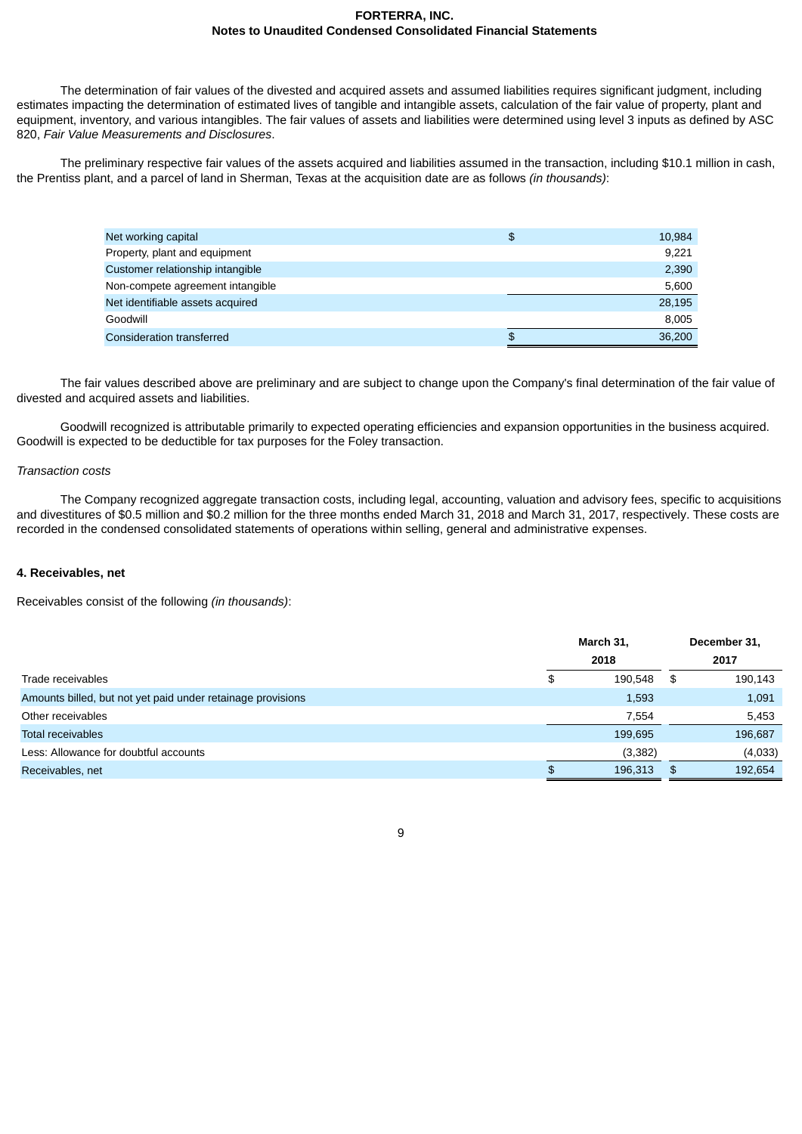The determination of fair values of the divested and acquired assets and assumed liabilities requires significant judgment, including estimates impacting the determination of estimated lives of tangible and intangible assets, calculation of the fair value of property, plant and equipment, inventory, and various intangibles. The fair values of assets and liabilities were determined using level 3 inputs as defined by ASC 820, *Fair Value Measurements and Disclosures*.

The preliminary respective fair values of the assets acquired and liabilities assumed in the transaction, including \$10.1 million in cash, the Prentiss plant, and a parcel of land in Sherman, Texas at the acquisition date are as follows *(in thousands)*:

| Net working capital              | \$<br>10,984 |
|----------------------------------|--------------|
| Property, plant and equipment    | 9,221        |
| Customer relationship intangible | 2,390        |
| Non-compete agreement intangible | 5,600        |
| Net identifiable assets acquired | 28,195       |
| Goodwill                         | 8,005        |
| Consideration transferred        | \$<br>36,200 |

The fair values described above are preliminary and are subject to change upon the Company's final determination of the fair value of divested and acquired assets and liabilities.

Goodwill recognized is attributable primarily to expected operating efficiencies and expansion opportunities in the business acquired. Goodwill is expected to be deductible for tax purposes for the Foley transaction.

### *Transaction costs*

The Company recognized aggregate transaction costs, including legal, accounting, valuation and advisory fees, specific to acquisitions and divestitures of \$0.5 million and \$0.2 million for the three months ended March 31, 2018 and March 31, 2017, respectively. These costs are recorded in the condensed consolidated statements of operations within selling, general and administrative expenses.

### **4. Receivables, net**

Receivables consist of the following *(in thousands)*:

|                                                             |     | March 31, |    | December 31, |  |
|-------------------------------------------------------------|-----|-----------|----|--------------|--|
|                                                             |     | 2018      |    | 2017         |  |
| Trade receivables                                           | \$  | 190,548   | \$ | 190,143      |  |
| Amounts billed, but not yet paid under retainage provisions |     | 1,593     |    | 1,091        |  |
| Other receivables                                           |     | 7,554     |    | 5,453        |  |
| Total receivables                                           |     | 199,695   |    | 196,687      |  |
| Less: Allowance for doubtful accounts                       |     | (3,382)   |    | (4,033)      |  |
| Receivables, net                                            | \$. | 196.313   | \$ | 192.654      |  |
|                                                             |     |           |    |              |  |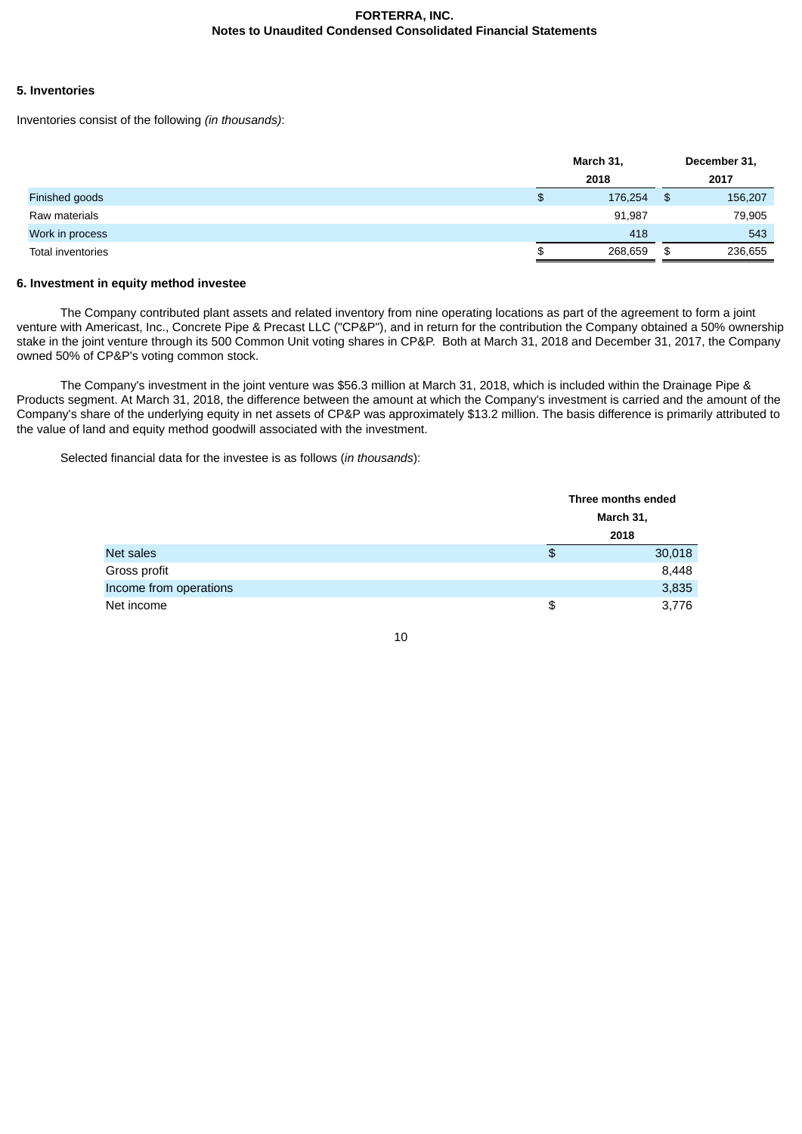### **5. Inventories**

Inventories consist of the following *(in thousands)*:

|                   | March 31,     |    | December 31, |
|-------------------|---------------|----|--------------|
|                   | 2018          |    | 2017         |
| Finished goods    | \$<br>176,254 | \$ | 156,207      |
| Raw materials     | 91,987        |    | 79,905       |
| Work in process   | 418           |    | 543          |
| Total inventories | \$<br>268,659 | \$ | 236,655      |

### **6. Investment in equity method investee**

The Company contributed plant assets and related inventory from nine operating locations as part of the agreement to form a joint venture with Americast, Inc., Concrete Pipe & Precast LLC ("CP&P"), and in return for the contribution the Company obtained a 50% ownership stake in the joint venture through its 500 Common Unit voting shares in CP&P. Both at March 31, 2018 and December 31, 2017, the Company owned 50% of CP&P's voting common stock.

The Company's investment in the joint venture was \$56.3 million at March 31, 2018, which is included within the Drainage Pipe & Products segment. At March 31, 2018, the difference between the amount at which the Company's investment is carried and the amount of the Company's share of the underlying equity in net assets of CP&P was approximately \$13.2 million. The basis difference is primarily attributed to the value of land and equity method goodwill associated with the investment.

Selected financial data for the investee is as follows (*in thousands*):

|                        | Three months ended |  |  |
|------------------------|--------------------|--|--|
|                        | <b>March 31,</b>   |  |  |
|                        | 2018               |  |  |
| Net sales              | \$<br>30,018       |  |  |
| Gross profit           | 8,448              |  |  |
| Income from operations | 3,835              |  |  |
| Net income             | \$<br>3,776        |  |  |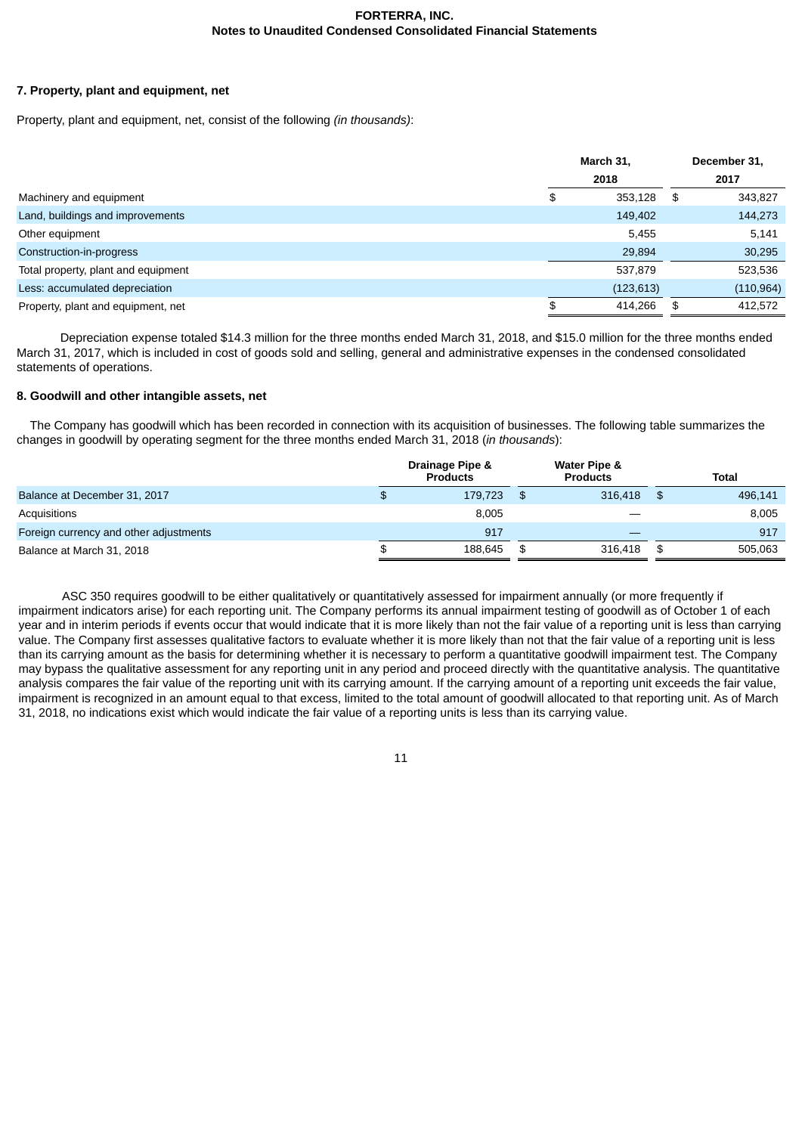## **7. Property, plant and equipment, net**

Property, plant and equipment, net, consist of the following *(in thousands)*:

|                                     | March 31,     |      | December 31, |  |
|-------------------------------------|---------------|------|--------------|--|
|                                     | 2018          |      | 2017         |  |
| Machinery and equipment             | \$<br>353,128 | - \$ | 343,827      |  |
| Land, buildings and improvements    | 149,402       |      | 144,273      |  |
| Other equipment                     | 5,455         |      | 5,141        |  |
| Construction-in-progress            | 29,894        |      | 30,295       |  |
| Total property, plant and equipment | 537,879       |      | 523,536      |  |
| Less: accumulated depreciation      | (123, 613)    |      | (110, 964)   |  |
| Property, plant and equipment, net  | \$<br>414,266 | \$   | 412,572      |  |

Depreciation expense totaled \$14.3 million for the three months ended March 31, 2018, and \$15.0 million for the three months ended March 31, 2017, which is included in cost of goods sold and selling, general and administrative expenses in the condensed consolidated statements of operations.

# **8. Goodwill and other intangible assets, net**

The Company has goodwill which has been recorded in connection with its acquisition of businesses. The following table summarizes the changes in goodwill by operating segment for the three months ended March 31, 2018 (*in thousands*):

|                                        | Drainage Pipe &<br><b>Products</b> | Water Pipe &<br><b>Products</b> | <b>Total</b> |
|----------------------------------------|------------------------------------|---------------------------------|--------------|
| Balance at December 31, 2017           | \$                                 | 316.418<br>179.723<br>\$.       | 496,141      |
| Acquisitions                           |                                    | 8.005                           | 8,005        |
| Foreign currency and other adjustments |                                    | 917<br>__                       | 917          |
| Balance at March 31, 2018              |                                    | 188.645<br>316.418<br>\$        | 505.063      |

ASC 350 requires goodwill to be either qualitatively or quantitatively assessed for impairment annually (or more frequently if impairment indicators arise) for each reporting unit. The Company performs its annual impairment testing of goodwill as of October 1 of each year and in interim periods if events occur that would indicate that it is more likely than not the fair value of a reporting unit is less than carrying value. The Company first assesses qualitative factors to evaluate whether it is more likely than not that the fair value of a reporting unit is less than its carrying amount as the basis for determining whether it is necessary to perform a quantitative goodwill impairment test. The Company may bypass the qualitative assessment for any reporting unit in any period and proceed directly with the quantitative analysis. The quantitative analysis compares the fair value of the reporting unit with its carrying amount. If the carrying amount of a reporting unit exceeds the fair value, impairment is recognized in an amount equal to that excess, limited to the total amount of goodwill allocated to that reporting unit. As of March 31, 2018, no indications exist which would indicate the fair value of a reporting units is less than its carrying value.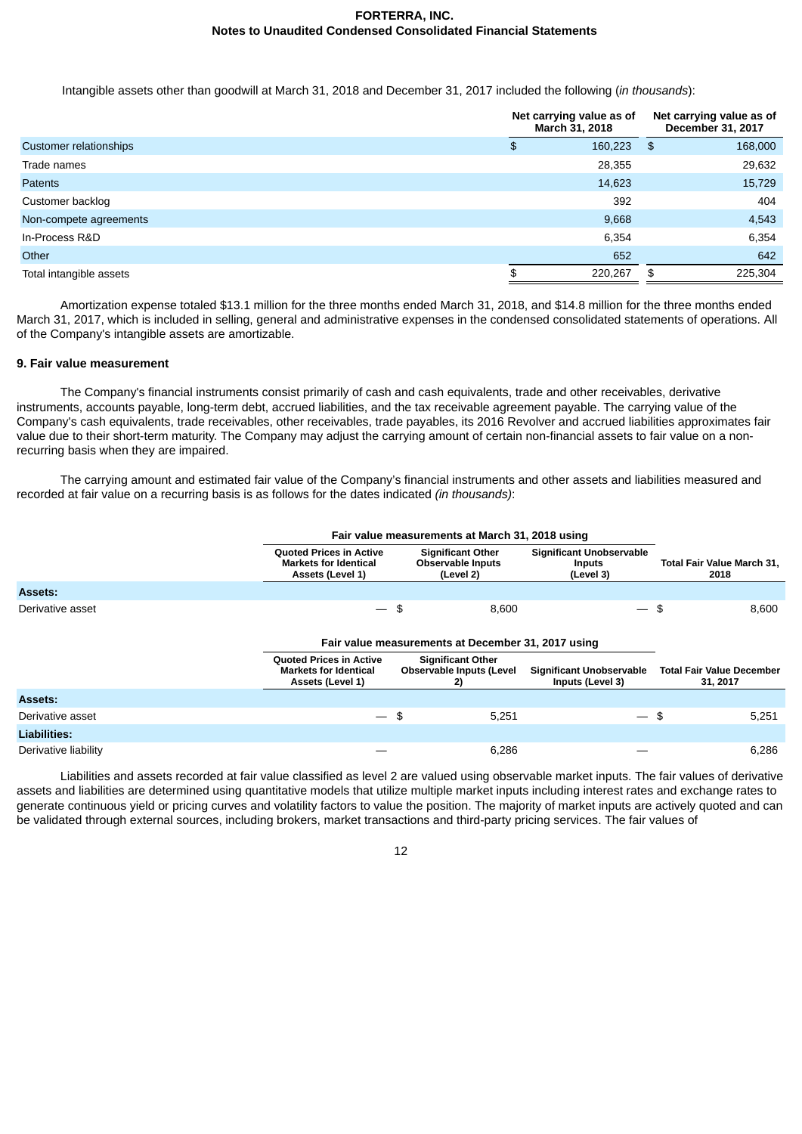Intangible assets other than goodwill at March 31, 2018 and December 31, 2017 included the following (*in thousands*):

|                         | Net carrying value as of<br>March 31, 2018 |         | Net carrying value as of<br>December 31, 2017 |         |  |
|-------------------------|--------------------------------------------|---------|-----------------------------------------------|---------|--|
| Customer relationships  | \$                                         | 160,223 | - \$                                          | 168,000 |  |
| Trade names             |                                            | 28,355  |                                               | 29,632  |  |
| <b>Patents</b>          |                                            | 14,623  |                                               | 15,729  |  |
| Customer backlog        |                                            | 392     |                                               | 404     |  |
| Non-compete agreements  |                                            | 9,668   |                                               | 4,543   |  |
| In-Process R&D          |                                            | 6,354   |                                               | 6,354   |  |
| Other                   |                                            | 652     |                                               | 642     |  |
| Total intangible assets | \$                                         | 220,267 | \$                                            | 225,304 |  |

Amortization expense totaled \$13.1 million for the three months ended March 31, 2018, and \$14.8 million for the three months ended March 31, 2017, which is included in selling, general and administrative expenses in the condensed consolidated statements of operations. All of the Company's intangible assets are amortizable.

### **9. Fair value measurement**

The Company's financial instruments consist primarily of cash and cash equivalents, trade and other receivables, derivative instruments, accounts payable, long-term debt, accrued liabilities, and the tax receivable agreement payable. The carrying value of the Company's cash equivalents, trade receivables, other receivables, trade payables, its 2016 Revolver and accrued liabilities approximates fair value due to their short-term maturity. The Company may adjust the carrying amount of certain non-financial assets to fair value on a nonrecurring basis when they are impaired.

The carrying amount and estimated fair value of the Company's financial instruments and other assets and liabilities measured and recorded at fair value on a recurring basis is as follows for the dates indicated *(in thousands)*:

|                      | Fair value measurements at March 31, 2018 using                                    |                                                                   |                                                               |                                              |  |  |  |  |
|----------------------|------------------------------------------------------------------------------------|-------------------------------------------------------------------|---------------------------------------------------------------|----------------------------------------------|--|--|--|--|
|                      | <b>Ouoted Prices in Active</b><br><b>Markets for Identical</b><br>Assets (Level 1) | <b>Significant Other</b><br><b>Observable Inputs</b><br>(Level 2) | <b>Significant Unobservable</b><br><b>Inputs</b><br>(Level 3) | Total Fair Value March 31,<br>2018           |  |  |  |  |
| <b>Assets:</b>       |                                                                                    |                                                                   |                                                               |                                              |  |  |  |  |
| Derivative asset     |                                                                                    | \$<br>8,600                                                       | $\overbrace{\phantom{aaaaa}}^{x}$                             | \$<br>8,600                                  |  |  |  |  |
|                      | Fair value measurements at December 31, 2017 using                                 |                                                                   |                                                               |                                              |  |  |  |  |
|                      | <b>Quoted Prices in Active</b><br><b>Markets for Identical</b><br>Assets (Level 1) | <b>Significant Other</b><br><b>Observable Inputs (Level</b><br>2) | <b>Significant Unobservable</b><br>Inputs (Level 3)           | <b>Total Fair Value December</b><br>31, 2017 |  |  |  |  |
| Assets:              |                                                                                    |                                                                   |                                                               |                                              |  |  |  |  |
| Derivative asset     | $\overline{\phantom{0}}$                                                           | -\$<br>5,251                                                      | $-$ \$                                                        | 5,251                                        |  |  |  |  |
| <b>Liabilities:</b>  |                                                                                    |                                                                   |                                                               |                                              |  |  |  |  |
| Derivative liability |                                                                                    | 6,286                                                             |                                                               | 6,286                                        |  |  |  |  |

Liabilities and assets recorded at fair value classified as level 2 are valued using observable market inputs. The fair values of derivative assets and liabilities are determined using quantitative models that utilize multiple market inputs including interest rates and exchange rates to generate continuous yield or pricing curves and volatility factors to value the position. The majority of market inputs are actively quoted and can be validated through external sources, including brokers, market transactions and third-party pricing services. The fair values of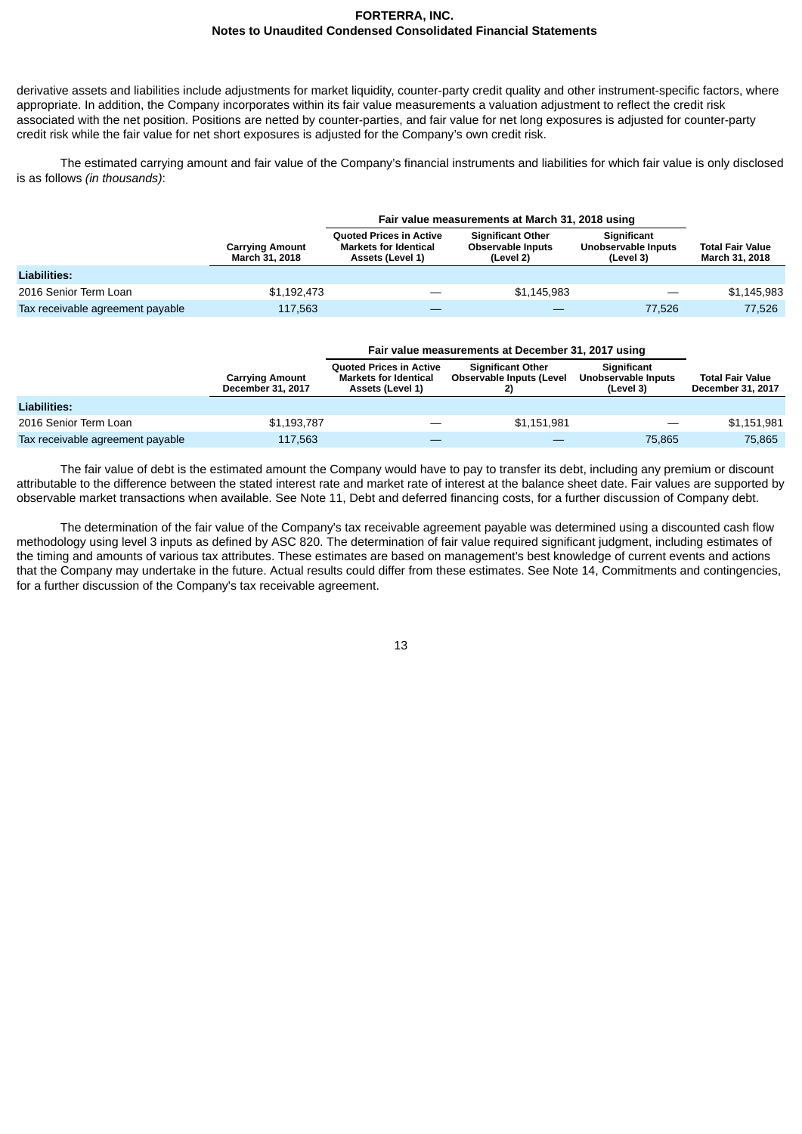derivative assets and liabilities include adjustments for market liquidity, counter-party credit quality and other instrument-specific factors, where appropriate. In addition, the Company incorporates within its fair value measurements a valuation adjustment to reflect the credit risk associated with the net position. Positions are netted by counter-parties, and fair value for net long exposures is adjusted for counter-party credit risk while the fair value for net short exposures is adjusted for the Company's own credit risk.

The estimated carrying amount and fair value of the Company's financial instruments and liabilities for which fair value is only disclosed is as follows *(in thousands)*:

|                                  |                                                 | Fair value measurements at March 31, 2018 using                                    |                                                                   |                                                 |                                                  |  |  |
|----------------------------------|-------------------------------------------------|------------------------------------------------------------------------------------|-------------------------------------------------------------------|-------------------------------------------------|--------------------------------------------------|--|--|
|                                  | <b>Carrying Amount</b><br><b>March 31, 2018</b> | <b>Ouoted Prices in Active</b><br><b>Markets for Identical</b><br>Assets (Level 1) | <b>Significant Other</b><br><b>Observable Inputs</b><br>(Level 2) | Significant<br>Unobservable Inputs<br>(Level 3) | <b>Total Fair Value</b><br><b>March 31, 2018</b> |  |  |
| Liabilities:                     |                                                 |                                                                                    |                                                                   |                                                 |                                                  |  |  |
| 2016 Senior Term Loan            | \$1,192,473                                     |                                                                                    | \$1.145.983                                                       |                                                 | \$1,145,983                                      |  |  |
| Tax receivable agreement payable | 117.563                                         |                                                                                    |                                                                   | 77.526                                          | 77.526                                           |  |  |

|                                  | <b>Carrying Amount</b><br>December 31, 2017 | <b>Ouoted Prices in Active</b><br><b>Markets for Identical</b><br>Assets (Level 1) | <b>Significant Other</b><br>Observable Inputs (Level | Significant<br>Unobservable Inputs<br>(Level 3) | <b>Total Fair Value</b><br>December 31, 2017 |
|----------------------------------|---------------------------------------------|------------------------------------------------------------------------------------|------------------------------------------------------|-------------------------------------------------|----------------------------------------------|
| <b>Liabilities:</b>              |                                             |                                                                                    |                                                      |                                                 |                                              |
| 2016 Senior Term Loan            | \$1,193,787                                 |                                                                                    | \$1,151,981                                          |                                                 | \$1,151,981                                  |
| Tax receivable agreement payable | 117.563                                     |                                                                                    |                                                      | 75.865                                          | 75.865                                       |

The fair value of debt is the estimated amount the Company would have to pay to transfer its debt, including any premium or discount attributable to the difference between the stated interest rate and market rate of interest at the balance sheet date. Fair values are supported by observable market transactions when available. See Note 11, Debt and deferred financing costs, for a further discussion of Company debt.

The determination of the fair value of the Company's tax receivable agreement payable was determined using a discounted cash flow methodology using level 3 inputs as defined by ASC 820. The determination of fair value required significant judgment, including estimates of the timing and amounts of various tax attributes. These estimates are based on management's best knowledge of current events and actions that the Company may undertake in the future. Actual results could differ from these estimates. See Note 14, Commitments and contingencies, for a further discussion of the Company's tax receivable agreement.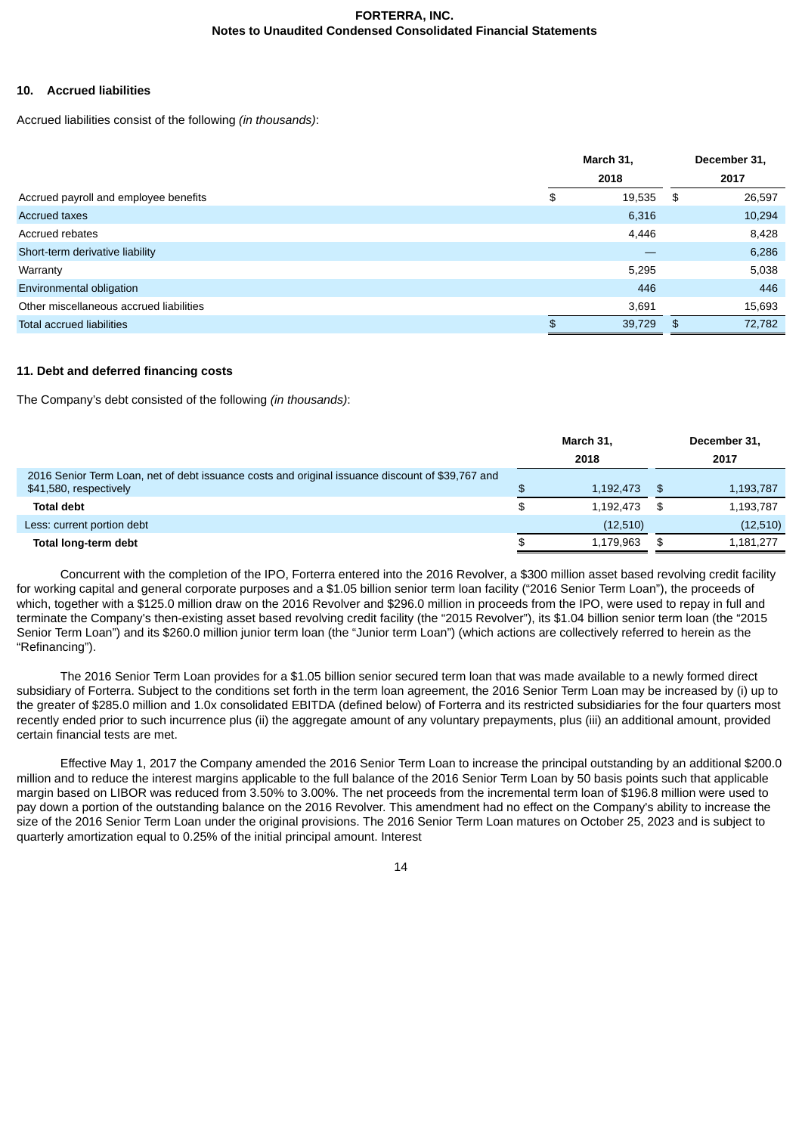### **10. Accrued liabilities**

Accrued liabilities consist of the following *(in thousands)*:

|                                         | March 31, |        | December 31, |  |
|-----------------------------------------|-----------|--------|--------------|--|
|                                         |           | 2018   | 2017         |  |
| Accrued payroll and employee benefits   | \$        | 19,535 | \$<br>26,597 |  |
| <b>Accrued taxes</b>                    |           | 6,316  | 10,294       |  |
| Accrued rebates                         |           | 4,446  | 8,428        |  |
| Short-term derivative liability         |           |        | 6,286        |  |
| Warranty                                |           | 5,295  | 5,038        |  |
| Environmental obligation                |           | 446    | 446          |  |
| Other miscellaneous accrued liabilities |           | 3,691  | 15,693       |  |
| <b>Total accrued liabilities</b>        | \$.       | 39,729 | \$<br>72,782 |  |

# **11. Debt and deferred financing costs**

The Company's debt consisted of the following *(in thousands)*:

|                                                                                                  | March 31, |      | December 31, |
|--------------------------------------------------------------------------------------------------|-----------|------|--------------|
|                                                                                                  | 2018      |      | 2017         |
| 2016 Senior Term Loan, net of debt issuance costs and original issuance discount of \$39,767 and |           |      |              |
| \$41,580, respectively                                                                           | 1,192,473 | ∣\$. | 1,193,787    |
| <b>Total debt</b>                                                                                | 1.192.473 | - \$ | 1,193,787    |
| Less: current portion debt                                                                       | (12,510)  |      | (12,510)     |
| Total long-term debt                                                                             | 1,179,963 |      | 1,181,277    |

Concurrent with the completion of the IPO, Forterra entered into the 2016 Revolver, a \$300 million asset based revolving credit facility for working capital and general corporate purposes and a \$1.05 billion senior term loan facility ("2016 Senior Term Loan"), the proceeds of which, together with a \$125.0 million draw on the 2016 Revolver and \$296.0 million in proceeds from the IPO, were used to repay in full and terminate the Company's then-existing asset based revolving credit facility (the "2015 Revolver"), its \$1.04 billion senior term loan (the "2015 Senior Term Loan") and its \$260.0 million junior term loan (the "Junior term Loan") (which actions are collectively referred to herein as the "Refinancing").

The 2016 Senior Term Loan provides for a \$1.05 billion senior secured term loan that was made available to a newly formed direct subsidiary of Forterra. Subject to the conditions set forth in the term loan agreement, the 2016 Senior Term Loan may be increased by (i) up to the greater of \$285.0 million and 1.0x consolidated EBITDA (defined below) of Forterra and its restricted subsidiaries for the four quarters most recently ended prior to such incurrence plus (ii) the aggregate amount of any voluntary prepayments, plus (iii) an additional amount, provided certain financial tests are met.

Effective May 1, 2017 the Company amended the 2016 Senior Term Loan to increase the principal outstanding by an additional \$200.0 million and to reduce the interest margins applicable to the full balance of the 2016 Senior Term Loan by 50 basis points such that applicable margin based on LIBOR was reduced from 3.50% to 3.00%. The net proceeds from the incremental term loan of \$196.8 million were used to pay down a portion of the outstanding balance on the 2016 Revolver. This amendment had no effect on the Company's ability to increase the size of the 2016 Senior Term Loan under the original provisions. The 2016 Senior Term Loan matures on October 25, 2023 and is subject to quarterly amortization equal to 0.25% of the initial principal amount. Interest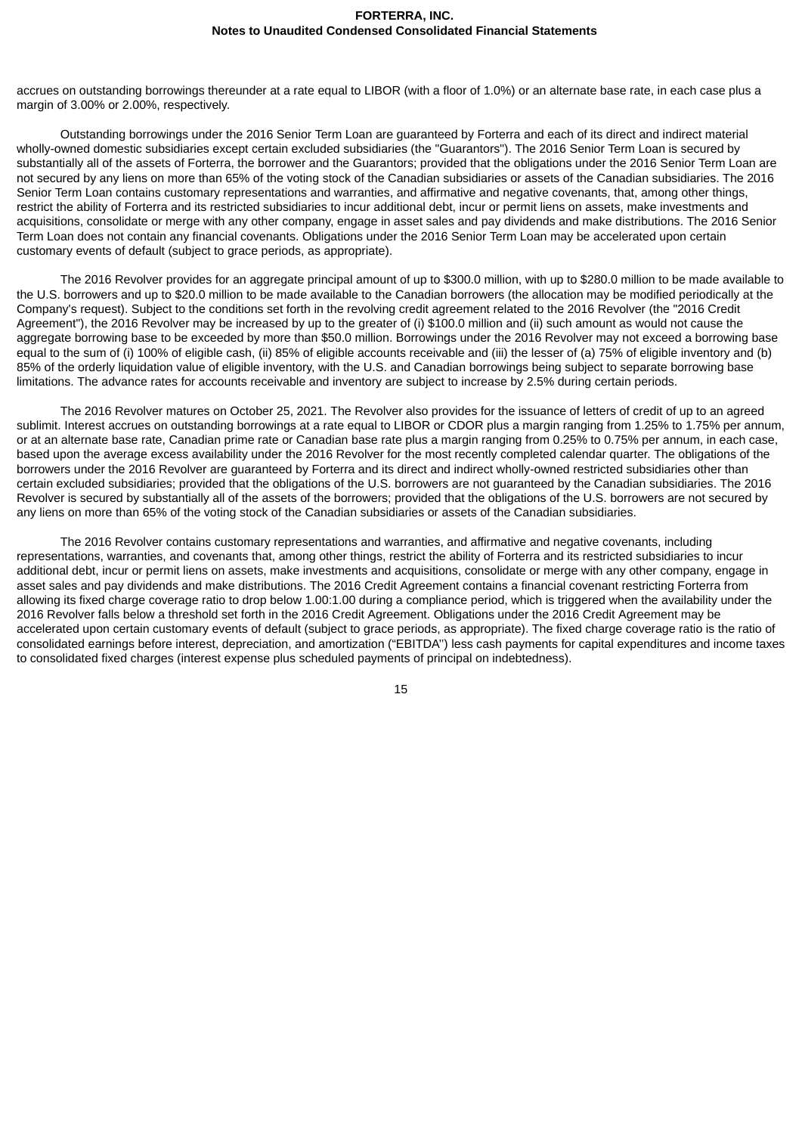accrues on outstanding borrowings thereunder at a rate equal to LIBOR (with a floor of 1.0%) or an alternate base rate, in each case plus a margin of 3.00% or 2.00%, respectively.

Outstanding borrowings under the 2016 Senior Term Loan are guaranteed by Forterra and each of its direct and indirect material wholly-owned domestic subsidiaries except certain excluded subsidiaries (the "Guarantors"). The 2016 Senior Term Loan is secured by substantially all of the assets of Forterra, the borrower and the Guarantors; provided that the obligations under the 2016 Senior Term Loan are not secured by any liens on more than 65% of the voting stock of the Canadian subsidiaries or assets of the Canadian subsidiaries. The 2016 Senior Term Loan contains customary representations and warranties, and affirmative and negative covenants, that, among other things, restrict the ability of Forterra and its restricted subsidiaries to incur additional debt, incur or permit liens on assets, make investments and acquisitions, consolidate or merge with any other company, engage in asset sales and pay dividends and make distributions. The 2016 Senior Term Loan does not contain any financial covenants. Obligations under the 2016 Senior Term Loan may be accelerated upon certain customary events of default (subject to grace periods, as appropriate).

The 2016 Revolver provides for an aggregate principal amount of up to \$300.0 million, with up to \$280.0 million to be made available to the U.S. borrowers and up to \$20.0 million to be made available to the Canadian borrowers (the allocation may be modified periodically at the Company's request). Subject to the conditions set forth in the revolving credit agreement related to the 2016 Revolver (the "2016 Credit Agreement"), the 2016 Revolver may be increased by up to the greater of (i) \$100.0 million and (ii) such amount as would not cause the aggregate borrowing base to be exceeded by more than \$50.0 million. Borrowings under the 2016 Revolver may not exceed a borrowing base equal to the sum of (i) 100% of eligible cash, (ii) 85% of eligible accounts receivable and (iii) the lesser of (a) 75% of eligible inventory and (b) 85% of the orderly liquidation value of eligible inventory, with the U.S. and Canadian borrowings being subject to separate borrowing base limitations. The advance rates for accounts receivable and inventory are subject to increase by 2.5% during certain periods.

The 2016 Revolver matures on October 25, 2021. The Revolver also provides for the issuance of letters of credit of up to an agreed sublimit. Interest accrues on outstanding borrowings at a rate equal to LIBOR or CDOR plus a margin ranging from 1.25% to 1.75% per annum. or at an alternate base rate, Canadian prime rate or Canadian base rate plus a margin ranging from 0.25% to 0.75% per annum, in each case, based upon the average excess availability under the 2016 Revolver for the most recently completed calendar quarter. The obligations of the borrowers under the 2016 Revolver are guaranteed by Forterra and its direct and indirect wholly-owned restricted subsidiaries other than certain excluded subsidiaries; provided that the obligations of the U.S. borrowers are not guaranteed by the Canadian subsidiaries. The 2016 Revolver is secured by substantially all of the assets of the borrowers; provided that the obligations of the U.S. borrowers are not secured by any liens on more than 65% of the voting stock of the Canadian subsidiaries or assets of the Canadian subsidiaries.

The 2016 Revolver contains customary representations and warranties, and affirmative and negative covenants, including representations, warranties, and covenants that, among other things, restrict the ability of Forterra and its restricted subsidiaries to incur additional debt, incur or permit liens on assets, make investments and acquisitions, consolidate or merge with any other company, engage in asset sales and pay dividends and make distributions. The 2016 Credit Agreement contains a financial covenant restricting Forterra from allowing its fixed charge coverage ratio to drop below 1.00:1.00 during a compliance period, which is triggered when the availability under the 2016 Revolver falls below a threshold set forth in the 2016 Credit Agreement. Obligations under the 2016 Credit Agreement may be accelerated upon certain customary events of default (subject to grace periods, as appropriate). The fixed charge coverage ratio is the ratio of consolidated earnings before interest, depreciation, and amortization ("EBITDA'') less cash payments for capital expenditures and income taxes to consolidated fixed charges (interest expense plus scheduled payments of principal on indebtedness).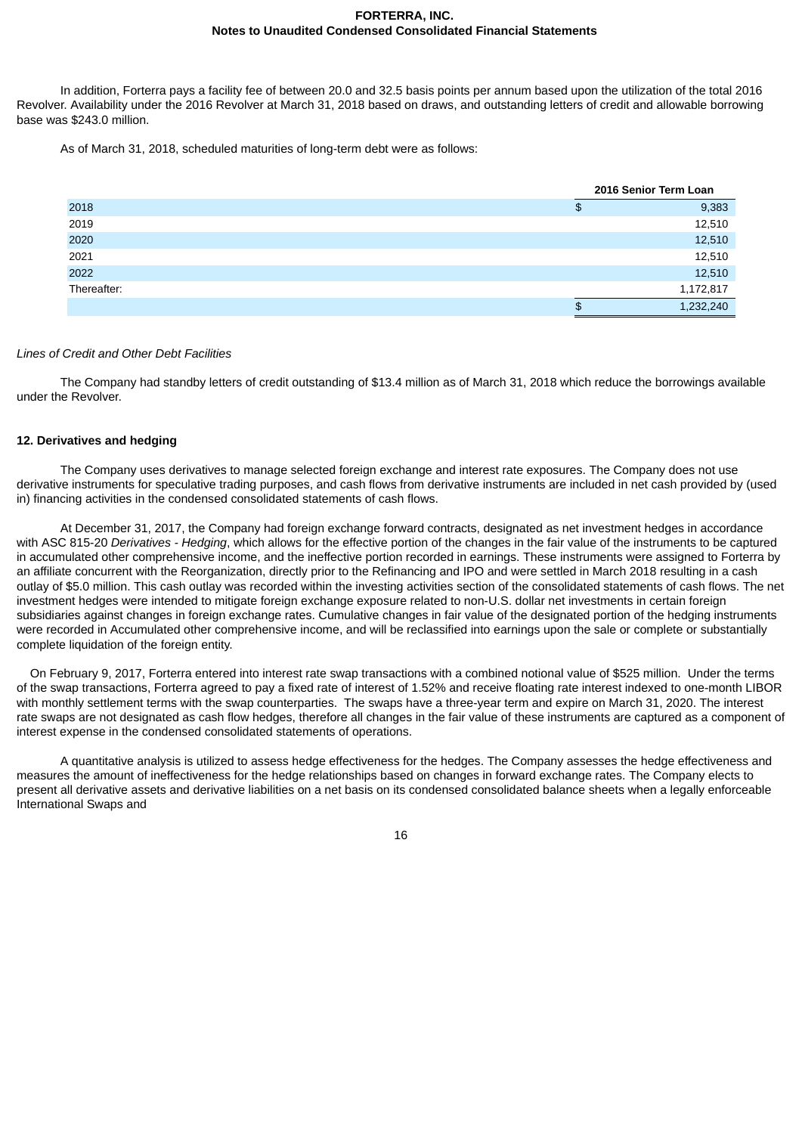In addition, Forterra pays a facility fee of between 20.0 and 32.5 basis points per annum based upon the utilization of the total 2016 Revolver. Availability under the 2016 Revolver at March 31, 2018 based on draws, and outstanding letters of credit and allowable borrowing base was \$243.0 million.

As of March 31, 2018, scheduled maturities of long-term debt were as follows:

|             |         | 2016 Senior Term Loan |
|-------------|---------|-----------------------|
| 2018        | \$      | 9,383                 |
| 2019        |         | 12,510                |
| 2020        |         | 12,510                |
| 2021        |         | 12,510                |
| 2022        |         | 12,510                |
| Thereafter: |         | 1,172,817             |
|             | Φ<br>۰D | 1,232,240             |

### *Lines of Credit and Other Debt Facilities*

The Company had standby letters of credit outstanding of \$13.4 million as of March 31, 2018 which reduce the borrowings available under the Revolver.

### **12. Derivatives and hedging**

The Company uses derivatives to manage selected foreign exchange and interest rate exposures. The Company does not use derivative instruments for speculative trading purposes, and cash flows from derivative instruments are included in net cash provided by (used in) financing activities in the condensed consolidated statements of cash flows.

At December 31, 2017, the Company had foreign exchange forward contracts, designated as net investment hedges in accordance with ASC 815-20 *Derivatives - Hedging*, which allows for the effective portion of the changes in the fair value of the instruments to be captured in accumulated other comprehensive income, and the ineffective portion recorded in earnings. These instruments were assigned to Forterra by an affiliate concurrent with the Reorganization, directly prior to the Refinancing and IPO and were settled in March 2018 resulting in a cash outlay of \$5.0 million. This cash outlay was recorded within the investing activities section of the consolidated statements of cash flows. The net investment hedges were intended to mitigate foreign exchange exposure related to non-U.S. dollar net investments in certain foreign subsidiaries against changes in foreign exchange rates. Cumulative changes in fair value of the designated portion of the hedging instruments were recorded in Accumulated other comprehensive income, and will be reclassified into earnings upon the sale or complete or substantially complete liquidation of the foreign entity.

On February 9, 2017, Forterra entered into interest rate swap transactions with a combined notional value of \$525 million. Under the terms of the swap transactions, Forterra agreed to pay a fixed rate of interest of 1.52% and receive floating rate interest indexed to one-month LIBOR with monthly settlement terms with the swap counterparties. The swaps have a three-year term and expire on March 31, 2020. The interest rate swaps are not designated as cash flow hedges, therefore all changes in the fair value of these instruments are captured as a component of interest expense in the condensed consolidated statements of operations.

A quantitative analysis is utilized to assess hedge effectiveness for the hedges. The Company assesses the hedge effectiveness and measures the amount of ineffectiveness for the hedge relationships based on changes in forward exchange rates. The Company elects to present all derivative assets and derivative liabilities on a net basis on its condensed consolidated balance sheets when a legally enforceable International Swaps and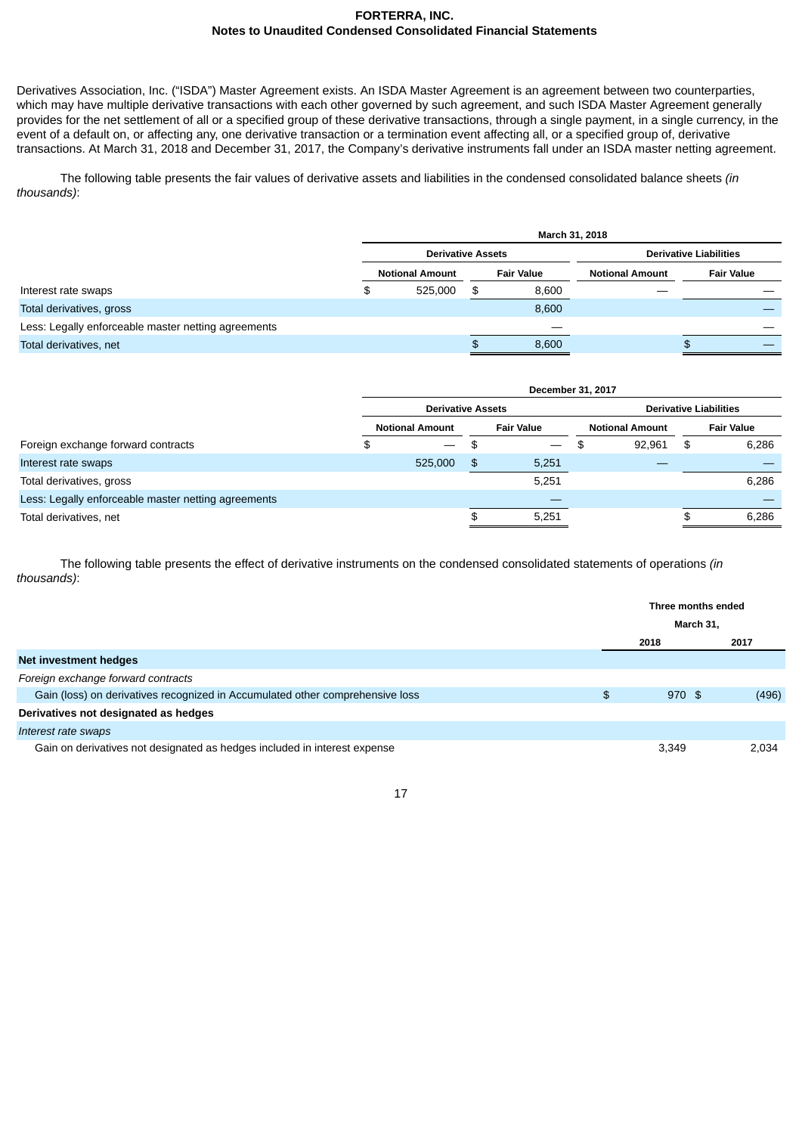Derivatives Association, Inc. ("ISDA") Master Agreement exists. An ISDA Master Agreement is an agreement between two counterparties, which may have multiple derivative transactions with each other governed by such agreement, and such ISDA Master Agreement generally provides for the net settlement of all or a specified group of these derivative transactions, through a single payment, in a single currency, in the event of a default on, or affecting any, one derivative transaction or a termination event affecting all, or a specified group of, derivative transactions. At March 31, 2018 and December 31, 2017, the Company's derivative instruments fall under an ISDA master netting agreement.

The following table presents the fair values of derivative assets and liabilities in the condensed consolidated balance sheets *(in thousands)*:

|                                                     | March 31, 2018           |     |                   |                               |                   |  |  |
|-----------------------------------------------------|--------------------------|-----|-------------------|-------------------------------|-------------------|--|--|
|                                                     | <b>Derivative Assets</b> |     |                   | <b>Derivative Liabilities</b> |                   |  |  |
|                                                     | <b>Notional Amount</b>   |     | <b>Fair Value</b> | <b>Notional Amount</b>        | <b>Fair Value</b> |  |  |
| Interest rate swaps                                 | \$<br>525.000            | \$. | 8,600             |                               |                   |  |  |
| Total derivatives, gross                            |                          |     | 8,600             |                               |                   |  |  |
| Less: Legally enforceable master netting agreements |                          |     |                   |                               |                   |  |  |
| Total derivatives, net                              |                          |     | 8,600             |                               |                   |  |  |

|                                                     | December 31, 2017        |    |                          |                               |                        |    |                   |
|-----------------------------------------------------|--------------------------|----|--------------------------|-------------------------------|------------------------|----|-------------------|
|                                                     | <b>Derivative Assets</b> |    |                          | <b>Derivative Liabilities</b> |                        |    |                   |
|                                                     | <b>Notional Amount</b>   |    | <b>Fair Value</b>        |                               | <b>Notional Amount</b> |    | <b>Fair Value</b> |
| Foreign exchange forward contracts                  | \$                       | \$ | $\overline{\phantom{a}}$ | Ф                             | 92,961                 | \$ | 6,286             |
| Interest rate swaps                                 | 525,000                  | \$ | 5,251                    |                               |                        |    |                   |
| Total derivatives, gross                            |                          |    | 5,251                    |                               |                        |    | 6,286             |
| Less: Legally enforceable master netting agreements |                          |    |                          |                               |                        |    |                   |
| Total derivatives, net                              |                          |    | 5,251                    |                               |                        |    | 6,286             |
|                                                     |                          |    |                          |                               |                        |    |                   |

The following table presents the effect of derivative instruments on the condensed consolidated statements of operations *(in thousands)*:

|                                                                               | Three months ended |          |  |       |
|-------------------------------------------------------------------------------|--------------------|----------|--|-------|
|                                                                               | March 31,          |          |  |       |
|                                                                               | 2018               |          |  | 2017  |
| Net investment hedges                                                         |                    |          |  |       |
| Foreign exchange forward contracts                                            |                    |          |  |       |
| Gain (loss) on derivatives recognized in Accumulated other comprehensive loss | \$                 | $970$ \$ |  | (496) |
| Derivatives not designated as hedges                                          |                    |          |  |       |
| Interest rate swaps                                                           |                    |          |  |       |
| Gain on derivatives not designated as hedges included in interest expense     |                    | 3,349    |  | 2.034 |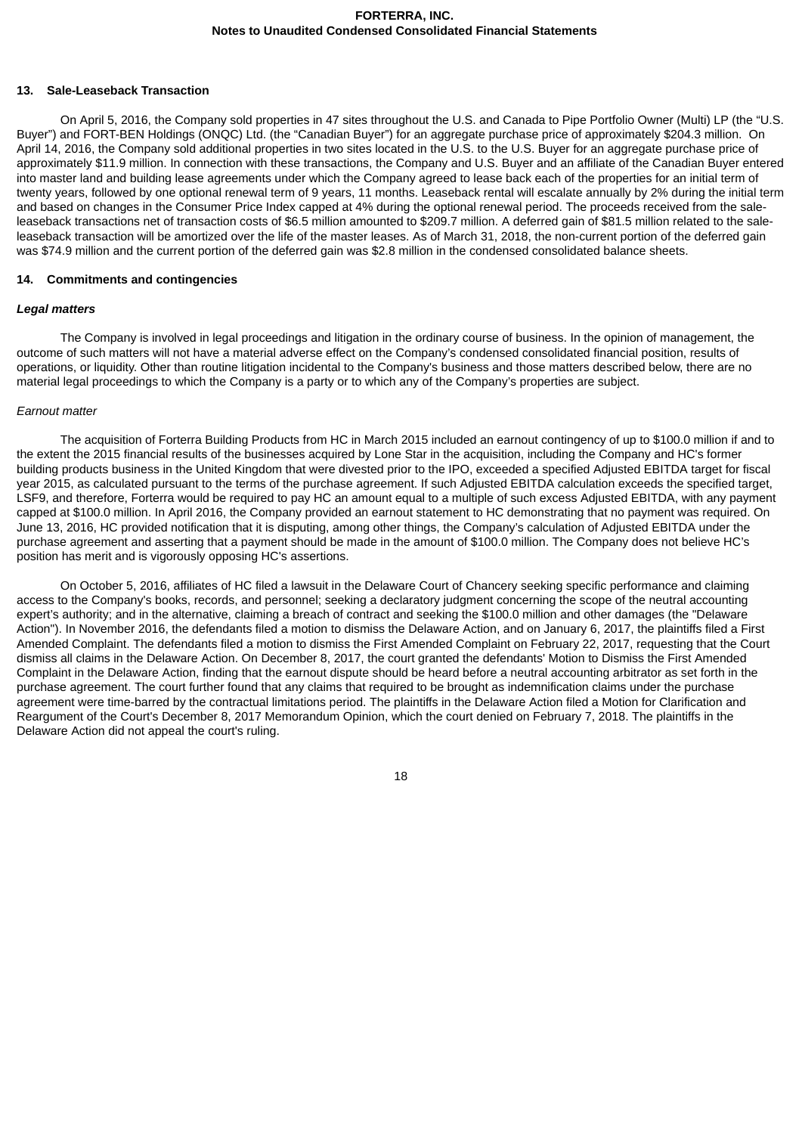#### **13. Sale-Leaseback Transaction**

On April 5, 2016, the Company sold properties in 47 sites throughout the U.S. and Canada to Pipe Portfolio Owner (Multi) LP (the "U.S. Buyer") and FORT-BEN Holdings (ONQC) Ltd. (the "Canadian Buyer") for an aggregate purchase price of approximately \$204.3 million. On April 14, 2016, the Company sold additional properties in two sites located in the U.S. to the U.S. Buyer for an aggregate purchase price of approximately \$11.9 million. In connection with these transactions, the Company and U.S. Buyer and an affiliate of the Canadian Buyer entered into master land and building lease agreements under which the Company agreed to lease back each of the properties for an initial term of twenty years, followed by one optional renewal term of 9 years, 11 months. Leaseback rental will escalate annually by 2% during the initial term and based on changes in the Consumer Price Index capped at 4% during the optional renewal period. The proceeds received from the saleleaseback transactions net of transaction costs of \$6.5 million amounted to \$209.7 million. A deferred gain of \$81.5 million related to the saleleaseback transaction will be amortized over the life of the master leases. As of March 31, 2018, the non-current portion of the deferred gain was \$74.9 million and the current portion of the deferred gain was \$2.8 million in the condensed consolidated balance sheets.

#### **14. Commitments and contingencies**

#### *Legal matters*

The Company is involved in legal proceedings and litigation in the ordinary course of business. In the opinion of management, the outcome of such matters will not have a material adverse effect on the Company's condensed consolidated financial position, results of operations, or liquidity. Other than routine litigation incidental to the Company's business and those matters described below, there are no material legal proceedings to which the Company is a party or to which any of the Company's properties are subject.

#### *Earnout matter*

The acquisition of Forterra Building Products from HC in March 2015 included an earnout contingency of up to \$100.0 million if and to the extent the 2015 financial results of the businesses acquired by Lone Star in the acquisition, including the Company and HC's former building products business in the United Kingdom that were divested prior to the IPO, exceeded a specified Adjusted EBITDA target for fiscal year 2015, as calculated pursuant to the terms of the purchase agreement. If such Adjusted EBITDA calculation exceeds the specified target, LSF9, and therefore, Forterra would be required to pay HC an amount equal to a multiple of such excess Adjusted EBITDA, with any payment capped at \$100.0 million. In April 2016, the Company provided an earnout statement to HC demonstrating that no payment was required. On June 13, 2016, HC provided notification that it is disputing, among other things, the Company's calculation of Adjusted EBITDA under the purchase agreement and asserting that a payment should be made in the amount of \$100.0 million. The Company does not believe HC's position has merit and is vigorously opposing HC's assertions.

On October 5, 2016, affiliates of HC filed a lawsuit in the Delaware Court of Chancery seeking specific performance and claiming access to the Company's books, records, and personnel; seeking a declaratory judgment concerning the scope of the neutral accounting expert's authority; and in the alternative, claiming a breach of contract and seeking the \$100.0 million and other damages (the "Delaware Action"). In November 2016, the defendants filed a motion to dismiss the Delaware Action, and on January 6, 2017, the plaintiffs filed a First Amended Complaint. The defendants filed a motion to dismiss the First Amended Complaint on February 22, 2017, requesting that the Court dismiss all claims in the Delaware Action. On December 8, 2017, the court granted the defendants' Motion to Dismiss the First Amended Complaint in the Delaware Action, finding that the earnout dispute should be heard before a neutral accounting arbitrator as set forth in the purchase agreement. The court further found that any claims that required to be brought as indemnification claims under the purchase agreement were time-barred by the contractual limitations period. The plaintiffs in the Delaware Action filed a Motion for Clarification and Reargument of the Court's December 8, 2017 Memorandum Opinion, which the court denied on February 7, 2018. The plaintiffs in the Delaware Action did not appeal the court's ruling.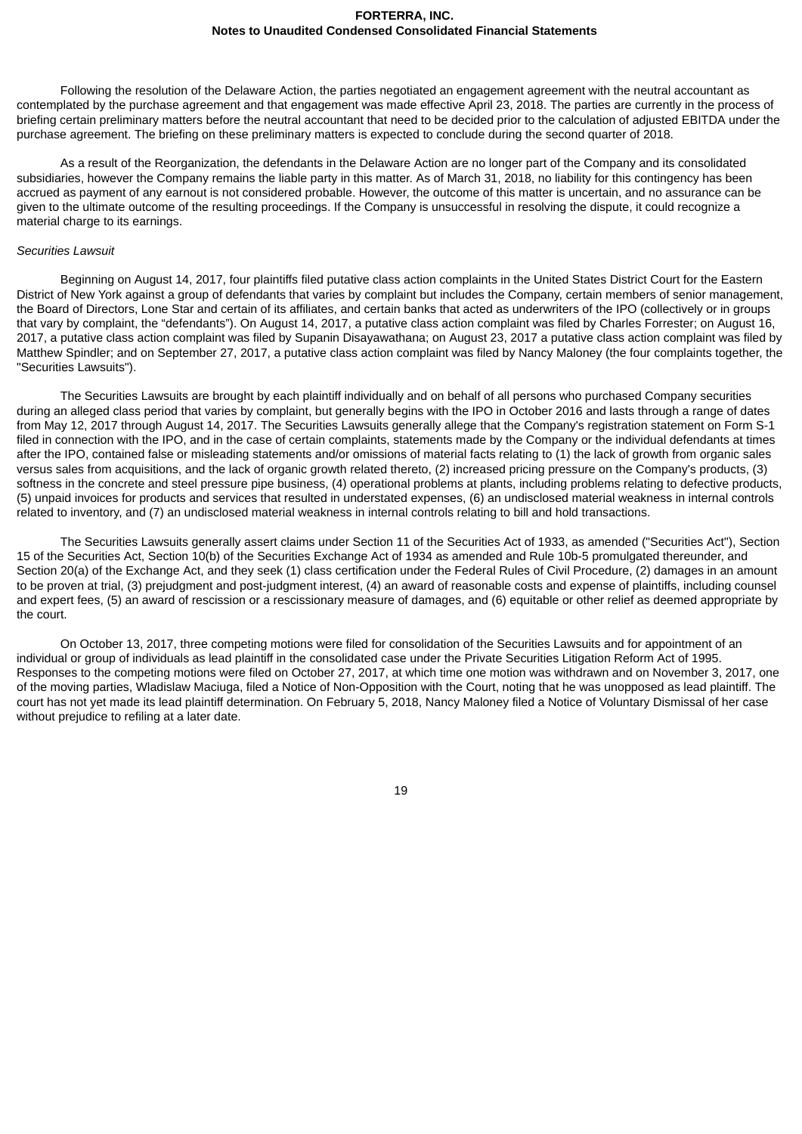Following the resolution of the Delaware Action, the parties negotiated an engagement agreement with the neutral accountant as contemplated by the purchase agreement and that engagement was made effective April 23, 2018. The parties are currently in the process of briefing certain preliminary matters before the neutral accountant that need to be decided prior to the calculation of adjusted EBITDA under the purchase agreement. The briefing on these preliminary matters is expected to conclude during the second quarter of 2018.

As a result of the Reorganization, the defendants in the Delaware Action are no longer part of the Company and its consolidated subsidiaries, however the Company remains the liable party in this matter. As of March 31, 2018, no liability for this contingency has been accrued as payment of any earnout is not considered probable. However, the outcome of this matter is uncertain, and no assurance can be given to the ultimate outcome of the resulting proceedings. If the Company is unsuccessful in resolving the dispute, it could recognize a material charge to its earnings.

#### *Securities Lawsuit*

Beginning on August 14, 2017, four plaintiffs filed putative class action complaints in the United States District Court for the Eastern District of New York against a group of defendants that varies by complaint but includes the Company, certain members of senior management, the Board of Directors, Lone Star and certain of its affiliates, and certain banks that acted as underwriters of the IPO (collectively or in groups that vary by complaint, the "defendants"). On August 14, 2017, a putative class action complaint was filed by Charles Forrester; on August 16, 2017, a putative class action complaint was filed by Supanin Disayawathana; on August 23, 2017 a putative class action complaint was filed by Matthew Spindler; and on September 27, 2017, a putative class action complaint was filed by Nancy Maloney (the four complaints together, the "Securities Lawsuits").

The Securities Lawsuits are brought by each plaintiff individually and on behalf of all persons who purchased Company securities during an alleged class period that varies by complaint, but generally begins with the IPO in October 2016 and lasts through a range of dates from May 12, 2017 through August 14, 2017. The Securities Lawsuits generally allege that the Company's registration statement on Form S-1 filed in connection with the IPO, and in the case of certain complaints, statements made by the Company or the individual defendants at times after the IPO, contained false or misleading statements and/or omissions of material facts relating to (1) the lack of growth from organic sales versus sales from acquisitions, and the lack of organic growth related thereto, (2) increased pricing pressure on the Company's products, (3) softness in the concrete and steel pressure pipe business, (4) operational problems at plants, including problems relating to defective products, (5) unpaid invoices for products and services that resulted in understated expenses, (6) an undisclosed material weakness in internal controls related to inventory, and (7) an undisclosed material weakness in internal controls relating to bill and hold transactions.

The Securities Lawsuits generally assert claims under Section 11 of the Securities Act of 1933, as amended ("Securities Act"), Section 15 of the Securities Act, Section 10(b) of the Securities Exchange Act of 1934 as amended and Rule 10b-5 promulgated thereunder, and Section 20(a) of the Exchange Act, and they seek (1) class certification under the Federal Rules of Civil Procedure, (2) damages in an amount to be proven at trial, (3) prejudgment and post-judgment interest, (4) an award of reasonable costs and expense of plaintiffs, including counsel and expert fees, (5) an award of rescission or a rescissionary measure of damages, and (6) equitable or other relief as deemed appropriate by the court.

On October 13, 2017, three competing motions were filed for consolidation of the Securities Lawsuits and for appointment of an individual or group of individuals as lead plaintiff in the consolidated case under the Private Securities Litigation Reform Act of 1995. Responses to the competing motions were filed on October 27, 2017, at which time one motion was withdrawn and on November 3, 2017, one of the moving parties, Wladislaw Maciuga, filed a Notice of Non-Opposition with the Court, noting that he was unopposed as lead plaintiff. The court has not yet made its lead plaintiff determination. On February 5, 2018, Nancy Maloney filed a Notice of Voluntary Dismissal of her case without prejudice to refiling at a later date.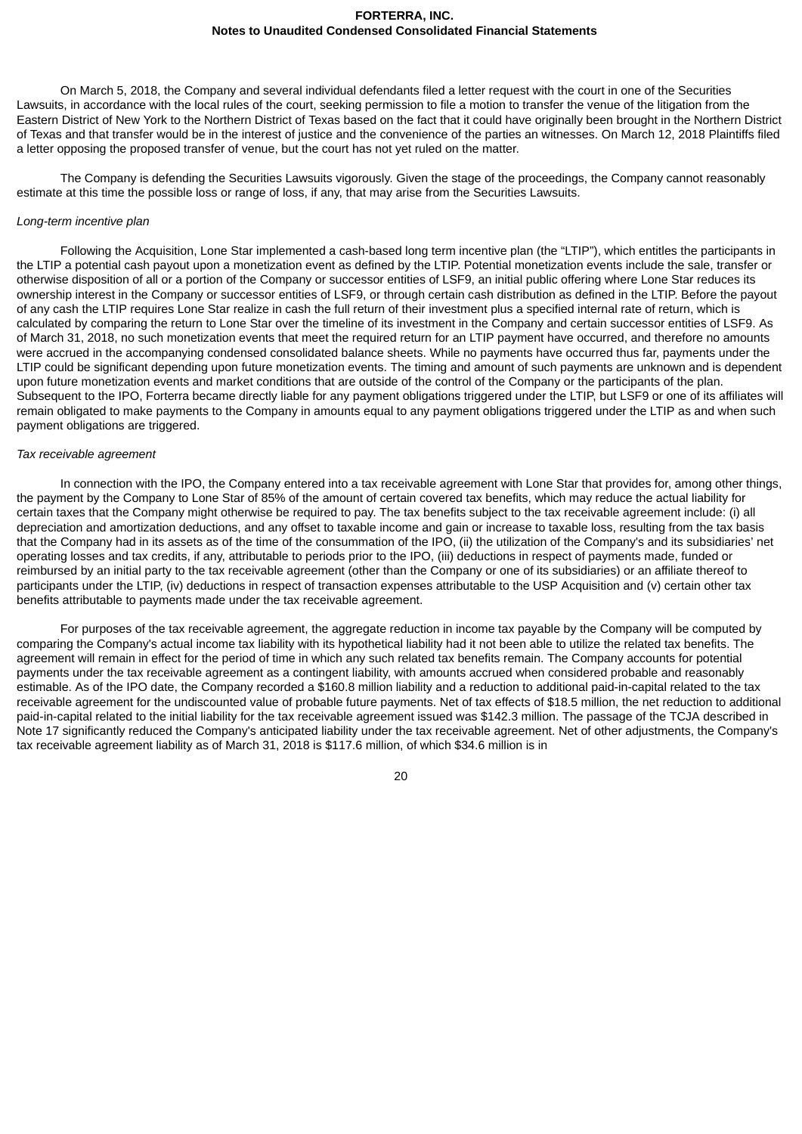On March 5, 2018, the Company and several individual defendants filed a letter request with the court in one of the Securities Lawsuits, in accordance with the local rules of the court, seeking permission to file a motion to transfer the venue of the litigation from the Eastern District of New York to the Northern District of Texas based on the fact that it could have originally been brought in the Northern District of Texas and that transfer would be in the interest of justice and the convenience of the parties an witnesses. On March 12, 2018 Plaintiffs filed a letter opposing the proposed transfer of venue, but the court has not yet ruled on the matter.

The Company is defending the Securities Lawsuits vigorously. Given the stage of the proceedings, the Company cannot reasonably estimate at this time the possible loss or range of loss, if any, that may arise from the Securities Lawsuits.

### *Long-term incentive plan*

Following the Acquisition, Lone Star implemented a cash-based long term incentive plan (the "LTIP"), which entitles the participants in the LTIP a potential cash payout upon a monetization event as defined by the LTIP. Potential monetization events include the sale, transfer or otherwise disposition of all or a portion of the Company or successor entities of LSF9, an initial public offering where Lone Star reduces its ownership interest in the Company or successor entities of LSF9, or through certain cash distribution as defined in the LTIP. Before the payout of any cash the LTIP requires Lone Star realize in cash the full return of their investment plus a specified internal rate of return, which is calculated by comparing the return to Lone Star over the timeline of its investment in the Company and certain successor entities of LSF9. As of March 31, 2018, no such monetization events that meet the required return for an LTIP payment have occurred, and therefore no amounts were accrued in the accompanying condensed consolidated balance sheets. While no payments have occurred thus far, payments under the LTIP could be significant depending upon future monetization events. The timing and amount of such payments are unknown and is dependent upon future monetization events and market conditions that are outside of the control of the Company or the participants of the plan. Subsequent to the IPO, Forterra became directly liable for any payment obligations triggered under the LTIP, but LSF9 or one of its affiliates will remain obligated to make payments to the Company in amounts equal to any payment obligations triggered under the LTIP as and when such payment obligations are triggered.

### *Tax receivable agreement*

In connection with the IPO, the Company entered into a tax receivable agreement with Lone Star that provides for, among other things, the payment by the Company to Lone Star of 85% of the amount of certain covered tax benefits, which may reduce the actual liability for certain taxes that the Company might otherwise be required to pay. The tax benefits subject to the tax receivable agreement include: (i) all depreciation and amortization deductions, and any offset to taxable income and gain or increase to taxable loss, resulting from the tax basis that the Company had in its assets as of the time of the consummation of the IPO, (ii) the utilization of the Company's and its subsidiaries' net operating losses and tax credits, if any, attributable to periods prior to the IPO, (iii) deductions in respect of payments made, funded or reimbursed by an initial party to the tax receivable agreement (other than the Company or one of its subsidiaries) or an affiliate thereof to participants under the LTIP, (iv) deductions in respect of transaction expenses attributable to the USP Acquisition and (v) certain other tax benefits attributable to payments made under the tax receivable agreement.

For purposes of the tax receivable agreement, the aggregate reduction in income tax payable by the Company will be computed by comparing the Company's actual income tax liability with its hypothetical liability had it not been able to utilize the related tax benefits. The agreement will remain in effect for the period of time in which any such related tax benefits remain. The Company accounts for potential payments under the tax receivable agreement as a contingent liability, with amounts accrued when considered probable and reasonably estimable. As of the IPO date, the Company recorded a \$160.8 million liability and a reduction to additional paid-in-capital related to the tax receivable agreement for the undiscounted value of probable future payments. Net of tax effects of \$18.5 million, the net reduction to additional paid-in-capital related to the initial liability for the tax receivable agreement issued was \$142.3 million. The passage of the TCJA described in Note 17 significantly reduced the Company's anticipated liability under the tax receivable agreement. Net of other adjustments, the Company's tax receivable agreement liability as of March 31, 2018 is \$117.6 million, of which \$34.6 million is in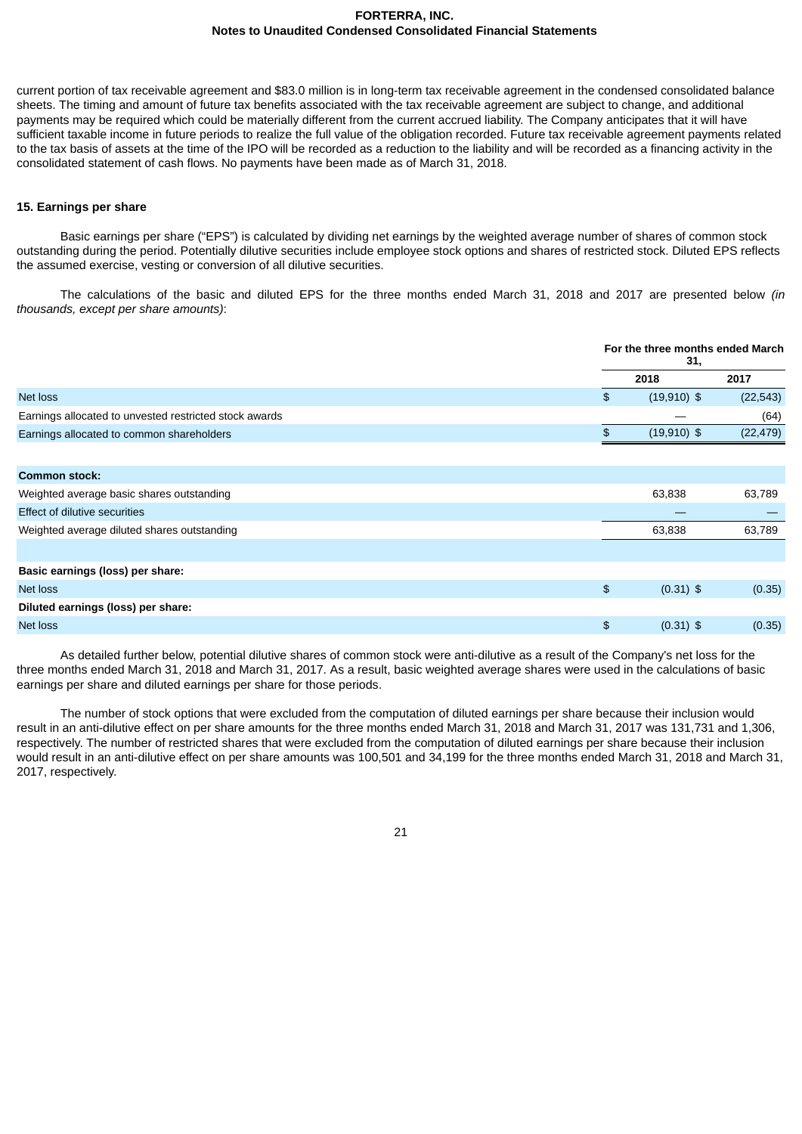current portion of tax receivable agreement and \$83.0 million is in long-term tax receivable agreement in the condensed consolidated balance sheets. The timing and amount of future tax benefits associated with the tax receivable agreement are subject to change, and additional payments may be required which could be materially different from the current accrued liability. The Company anticipates that it will have sufficient taxable income in future periods to realize the full value of the obligation recorded. Future tax receivable agreement payments related to the tax basis of assets at the time of the IPO will be recorded as a reduction to the liability and will be recorded as a financing activity in the consolidated statement of cash flows. No payments have been made as of March 31, 2018.

### **15. Earnings per share**

Basic earnings per share ("EPS") is calculated by dividing net earnings by the weighted average number of shares of common stock outstanding during the period. Potentially dilutive securities include employee stock options and shares of restricted stock. Diluted EPS reflects the assumed exercise, vesting or conversion of all dilutive securities.

The calculations of the basic and diluted EPS for the three months ended March 31, 2018 and 2017 are presented below *(in thousands, except per share amounts)*:

|                                                        | For the three months ended March<br>31, |               |           |
|--------------------------------------------------------|-----------------------------------------|---------------|-----------|
|                                                        |                                         | 2018          | 2017      |
| Net loss                                               | $\frac{2}{3}$                           | $(19,910)$ \$ | (22, 543) |
| Earnings allocated to unvested restricted stock awards |                                         |               | (64)      |
| Earnings allocated to common shareholders              | \$                                      | $(19,910)$ \$ | (22, 479) |
|                                                        |                                         |               |           |
| <b>Common stock:</b>                                   |                                         |               |           |
| Weighted average basic shares outstanding              |                                         | 63,838        | 63,789    |
| Effect of dilutive securities                          |                                         |               |           |
| Weighted average diluted shares outstanding            |                                         | 63,838        | 63,789    |
|                                                        |                                         |               |           |
| Basic earnings (loss) per share:                       |                                         |               |           |
| Net loss                                               | $\frac{2}{3}$                           | $(0.31)$ \$   | (0.35)    |
| Diluted earnings (loss) per share:                     |                                         |               |           |
| Net loss                                               | $\frac{2}{3}$                           | $(0.31)$ \$   | (0.35)    |

As detailed further below, potential dilutive shares of common stock were anti-dilutive as a result of the Company's net loss for the three months ended March 31, 2018 and March 31, 2017. As a result, basic weighted average shares were used in the calculations of basic earnings per share and diluted earnings per share for those periods.

The number of stock options that were excluded from the computation of diluted earnings per share because their inclusion would result in an anti-dilutive effect on per share amounts for the three months ended March 31, 2018 and March 31, 2017 was 131,731 and 1,306, respectively. The number of restricted shares that were excluded from the computation of diluted earnings per share because their inclusion would result in an anti-dilutive effect on per share amounts was 100,501 and 34,199 for the three months ended March 31, 2018 and March 31, 2017, respectively.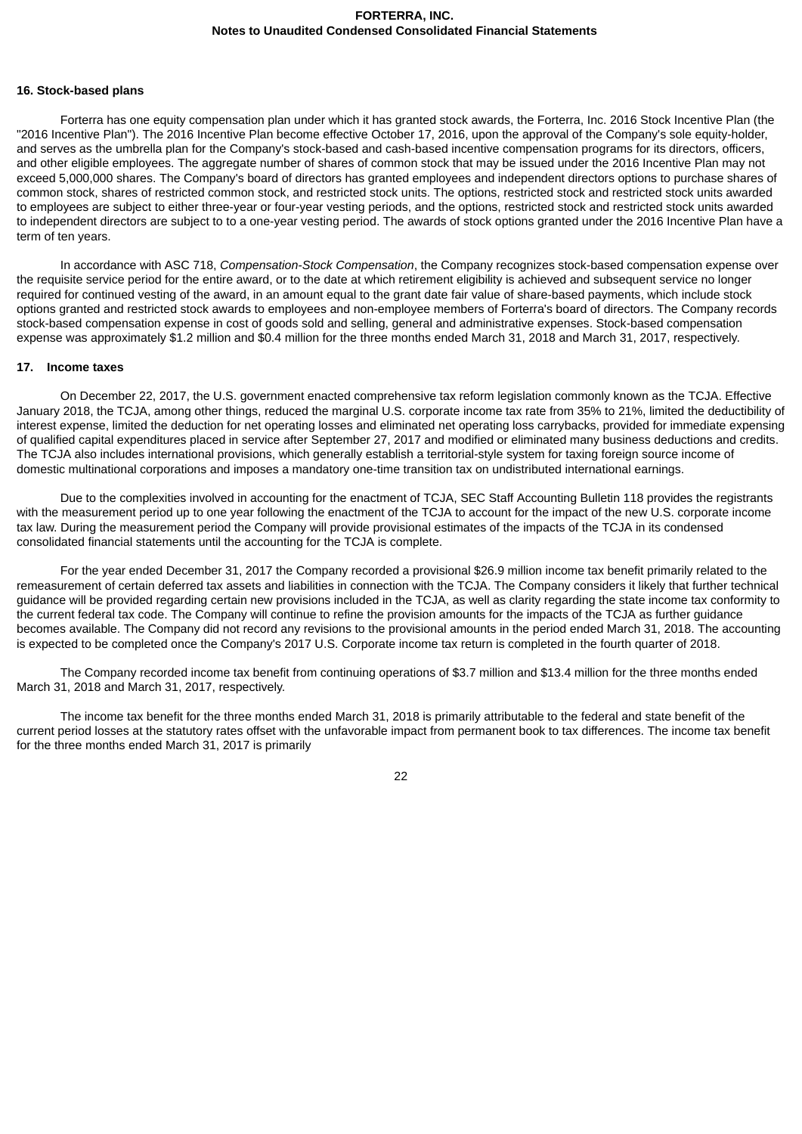### **16. Stock-based plans**

Forterra has one equity compensation plan under which it has granted stock awards, the Forterra, Inc. 2016 Stock Incentive Plan (the "2016 Incentive Plan"). The 2016 Incentive Plan become effective October 17, 2016, upon the approval of the Company's sole equity-holder, and serves as the umbrella plan for the Company's stock-based and cash-based incentive compensation programs for its directors, officers, and other eligible employees. The aggregate number of shares of common stock that may be issued under the 2016 Incentive Plan may not exceed 5,000,000 shares. The Company's board of directors has granted employees and independent directors options to purchase shares of common stock, shares of restricted common stock, and restricted stock units. The options, restricted stock and restricted stock units awarded to employees are subject to either three-year or four-year vesting periods, and the options, restricted stock and restricted stock units awarded to independent directors are subject to to a one-year vesting period. The awards of stock options granted under the 2016 Incentive Plan have a term of ten years.

In accordance with ASC 718, *Compensation-Stock Compensation*, the Company recognizes stock-based compensation expense over the requisite service period for the entire award, or to the date at which retirement eligibility is achieved and subsequent service no longer required for continued vesting of the award, in an amount equal to the grant date fair value of share-based payments, which include stock options granted and restricted stock awards to employees and non-employee members of Forterra's board of directors. The Company records stock-based compensation expense in cost of goods sold and selling, general and administrative expenses. Stock-based compensation expense was approximately \$1.2 million and \$0.4 million for the three months ended March 31, 2018 and March 31, 2017, respectively.

### **17. Income taxes**

On December 22, 2017, the U.S. government enacted comprehensive tax reform legislation commonly known as the TCJA. Effective January 2018, the TCJA, among other things, reduced the marginal U.S. corporate income tax rate from 35% to 21%, limited the deductibility of interest expense, limited the deduction for net operating losses and eliminated net operating loss carrybacks, provided for immediate expensing of qualified capital expenditures placed in service after September 27, 2017 and modified or eliminated many business deductions and credits. The TCJA also includes international provisions, which generally establish a territorial-style system for taxing foreign source income of domestic multinational corporations and imposes a mandatory one-time transition tax on undistributed international earnings.

Due to the complexities involved in accounting for the enactment of TCJA, SEC Staff Accounting Bulletin 118 provides the registrants with the measurement period up to one year following the enactment of the TCJA to account for the impact of the new U.S. corporate income tax law. During the measurement period the Company will provide provisional estimates of the impacts of the TCJA in its condensed consolidated financial statements until the accounting for the TCJA is complete.

For the year ended December 31, 2017 the Company recorded a provisional \$26.9 million income tax benefit primarily related to the remeasurement of certain deferred tax assets and liabilities in connection with the TCJA. The Company considers it likely that further technical guidance will be provided regarding certain new provisions included in the TCJA, as well as clarity regarding the state income tax conformity to the current federal tax code. The Company will continue to refine the provision amounts for the impacts of the TCJA as further guidance becomes available. The Company did not record any revisions to the provisional amounts in the period ended March 31, 2018. The accounting is expected to be completed once the Company's 2017 U.S. Corporate income tax return is completed in the fourth quarter of 2018.

The Company recorded income tax benefit from continuing operations of \$3.7 million and \$13.4 million for the three months ended March 31, 2018 and March 31, 2017, respectively.

The income tax benefit for the three months ended March 31, 2018 is primarily attributable to the federal and state benefit of the current period losses at the statutory rates offset with the unfavorable impact from permanent book to tax differences. The income tax benefit for the three months ended March 31, 2017 is primarily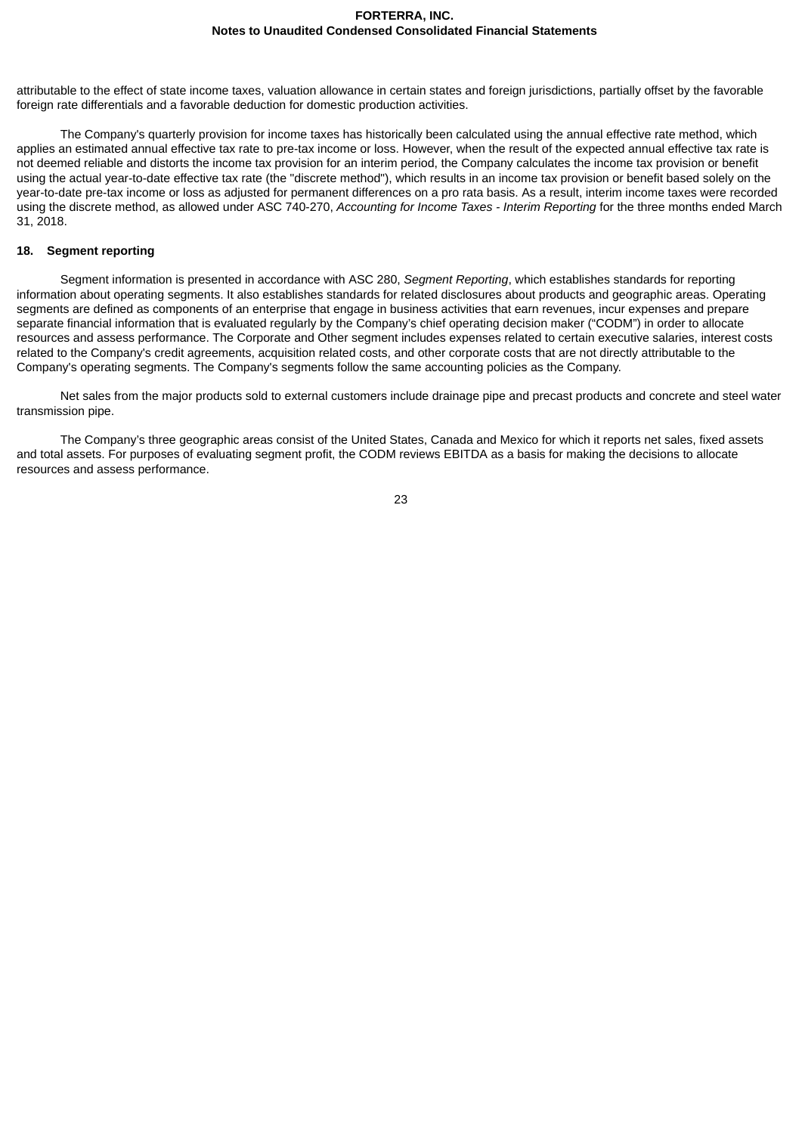attributable to the effect of state income taxes, valuation allowance in certain states and foreign jurisdictions, partially offset by the favorable foreign rate differentials and a favorable deduction for domestic production activities.

The Company's quarterly provision for income taxes has historically been calculated using the annual effective rate method, which applies an estimated annual effective tax rate to pre-tax income or loss. However, when the result of the expected annual effective tax rate is not deemed reliable and distorts the income tax provision for an interim period, the Company calculates the income tax provision or benefit using the actual year-to-date effective tax rate (the "discrete method"), which results in an income tax provision or benefit based solely on the year-to-date pre-tax income or loss as adjusted for permanent differences on a pro rata basis. As a result, interim income taxes were recorded using the discrete method, as allowed under ASC 740-270, *Accounting for Income Taxes - Interim Reporting* for the three months ended March 31, 2018.

### **18. Segment reporting**

Segment information is presented in accordance with ASC 280, *Segment Reporting*, which establishes standards for reporting information about operating segments. It also establishes standards for related disclosures about products and geographic areas. Operating segments are defined as components of an enterprise that engage in business activities that earn revenues, incur expenses and prepare separate financial information that is evaluated regularly by the Company's chief operating decision maker ("CODM") in order to allocate resources and assess performance. The Corporate and Other segment includes expenses related to certain executive salaries, interest costs related to the Company's credit agreements, acquisition related costs, and other corporate costs that are not directly attributable to the Company's operating segments. The Company's segments follow the same accounting policies as the Company.

Net sales from the major products sold to external customers include drainage pipe and precast products and concrete and steel water transmission pipe.

The Company's three geographic areas consist of the United States, Canada and Mexico for which it reports net sales, fixed assets and total assets. For purposes of evaluating segment profit, the CODM reviews EBITDA as a basis for making the decisions to allocate resources and assess performance.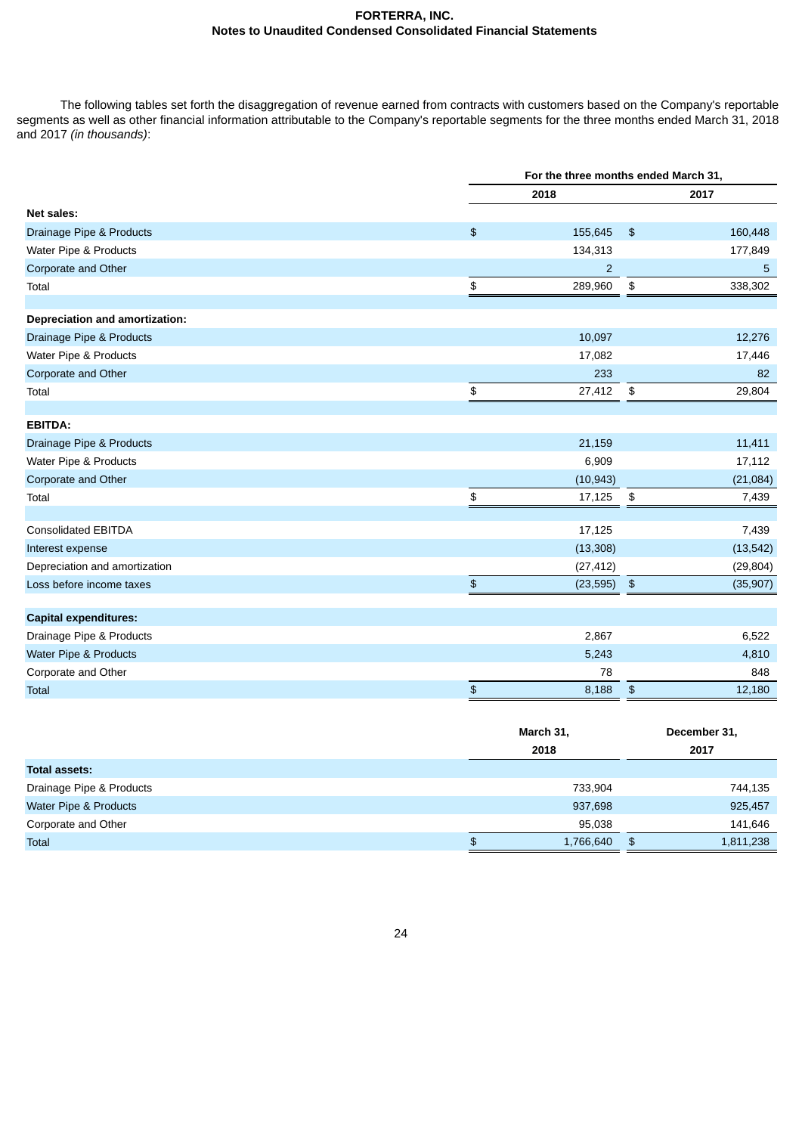The following tables set forth the disaggregation of revenue earned from contracts with customers based on the Company's reportable segments as well as other financial information attributable to the Company's reportable segments for the three months ended March 31, 2018 and 2017 *(in thousands)*:

|                                |            | For the three months ended March 31, |                            |           |  |  |
|--------------------------------|------------|--------------------------------------|----------------------------|-----------|--|--|
|                                |            | 2018                                 |                            | 2017      |  |  |
| Net sales:                     |            |                                      |                            |           |  |  |
| Drainage Pipe & Products       | $\,$       | 155,645                              | $\frac{1}{2}$              | 160,448   |  |  |
| Water Pipe & Products          |            | 134,313                              |                            | 177,849   |  |  |
| Corporate and Other            |            | $\overline{2}$                       |                            | 5         |  |  |
| Total                          | \$         | 289,960                              | $\boldsymbol{\mathsf{\$}}$ | 338,302   |  |  |
|                                |            |                                      |                            |           |  |  |
| Depreciation and amortization: |            |                                      |                            |           |  |  |
| Drainage Pipe & Products       |            | 10,097                               |                            | 12,276    |  |  |
| Water Pipe & Products          |            | 17,082                               |                            | 17,446    |  |  |
| Corporate and Other            |            | 233                                  |                            | 82        |  |  |
| Total                          | \$         | 27,412                               | \$                         | 29,804    |  |  |
| <b>EBITDA:</b>                 |            |                                      |                            |           |  |  |
| Drainage Pipe & Products       |            | 21,159                               |                            | 11,411    |  |  |
| Water Pipe & Products          |            | 6,909                                |                            | 17,112    |  |  |
| Corporate and Other            |            | (10, 943)                            |                            | (21,084)  |  |  |
| Total                          | \$         | 17,125                               | \$                         | 7,439     |  |  |
|                                |            |                                      |                            |           |  |  |
| <b>Consolidated EBITDA</b>     |            | 17,125                               |                            | 7,439     |  |  |
| Interest expense               |            | (13, 308)                            |                            | (13, 542) |  |  |
| Depreciation and amortization  |            | (27, 412)                            |                            | (29, 804) |  |  |
| Loss before income taxes       | \$         | (23, 595)                            | $\frac{4}{5}$              | (35, 907) |  |  |
| <b>Capital expenditures:</b>   |            |                                      |                            |           |  |  |
|                                |            |                                      |                            |           |  |  |
| Drainage Pipe & Products       |            | 2,867                                |                            | 6,522     |  |  |
| Water Pipe & Products          |            | 5,243                                |                            | 4,810     |  |  |
| Corporate and Other            |            | 78                                   |                            | 848       |  |  |
| <b>Total</b>                   | $\, \, \$$ | 8,188                                | \$                         | 12,180    |  |  |

|                          | March 31,       | December 31,    |
|--------------------------|-----------------|-----------------|
|                          | 2018            | 2017            |
| Total assets:            |                 |                 |
| Drainage Pipe & Products | 733,904         | 744,135         |
| Water Pipe & Products    | 937,698         | 925,457         |
| Corporate and Other      | 95,038          | 141,646         |
| Total                    | 1,766,640<br>\$ | 1,811,238<br>\$ |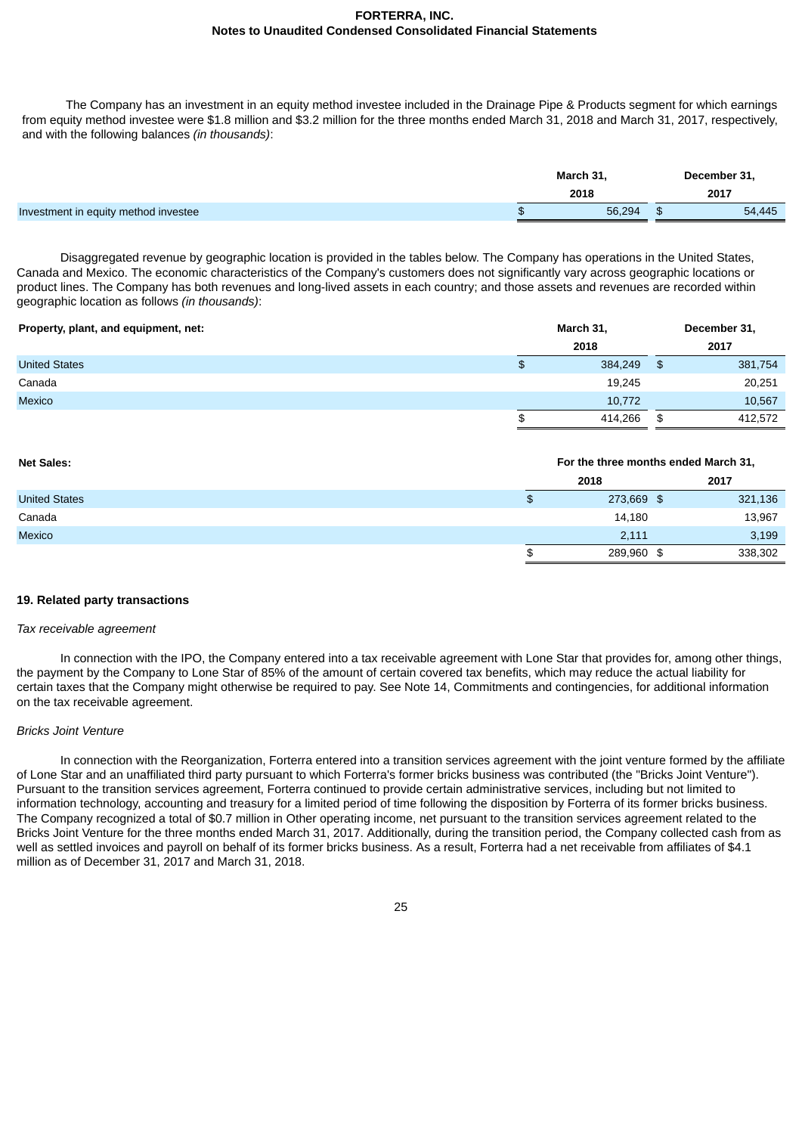The Company has an investment in an equity method investee included in the Drainage Pipe & Products segment for which earnings from equity method investee were \$1.8 million and \$3.2 million for the three months ended March 31, 2018 and March 31, 2017, respectively, and with the following balances *(in thousands)*:

|                                      | March 31, | December 31,<br>2017 |  |
|--------------------------------------|-----------|----------------------|--|
|                                      | 2018      |                      |  |
| Investment in equity method investee | 56,294    | 54,445               |  |

Disaggregated revenue by geographic location is provided in the tables below. The Company has operations in the United States, Canada and Mexico. The economic characteristics of the Company's customers does not significantly vary across geographic locations or product lines. The Company has both revenues and long-lived assets in each country; and those assets and revenues are recorded within geographic location as follows *(in thousands)*:

| Property, plant, and equipment, net: | March 31,     |      | December 31, |  |
|--------------------------------------|---------------|------|--------------|--|
|                                      | 2018          |      | 2017         |  |
| <b>United States</b>                 | \$<br>384,249 | - \$ | 381,754      |  |
| Canada                               | 19,245        |      | 20,251       |  |
| Mexico                               | 10,772        |      | 10,567       |  |
|                                      | \$<br>414,266 | \$   | 412,572      |  |

| <b>Net Sales:</b>    | For the three months ended March 31, |         |  |
|----------------------|--------------------------------------|---------|--|
|                      | 2018                                 | 2017    |  |
| <b>United States</b> | \$<br>273,669 \$                     | 321,136 |  |
| Canada               | 14,180                               | 13,967  |  |
| <b>Mexico</b>        | 2.111                                | 3,199   |  |
|                      | \$<br>289,960 \$                     | 338,302 |  |

### **19. Related party transactions**

### *Tax receivable agreement*

In connection with the IPO, the Company entered into a tax receivable agreement with Lone Star that provides for, among other things, the payment by the Company to Lone Star of 85% of the amount of certain covered tax benefits, which may reduce the actual liability for certain taxes that the Company might otherwise be required to pay. See Note 14, Commitments and contingencies, for additional information on the tax receivable agreement.

# *Bricks Joint Venture*

In connection with the Reorganization, Forterra entered into a transition services agreement with the joint venture formed by the affiliate of Lone Star and an unaffiliated third party pursuant to which Forterra's former bricks business was contributed (the "Bricks Joint Venture"). Pursuant to the transition services agreement, Forterra continued to provide certain administrative services, including but not limited to information technology, accounting and treasury for a limited period of time following the disposition by Forterra of its former bricks business. The Company recognized a total of \$0.7 million in Other operating income, net pursuant to the transition services agreement related to the Bricks Joint Venture for the three months ended March 31, 2017. Additionally, during the transition period, the Company collected cash from as well as settled invoices and payroll on behalf of its former bricks business. As a result, Forterra had a net receivable from affiliates of \$4.1 million as of December 31, 2017 and March 31, 2018.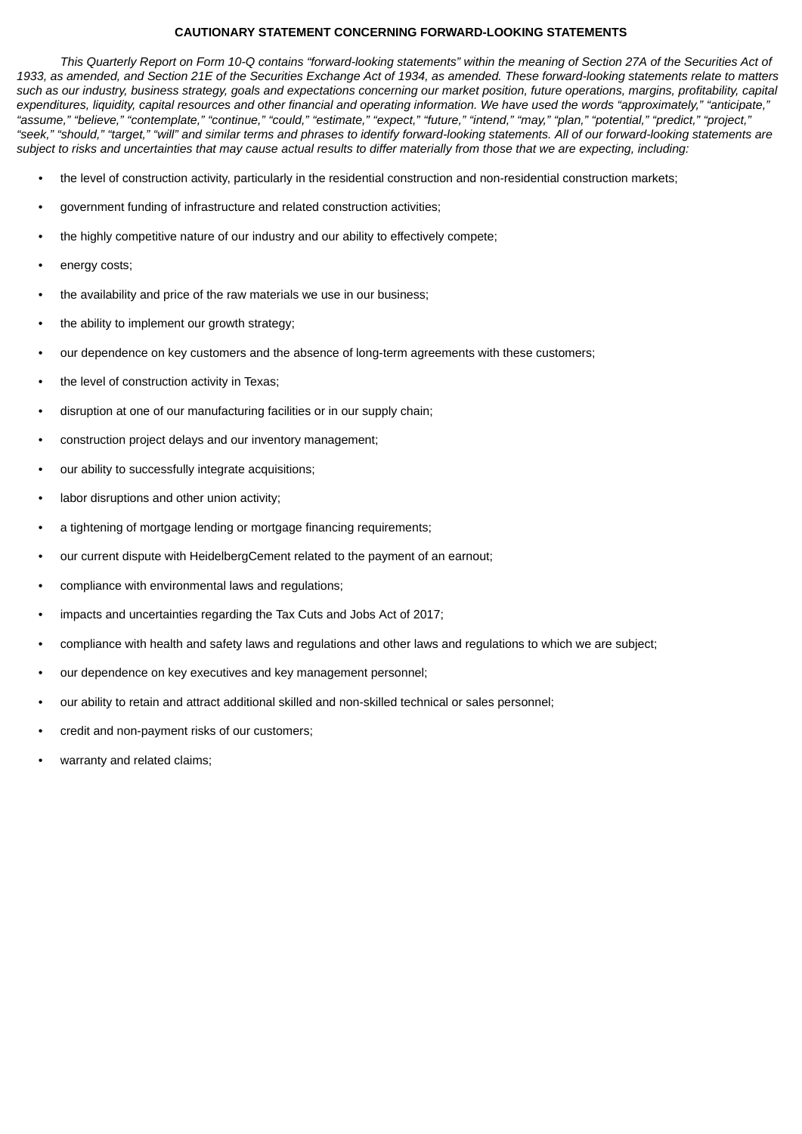# **CAUTIONARY STATEMENT CONCERNING FORWARD-LOOKING STATEMENTS**

This Quarterly Report on Form 10-Q contains "forward-looking statements" within the meaning of Section 27A of the Securities Act of 1933, as amended, and Section 21E of the Securities Exchange Act of 1934, as amended. These forward-looking statements relate to matters such as our industry, business strategy, goals and expectations concerning our market position, future operations, margins, profitability, capital expenditures, liquidity, capital resources and other financial and operating information. We have used the words "approximately," "anticipate," "assume," "believe," "contemplate," "continue," "could," "estimate," "expect," "future," "intend," "may," "plan," "potential," "predict," "project," "seek," "should," "target," "will" and similar terms and phrases to identify forward-looking statements. All of our forward-looking statements are subject to risks and uncertainties that may cause actual results to differ materially from those that we are expecting, including:

- *•* the level of construction activity, particularly in the residential construction and non-residential construction markets;
- government funding of infrastructure and related construction activities;
- the highly competitive nature of our industry and our ability to effectively compete;
- energy costs;
- the availability and price of the raw materials we use in our business;
- the ability to implement our growth strategy;
- our dependence on key customers and the absence of long-term agreements with these customers;
- the level of construction activity in Texas;
- disruption at one of our manufacturing facilities or in our supply chain;
- construction project delays and our inventory management;
- our ability to successfully integrate acquisitions;
- labor disruptions and other union activity;
- a tightening of mortgage lending or mortgage financing requirements:
- our current dispute with HeidelbergCement related to the payment of an earnout;
- compliance with environmental laws and regulations;
- impacts and uncertainties regarding the Tax Cuts and Jobs Act of 2017;
- compliance with health and safety laws and regulations and other laws and regulations to which we are subject;
- our dependence on key executives and key management personnel;
- our ability to retain and attract additional skilled and non-skilled technical or sales personnel;
- credit and non-payment risks of our customers;
- warranty and related claims;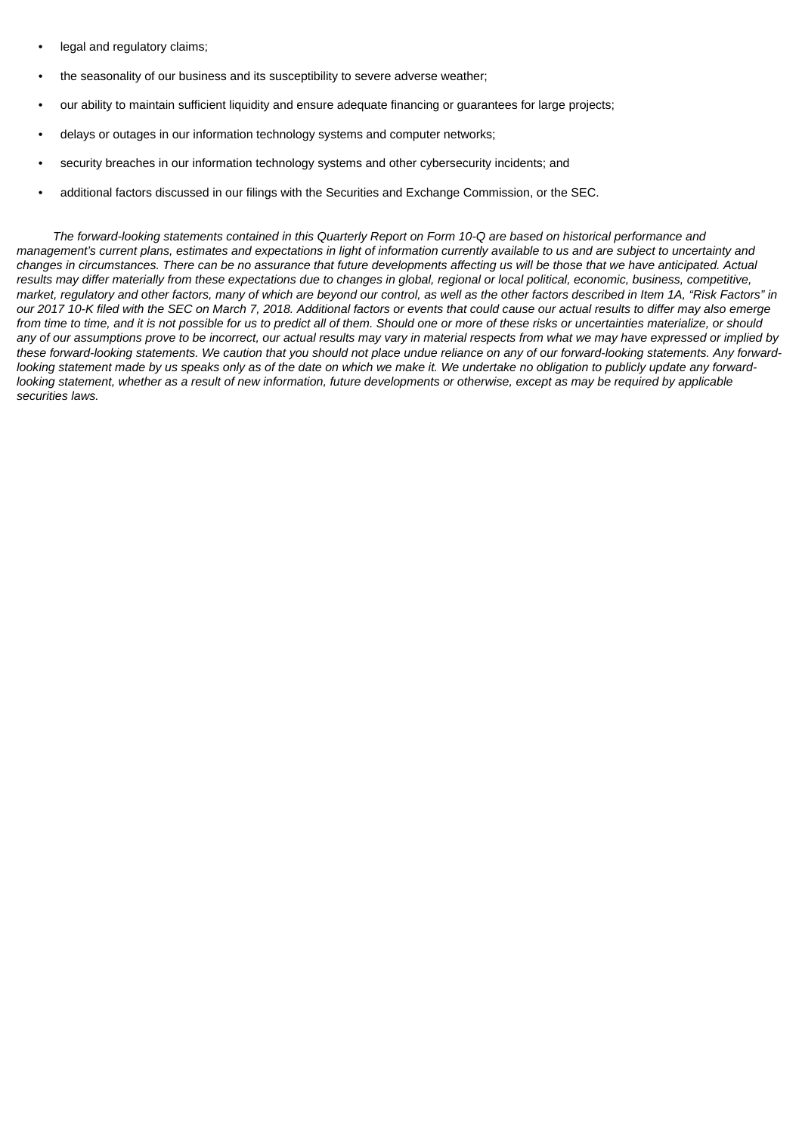- legal and regulatory claims;
- the seasonality of our business and its susceptibility to severe adverse weather;
- our ability to maintain sufficient liquidity and ensure adequate financing or guarantees for large projects;
- delays or outages in our information technology systems and computer networks;
- security breaches in our information technology systems and other cybersecurity incidents; and
- additional factors discussed in our filings with the Securities and Exchange Commission, or the SEC.

The forward-looking statements contained in this Quarterly Report on Form 10-Q are based on historical performance and management's current plans, estimates and expectations in light of information currently available to us and are subject to uncertainty and changes in circumstances. There can be no assurance that future developments affecting us will be those that we have anticipated. Actual results may differ materially from these expectations due to changes in global, regional or local political, economic, business, competitive, market, regulatory and other factors, many of which are beyond our control, as well as the other factors described in Item 1A, "Risk Factors" in our 2017 10-K filed with the SEC on March 7, 2018. Additional factors or events that could cause our actual results to differ may also emerge from time to time, and it is not possible for us to predict all of them. Should one or more of these risks or uncertainties materialize, or should any of our assumptions prove to be incorrect, our actual results may vary in material respects from what we may have expressed or implied by these forward-looking statements. We caution that you should not place undue reliance on any of our forward-looking statements. Any forwardlooking statement made by us speaks only as of the date on which we make it. We undertake no obligation to publicly update any forwardlooking statement, whether as a result of new information, future developments or otherwise, except as may be required by applicable *securities laws.*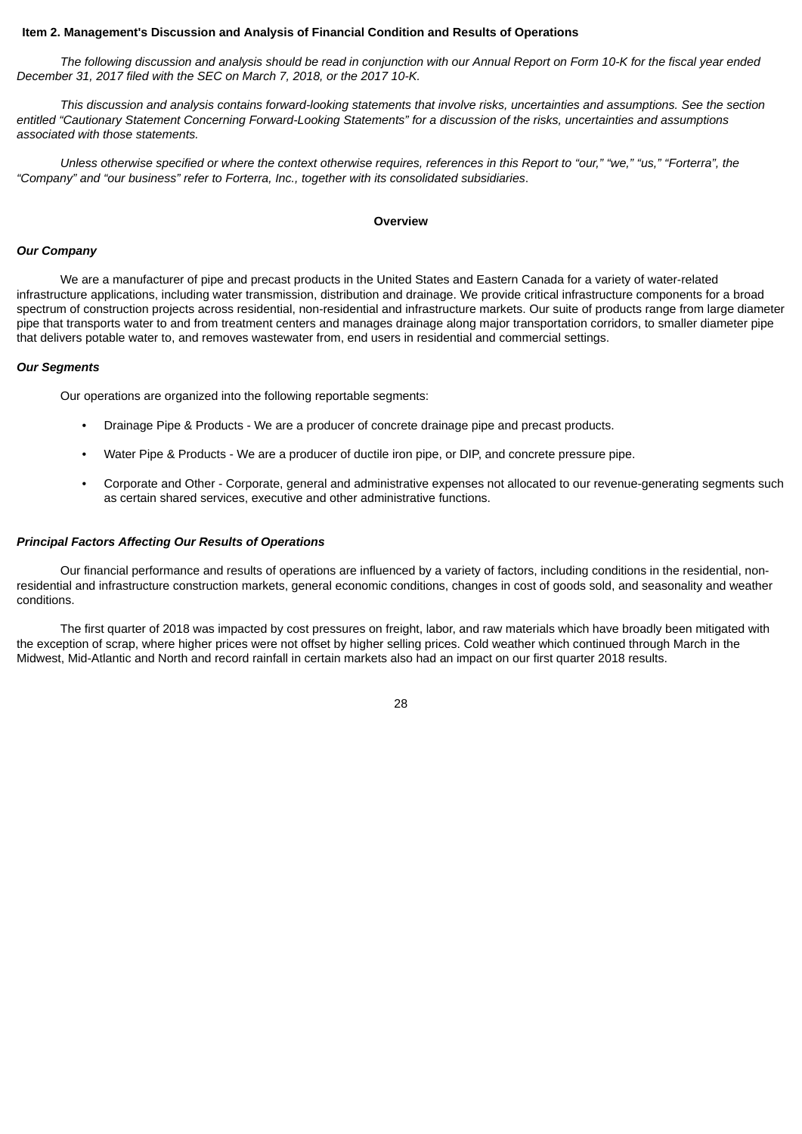### <span id="page-29-0"></span>**Item 2. Management's Discussion and Analysis of Financial Condition and Results of Operations**

The following discussion and analysis should be read in conjunction with our Annual Report on Form 10-K for the fiscal year ended *December 31, 2017 filed with the SEC on March 7, 2018, or the 2017 10-K.*

This discussion and analysis contains forward-looking statements that involve risks, uncertainties and assumptions. See the section entitled "Cautionary Statement Concerning Forward-Looking Statements" for a discussion of the risks, uncertainties and assumptions *associated with those statements.*

Unless otherwise specified or where the context otherwise requires, references in this Report to "our," "we," "us," "Forterra", the *"Company" and "our business" refer to Forterra, Inc., together with its consolidated subsidiaries*.

#### **Overview**

### *Our Company*

We are a manufacturer of pipe and precast products in the United States and Eastern Canada for a variety of water-related infrastructure applications, including water transmission, distribution and drainage. We provide critical infrastructure components for a broad spectrum of construction projects across residential, non-residential and infrastructure markets. Our suite of products range from large diameter pipe that transports water to and from treatment centers and manages drainage along major transportation corridors, to smaller diameter pipe that delivers potable water to, and removes wastewater from, end users in residential and commercial settings.

### *Our Segments*

Our operations are organized into the following reportable segments:

- Drainage Pipe & Products We are a producer of concrete drainage pipe and precast products.
- Water Pipe & Products We are a producer of ductile iron pipe, or DIP, and concrete pressure pipe.
- Corporate and Other Corporate, general and administrative expenses not allocated to our revenue-generating segments such as certain shared services, executive and other administrative functions.

### *Principal Factors Affecting Our Results of Operations*

Our financial performance and results of operations are influenced by a variety of factors, including conditions in the residential, nonresidential and infrastructure construction markets, general economic conditions, changes in cost of goods sold, and seasonality and weather conditions.

The first quarter of 2018 was impacted by cost pressures on freight, labor, and raw materials which have broadly been mitigated with the exception of scrap, where higher prices were not offset by higher selling prices. Cold weather which continued through March in the Midwest, Mid-Atlantic and North and record rainfall in certain markets also had an impact on our first quarter 2018 results.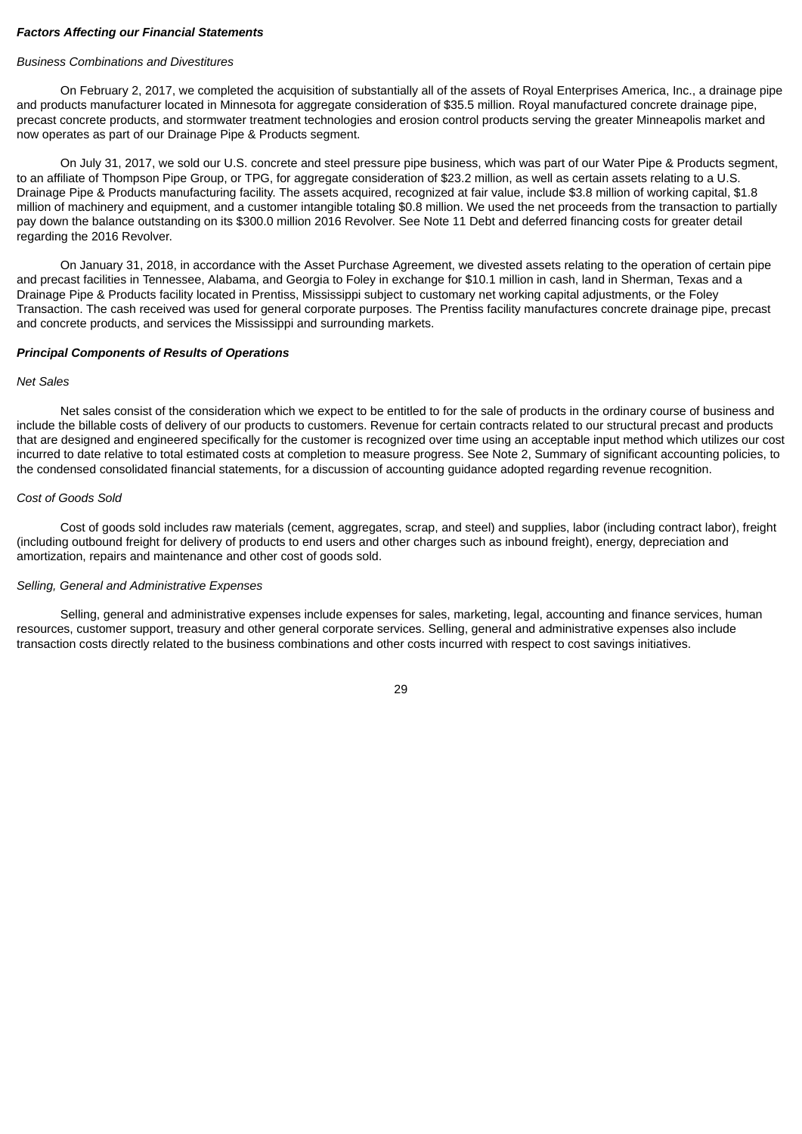### *Factors Affecting our Financial Statements*

# *Business Combinations and Divestitures*

On February 2, 2017, we completed the acquisition of substantially all of the assets of Royal Enterprises America, Inc., a drainage pipe and products manufacturer located in Minnesota for aggregate consideration of \$35.5 million. Royal manufactured concrete drainage pipe, precast concrete products, and stormwater treatment technologies and erosion control products serving the greater Minneapolis market and now operates as part of our Drainage Pipe & Products segment.

On July 31, 2017, we sold our U.S. concrete and steel pressure pipe business, which was part of our Water Pipe & Products segment, to an affiliate of Thompson Pipe Group, or TPG, for aggregate consideration of \$23.2 million, as well as certain assets relating to a U.S. Drainage Pipe & Products manufacturing facility. The assets acquired, recognized at fair value, include \$3.8 million of working capital, \$1.8 million of machinery and equipment, and a customer intangible totaling \$0.8 million. We used the net proceeds from the transaction to partially pay down the balance outstanding on its \$300.0 million 2016 Revolver. See Note 11 Debt and deferred financing costs for greater detail regarding the 2016 Revolver.

On January 31, 2018, in accordance with the Asset Purchase Agreement, we divested assets relating to the operation of certain pipe and precast facilities in Tennessee, Alabama, and Georgia to Foley in exchange for \$10.1 million in cash, land in Sherman, Texas and a Drainage Pipe & Products facility located in Prentiss, Mississippi subject to customary net working capital adjustments, or the Foley Transaction. The cash received was used for general corporate purposes. The Prentiss facility manufactures concrete drainage pipe, precast and concrete products, and services the Mississippi and surrounding markets.

# *Principal Components of Results of Operations*

# *Net Sales*

Net sales consist of the consideration which we expect to be entitled to for the sale of products in the ordinary course of business and include the billable costs of delivery of our products to customers. Revenue for certain contracts related to our structural precast and products that are designed and engineered specifically for the customer is recognized over time using an acceptable input method which utilizes our cost incurred to date relative to total estimated costs at completion to measure progress. See Note 2, Summary of significant accounting policies, to the condensed consolidated financial statements, for a discussion of accounting guidance adopted regarding revenue recognition.

# *Cost of Goods Sold*

Cost of goods sold includes raw materials (cement, aggregates, scrap, and steel) and supplies, labor (including contract labor), freight (including outbound freight for delivery of products to end users and other charges such as inbound freight), energy, depreciation and amortization, repairs and maintenance and other cost of goods sold.

### *Selling, General and Administrative Expenses*

Selling, general and administrative expenses include expenses for sales, marketing, legal, accounting and finance services, human resources, customer support, treasury and other general corporate services. Selling, general and administrative expenses also include transaction costs directly related to the business combinations and other costs incurred with respect to cost savings initiatives.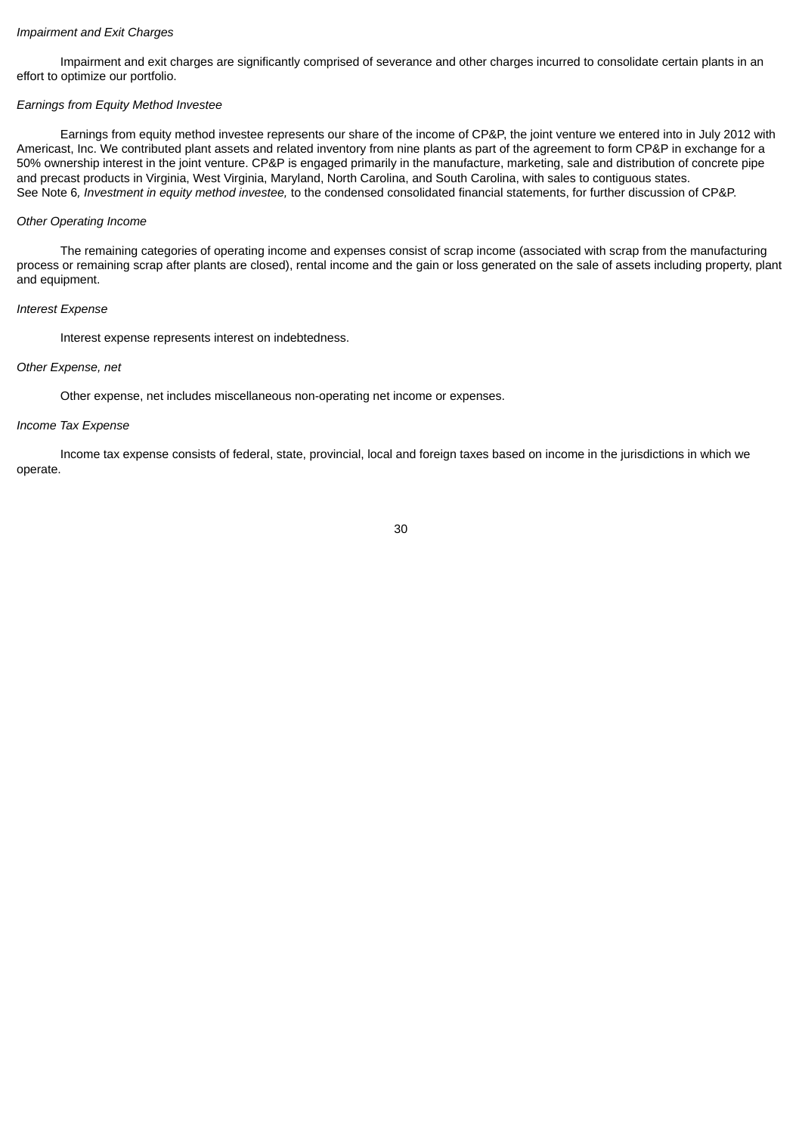### *Impairment and Exit Charges*

Impairment and exit charges are significantly comprised of severance and other charges incurred to consolidate certain plants in an effort to optimize our portfolio.

### *Earnings from Equity Method Investee*

Earnings from equity method investee represents our share of the income of CP&P, the joint venture we entered into in July 2012 with Americast, Inc. We contributed plant assets and related inventory from nine plants as part of the agreement to form CP&P in exchange for a 50% ownership interest in the joint venture. CP&P is engaged primarily in the manufacture, marketing, sale and distribution of concrete pipe and precast products in Virginia, West Virginia, Maryland, North Carolina, and South Carolina, with sales to contiguous states. See Note 6*, Investment in equity method investee,* to the condensed consolidated financial statements, for further discussion of CP&P.

### *Other Operating Income*

The remaining categories of operating income and expenses consist of scrap income (associated with scrap from the manufacturing process or remaining scrap after plants are closed), rental income and the gain or loss generated on the sale of assets including property, plant and equipment.

### *Interest Expense*

Interest expense represents interest on indebtedness.

### *Other Expense, net*

Other expense, net includes miscellaneous non-operating net income or expenses.

### *Income Tax Expense*

Income tax expense consists of federal, state, provincial, local and foreign taxes based on income in the jurisdictions in which we operate.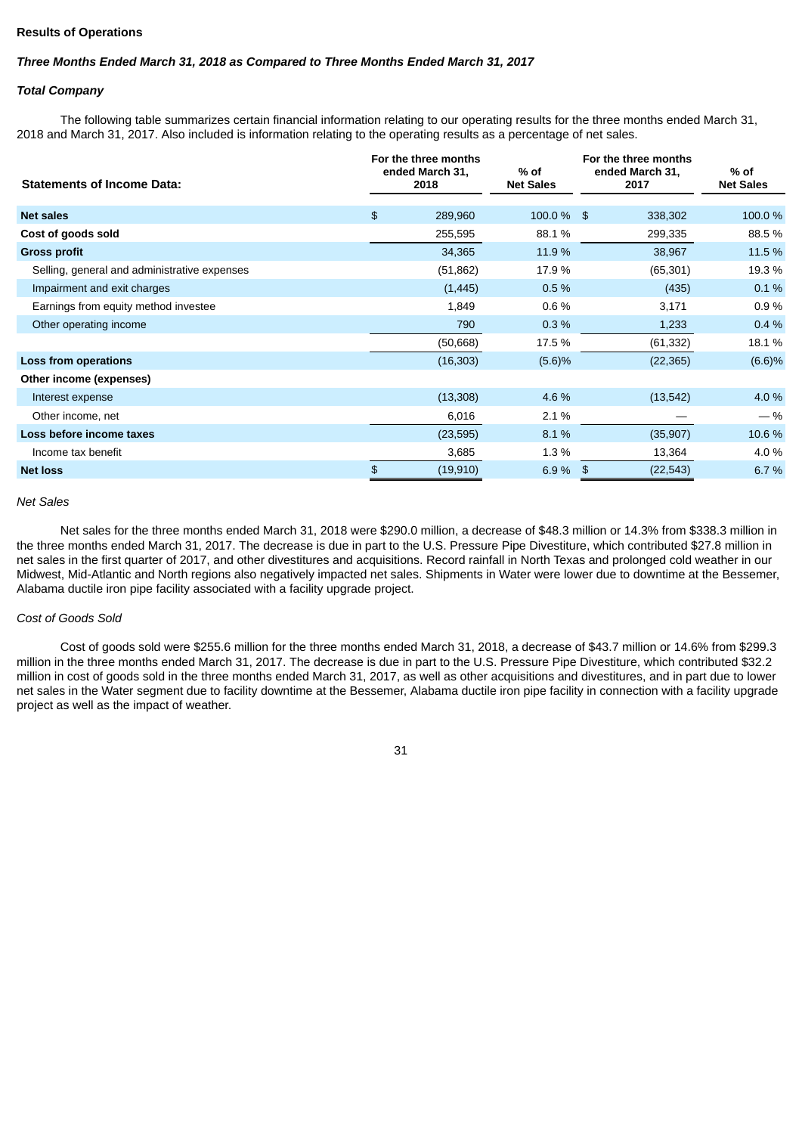# **Results of Operations**

# *Three Months Ended March 31, 2018 as Compared to Three Months Ended March 31, 2017*

### *Total Company*

The following table summarizes certain financial information relating to our operating results for the three months ended March 31, 2018 and March 31, 2017. Also included is information relating to the operating results as a percentage of net sales.

| <b>Statements of Income Data:</b>            | For the three months<br>ended March 31,<br>2018 | % of<br><b>Net Sales</b> | For the three months<br>ended March 31,<br>2017 | % of<br><b>Net Sales</b> |
|----------------------------------------------|-------------------------------------------------|--------------------------|-------------------------------------------------|--------------------------|
| <b>Net sales</b>                             | \$<br>289,960                                   | $100.0\%$ \$             | 338,302                                         | 100.0 %                  |
| Cost of goods sold                           | 255,595                                         | 88.1%                    | 299,335                                         | 88.5%                    |
| <b>Gross profit</b>                          | 34,365                                          | 11.9 %                   | 38,967                                          | 11.5 %                   |
| Selling, general and administrative expenses | (51, 862)                                       | 17.9 %                   | (65, 301)                                       | 19.3 %                   |
| Impairment and exit charges                  | (1, 445)                                        | 0.5%                     | (435)                                           | 0.1%                     |
| Earnings from equity method investee         | 1,849                                           | 0.6%                     | 3,171                                           | 0.9%                     |
| Other operating income                       | 790                                             | 0.3%                     | 1,233                                           | 0.4%                     |
|                                              | (50, 668)                                       | 17.5 %                   | (61, 332)                                       | 18.1%                    |
| Loss from operations                         | (16, 303)                                       | (5.6)%                   | (22, 365)                                       | (6.6)%                   |
| Other income (expenses)                      |                                                 |                          |                                                 |                          |
| Interest expense                             | (13, 308)                                       | 4.6 %                    | (13, 542)                                       | 4.0 %                    |
| Other income, net                            | 6,016                                           | 2.1 %                    |                                                 | $-$ %                    |
| Loss before income taxes                     | (23, 595)                                       | 8.1%                     | (35,907)                                        | 10.6 %                   |
| Income tax benefit                           | 3,685                                           | 1.3%                     | 13,364                                          | 4.0 %                    |
| <b>Net loss</b>                              | \$<br>(19, 910)                                 | 6.9%                     | (22, 543)<br>\$                                 | 6.7 %                    |

#### *Net Sales*

Net sales for the three months ended March 31, 2018 were \$290.0 million, a decrease of \$48.3 million or 14.3% from \$338.3 million in the three months ended March 31, 2017. The decrease is due in part to the U.S. Pressure Pipe Divestiture, which contributed \$27.8 million in net sales in the first quarter of 2017, and other divestitures and acquisitions. Record rainfall in North Texas and prolonged cold weather in our Midwest, Mid-Atlantic and North regions also negatively impacted net sales. Shipments in Water were lower due to downtime at the Bessemer, Alabama ductile iron pipe facility associated with a facility upgrade project.

### *Cost of Goods Sold*

Cost of goods sold were \$255.6 million for the three months ended March 31, 2018, a decrease of \$43.7 million or 14.6% from \$299.3 million in the three months ended March 31, 2017. The decrease is due in part to the U.S. Pressure Pipe Divestiture, which contributed \$32.2 million in cost of goods sold in the three months ended March 31, 2017, as well as other acquisitions and divestitures, and in part due to lower net sales in the Water segment due to facility downtime at the Bessemer, Alabama ductile iron pipe facility in connection with a facility upgrade project as well as the impact of weather.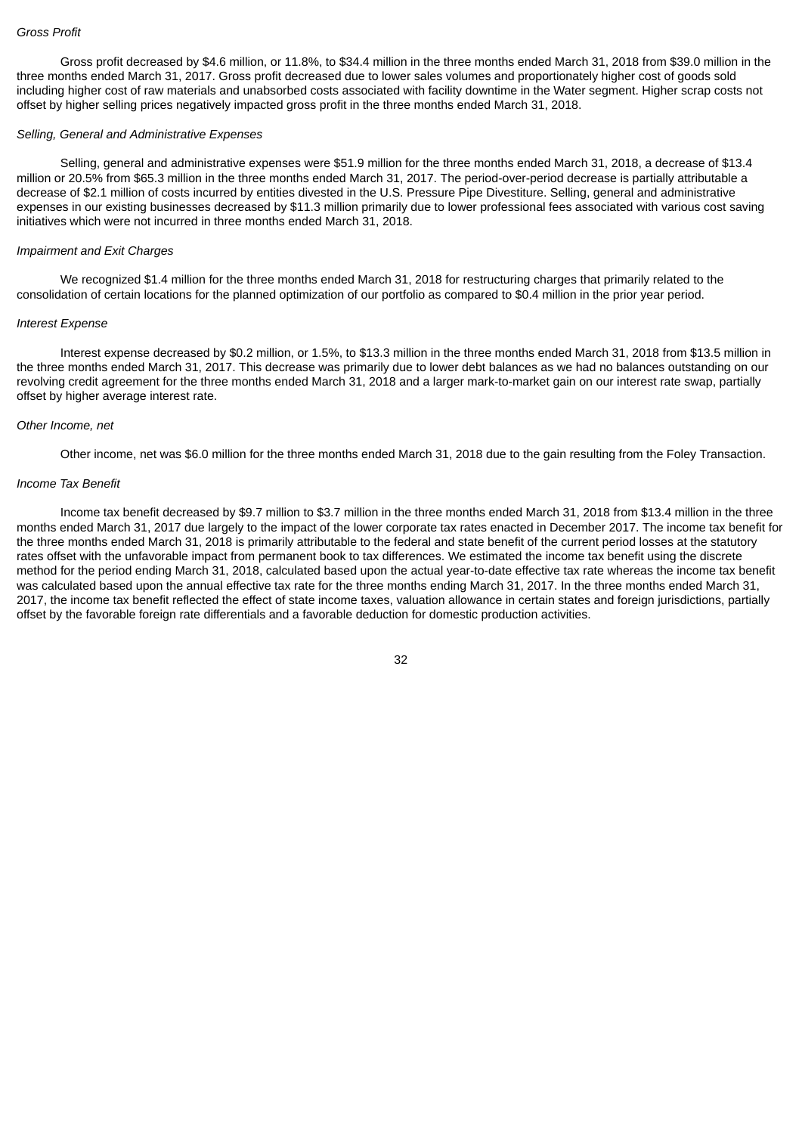Gross profit decreased by \$4.6 million, or 11.8%, to \$34.4 million in the three months ended March 31, 2018 from \$39.0 million in the three months ended March 31, 2017. Gross profit decreased due to lower sales volumes and proportionately higher cost of goods sold including higher cost of raw materials and unabsorbed costs associated with facility downtime in the Water segment. Higher scrap costs not offset by higher selling prices negatively impacted gross profit in the three months ended March 31, 2018.

### *Selling, General and Administrative Expenses*

Selling, general and administrative expenses were \$51.9 million for the three months ended March 31, 2018, a decrease of \$13.4 million or 20.5% from \$65.3 million in the three months ended March 31, 2017. The period-over-period decrease is partially attributable a decrease of \$2.1 million of costs incurred by entities divested in the U.S. Pressure Pipe Divestiture. Selling, general and administrative expenses in our existing businesses decreased by \$11.3 million primarily due to lower professional fees associated with various cost saving initiatives which were not incurred in three months ended March 31, 2018.

### *Impairment and Exit Charges*

We recognized \$1.4 million for the three months ended March 31, 2018 for restructuring charges that primarily related to the consolidation of certain locations for the planned optimization of our portfolio as compared to \$0.4 million in the prior year period.

#### *Interest Expense*

Interest expense decreased by \$0.2 million, or 1.5%, to \$13.3 million in the three months ended March 31, 2018 from \$13.5 million in the three months ended March 31, 2017. This decrease was primarily due to lower debt balances as we had no balances outstanding on our revolving credit agreement for the three months ended March 31, 2018 and a larger mark-to-market gain on our interest rate swap, partially offset by higher average interest rate.

### *Other Income, net*

Other income, net was \$6.0 million for the three months ended March 31, 2018 due to the gain resulting from the Foley Transaction.

#### *Income Tax Benefit*

Income tax benefit decreased by \$9.7 million to \$3.7 million in the three months ended March 31, 2018 from \$13.4 million in the three months ended March 31, 2017 due largely to the impact of the lower corporate tax rates enacted in December 2017. The income tax benefit for the three months ended March 31, 2018 is primarily attributable to the federal and state benefit of the current period losses at the statutory rates offset with the unfavorable impact from permanent book to tax differences. We estimated the income tax benefit using the discrete method for the period ending March 31, 2018, calculated based upon the actual year-to-date effective tax rate whereas the income tax benefit was calculated based upon the annual effective tax rate for the three months ending March 31, 2017. In the three months ended March 31, 2017, the income tax benefit reflected the effect of state income taxes, valuation allowance in certain states and foreign jurisdictions, partially offset by the favorable foreign rate differentials and a favorable deduction for domestic production activities.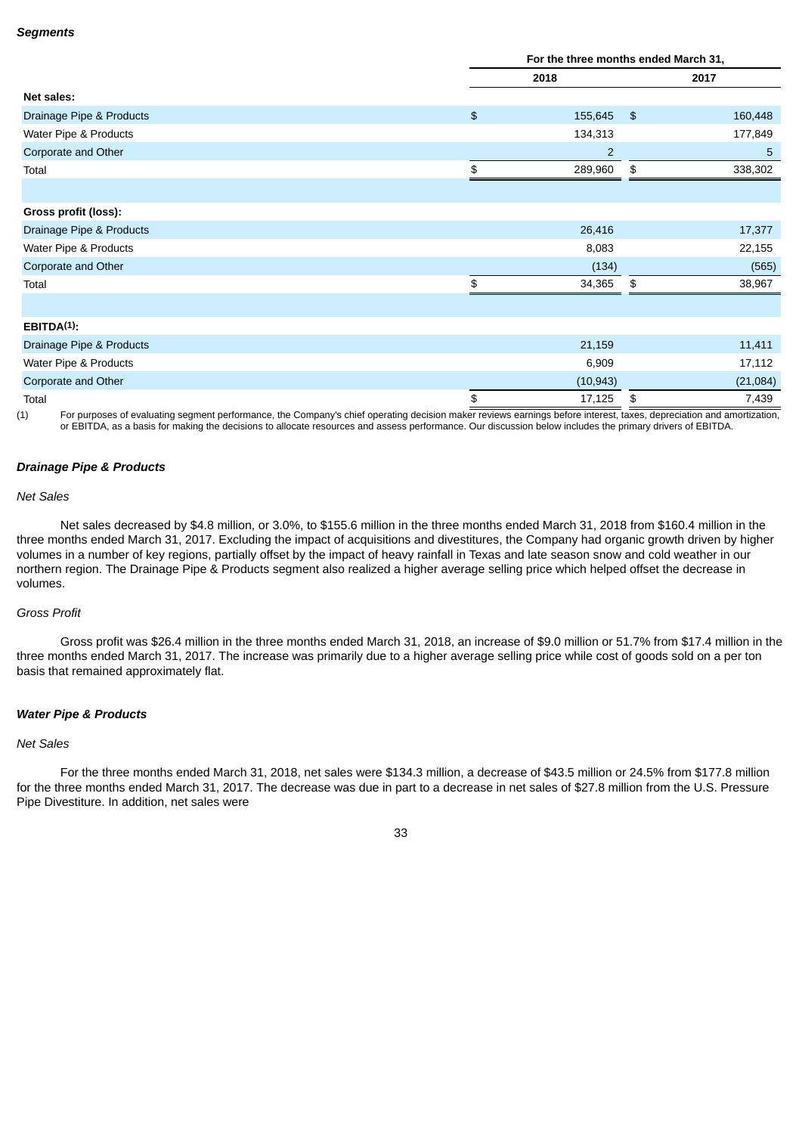|                                                                                                                                                                                           | For the three months ended March 31, |                |               |          |
|-------------------------------------------------------------------------------------------------------------------------------------------------------------------------------------------|--------------------------------------|----------------|---------------|----------|
|                                                                                                                                                                                           | 2018                                 |                | 2017          |          |
| Net sales:                                                                                                                                                                                |                                      |                |               |          |
| Drainage Pipe & Products                                                                                                                                                                  | $\frac{1}{2}$                        | 155,645        | $\frac{3}{2}$ | 160,448  |
| Water Pipe & Products                                                                                                                                                                     |                                      | 134,313        |               | 177,849  |
| Corporate and Other                                                                                                                                                                       |                                      | $\overline{2}$ |               | 5        |
| Total                                                                                                                                                                                     | \$                                   | 289,960        | \$            | 338,302  |
|                                                                                                                                                                                           |                                      |                |               |          |
| Gross profit (loss):                                                                                                                                                                      |                                      |                |               |          |
| Drainage Pipe & Products                                                                                                                                                                  |                                      | 26,416         |               | 17,377   |
| Water Pipe & Products                                                                                                                                                                     |                                      | 8,083          |               | 22,155   |
| Corporate and Other                                                                                                                                                                       |                                      | (134)          |               | (565)    |
| Total                                                                                                                                                                                     | \$                                   | 34,365         | \$            | 38,967   |
|                                                                                                                                                                                           |                                      |                |               |          |
| $EBITDA(1)$ :                                                                                                                                                                             |                                      |                |               |          |
| Drainage Pipe & Products                                                                                                                                                                  |                                      | 21,159         |               | 11,411   |
| Water Pipe & Products                                                                                                                                                                     |                                      | 6,909          |               | 17,112   |
| Corporate and Other                                                                                                                                                                       |                                      | (10, 943)      |               | (21,084) |
| Total                                                                                                                                                                                     | \$                                   | 17,125         | \$            | 7,439    |
| For purposes of evaluating segment performance, the Company's chief operating decision maker reviews earnings before interest, taxes, depreciation and amortization,<br>$\left( 1\right)$ |                                      |                |               |          |

or EBITDA, as a basis for making the decisions to allocate resources and assess performance. Our discussion below includes the primary drivers of EBITDA.

# *Drainage Pipe & Products*

# *Net Sales*

Net sales decreased by \$4.8 million, or 3.0%, to \$155.6 million in the three months ended March 31, 2018 from \$160.4 million in the three months ended March 31, 2017. Excluding the impact of acquisitions and divestitures, the Company had organic growth driven by higher volumes in a number of key regions, partially offset by the impact of heavy rainfall in Texas and late season snow and cold weather in our northern region. The Drainage Pipe & Products segment also realized a higher average selling price which helped offset the decrease in volumes.

# *Gross Profit*

Gross profit was \$26.4 million in the three months ended March 31, 2018, an increase of \$9.0 million or 51.7% from \$17.4 million in the three months ended March 31, 2017. The increase was primarily due to a higher average selling price while cost of goods sold on a per ton basis that remained approximately flat.

### *Water Pipe & Products*

### *Net Sales*

For the three months ended March 31, 2018, net sales were \$134.3 million, a decrease of \$43.5 million or 24.5% from \$177.8 million for the three months ended March 31, 2017. The decrease was due in part to a decrease in net sales of \$27.8 million from the U.S. Pressure Pipe Divestiture. In addition, net sales were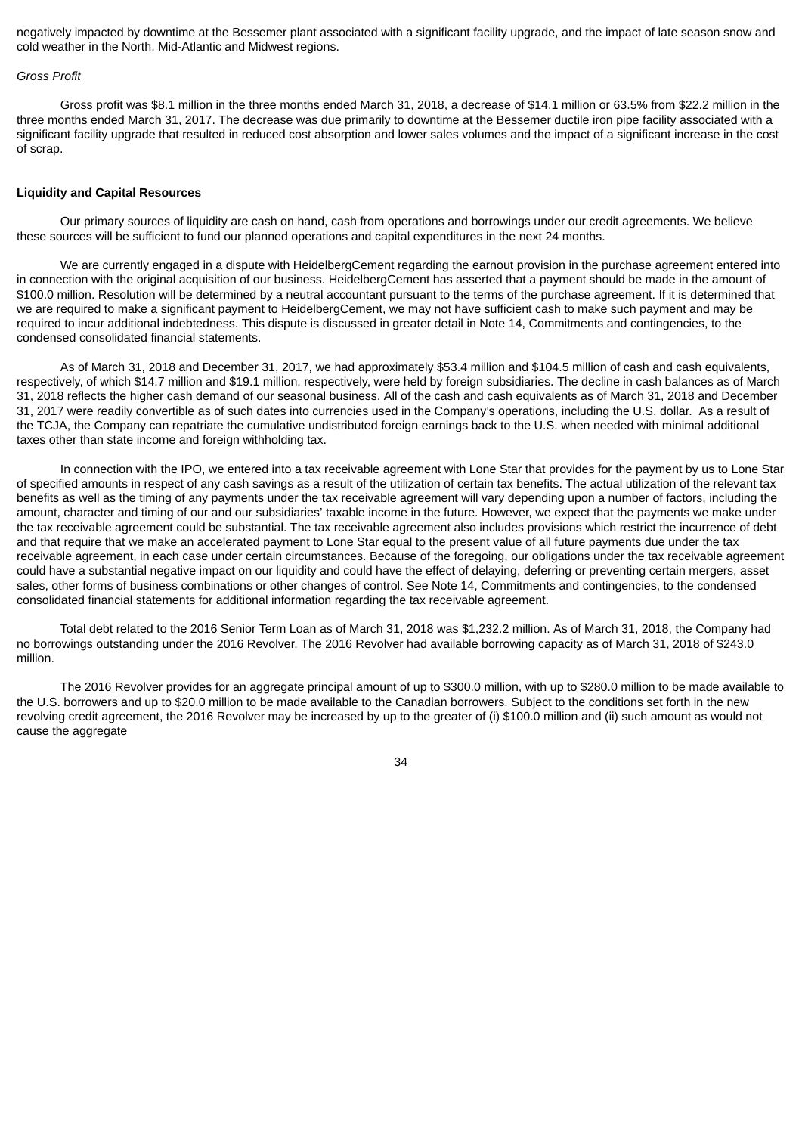negatively impacted by downtime at the Bessemer plant associated with a significant facility upgrade, and the impact of late season snow and cold weather in the North, Mid-Atlantic and Midwest regions.

#### *Gross Profit*

Gross profit was \$8.1 million in the three months ended March 31, 2018, a decrease of \$14.1 million or 63.5% from \$22.2 million in the three months ended March 31, 2017. The decrease was due primarily to downtime at the Bessemer ductile iron pipe facility associated with a significant facility upgrade that resulted in reduced cost absorption and lower sales volumes and the impact of a significant increase in the cost of scrap.

### **Liquidity and Capital Resources**

Our primary sources of liquidity are cash on hand, cash from operations and borrowings under our credit agreements. We believe these sources will be sufficient to fund our planned operations and capital expenditures in the next 24 months.

We are currently engaged in a dispute with HeidelbergCement regarding the earnout provision in the purchase agreement entered into in connection with the original acquisition of our business. HeidelbergCement has asserted that a payment should be made in the amount of \$100.0 million. Resolution will be determined by a neutral accountant pursuant to the terms of the purchase agreement. If it is determined that we are required to make a significant payment to HeidelbergCement, we may not have sufficient cash to make such payment and may be required to incur additional indebtedness. This dispute is discussed in greater detail in Note 14, Commitments and contingencies, to the condensed consolidated financial statements.

As of March 31, 2018 and December 31, 2017, we had approximately \$53.4 million and \$104.5 million of cash and cash equivalents, respectively, of which \$14.7 million and \$19.1 million, respectively, were held by foreign subsidiaries. The decline in cash balances as of March 31, 2018 reflects the higher cash demand of our seasonal business. All of the cash and cash equivalents as of March 31, 2018 and December 31, 2017 were readily convertible as of such dates into currencies used in the Company's operations, including the U.S. dollar. As a result of the TCJA, the Company can repatriate the cumulative undistributed foreign earnings back to the U.S. when needed with minimal additional taxes other than state income and foreign withholding tax.

In connection with the IPO, we entered into a tax receivable agreement with Lone Star that provides for the payment by us to Lone Star of specified amounts in respect of any cash savings as a result of the utilization of certain tax benefits. The actual utilization of the relevant tax benefits as well as the timing of any payments under the tax receivable agreement will vary depending upon a number of factors, including the amount, character and timing of our and our subsidiaries' taxable income in the future. However, we expect that the payments we make under the tax receivable agreement could be substantial. The tax receivable agreement also includes provisions which restrict the incurrence of debt and that require that we make an accelerated payment to Lone Star equal to the present value of all future payments due under the tax receivable agreement, in each case under certain circumstances. Because of the foregoing, our obligations under the tax receivable agreement could have a substantial negative impact on our liquidity and could have the effect of delaying, deferring or preventing certain mergers, asset sales, other forms of business combinations or other changes of control. See Note 14, Commitments and contingencies, to the condensed consolidated financial statements for additional information regarding the tax receivable agreement.

Total debt related to the 2016 Senior Term Loan as of March 31, 2018 was \$1,232.2 million. As of March 31, 2018, the Company had no borrowings outstanding under the 2016 Revolver. The 2016 Revolver had available borrowing capacity as of March 31, 2018 of \$243.0 million.

The 2016 Revolver provides for an aggregate principal amount of up to \$300.0 million, with up to \$280.0 million to be made available to the U.S. borrowers and up to \$20.0 million to be made available to the Canadian borrowers. Subject to the conditions set forth in the new revolving credit agreement, the 2016 Revolver may be increased by up to the greater of (i) \$100.0 million and (ii) such amount as would not cause the aggregate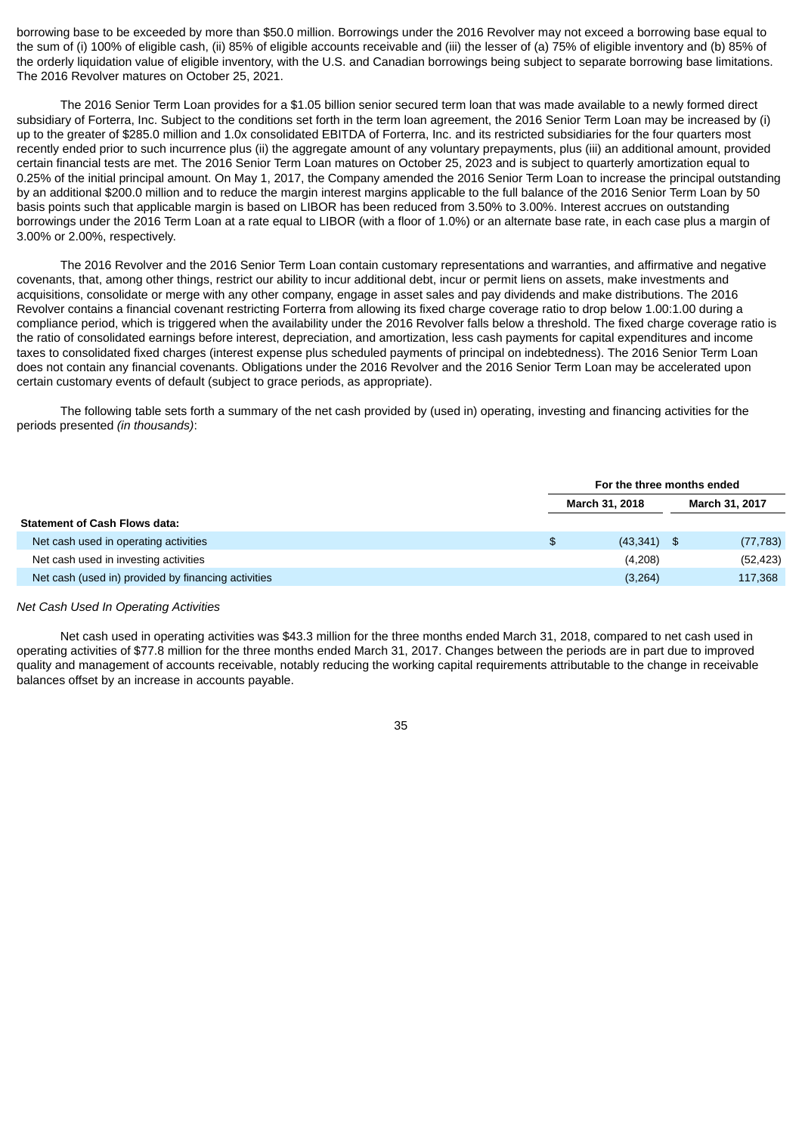borrowing base to be exceeded by more than \$50.0 million. Borrowings under the 2016 Revolver may not exceed a borrowing base equal to the sum of (i) 100% of eligible cash, (ii) 85% of eligible accounts receivable and (iii) the lesser of (a) 75% of eligible inventory and (b) 85% of the orderly liquidation value of eligible inventory, with the U.S. and Canadian borrowings being subject to separate borrowing base limitations. The 2016 Revolver matures on October 25, 2021.

The 2016 Senior Term Loan provides for a \$1.05 billion senior secured term loan that was made available to a newly formed direct subsidiary of Forterra, Inc. Subject to the conditions set forth in the term loan agreement, the 2016 Senior Term Loan may be increased by (i) up to the greater of \$285.0 million and 1.0x consolidated EBITDA of Forterra, Inc. and its restricted subsidiaries for the four quarters most recently ended prior to such incurrence plus (ii) the aggregate amount of any voluntary prepayments, plus (iii) an additional amount, provided certain financial tests are met. The 2016 Senior Term Loan matures on October 25, 2023 and is subject to quarterly amortization equal to 0.25% of the initial principal amount. On May 1, 2017, the Company amended the 2016 Senior Term Loan to increase the principal outstanding by an additional \$200.0 million and to reduce the margin interest margins applicable to the full balance of the 2016 Senior Term Loan by 50 basis points such that applicable margin is based on LIBOR has been reduced from 3.50% to 3.00%. Interest accrues on outstanding borrowings under the 2016 Term Loan at a rate equal to LIBOR (with a floor of 1.0%) or an alternate base rate, in each case plus a margin of 3.00% or 2.00%, respectively.

The 2016 Revolver and the 2016 Senior Term Loan contain customary representations and warranties, and affirmative and negative covenants, that, among other things, restrict our ability to incur additional debt, incur or permit liens on assets, make investments and acquisitions, consolidate or merge with any other company, engage in asset sales and pay dividends and make distributions. The 2016 Revolver contains a financial covenant restricting Forterra from allowing its fixed charge coverage ratio to drop below 1.00:1.00 during a compliance period, which is triggered when the availability under the 2016 Revolver falls below a threshold. The fixed charge coverage ratio is the ratio of consolidated earnings before interest, depreciation, and amortization, less cash payments for capital expenditures and income taxes to consolidated fixed charges (interest expense plus scheduled payments of principal on indebtedness). The 2016 Senior Term Loan does not contain any financial covenants. Obligations under the 2016 Revolver and the 2016 Senior Term Loan may be accelerated upon certain customary events of default (subject to grace periods, as appropriate).

The following table sets forth a summary of the net cash provided by (used in) operating, investing and financing activities for the periods presented *(in thousands)*:

|                                                     | For the three months ended |  |                       |  |
|-----------------------------------------------------|----------------------------|--|-----------------------|--|
|                                                     | March 31, 2018             |  | <b>March 31, 2017</b> |  |
| <b>Statement of Cash Flows data:</b>                |                            |  |                       |  |
| Net cash used in operating activities               | \$<br>$(43,341)$ \$        |  | (77, 783)             |  |
| Net cash used in investing activities               | (4,208)                    |  | (52, 423)             |  |
| Net cash (used in) provided by financing activities | (3,264)                    |  | 117,368               |  |

### *Net Cash Used In Operating Activities*

Net cash used in operating activities was \$43.3 million for the three months ended March 31, 2018, compared to net cash used in operating activities of \$77.8 million for the three months ended March 31, 2017. Changes between the periods are in part due to improved quality and management of accounts receivable, notably reducing the working capital requirements attributable to the change in receivable balances offset by an increase in accounts payable.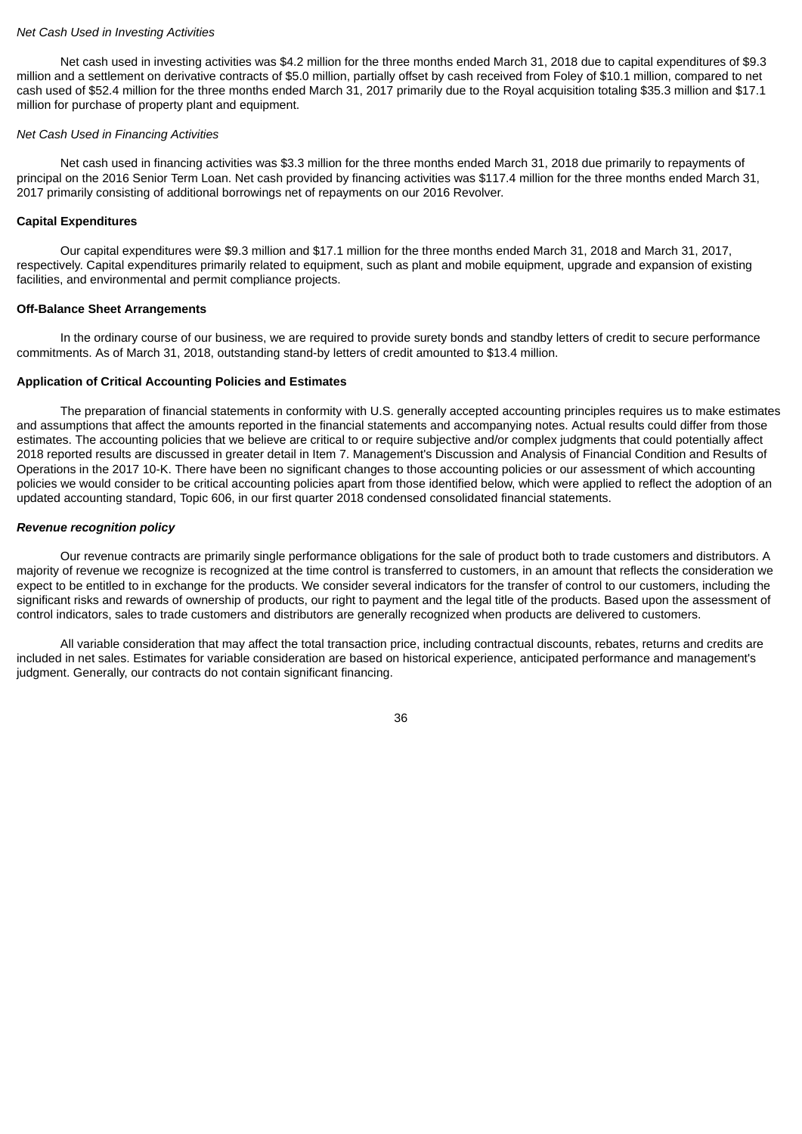### *Net Cash Used in Investing Activities*

Net cash used in investing activities was \$4.2 million for the three months ended March 31, 2018 due to capital expenditures of \$9.3 million and a settlement on derivative contracts of \$5.0 million, partially offset by cash received from Foley of \$10.1 million, compared to net cash used of \$52.4 million for the three months ended March 31, 2017 primarily due to the Royal acquisition totaling \$35.3 million and \$17.1 million for purchase of property plant and equipment.

### *Net Cash Used in Financing Activities*

Net cash used in financing activities was \$3.3 million for the three months ended March 31, 2018 due primarily to repayments of principal on the 2016 Senior Term Loan. Net cash provided by financing activities was \$117.4 million for the three months ended March 31, 2017 primarily consisting of additional borrowings net of repayments on our 2016 Revolver.

### **Capital Expenditures**

Our capital expenditures were \$9.3 million and \$17.1 million for the three months ended March 31, 2018 and March 31, 2017, respectively. Capital expenditures primarily related to equipment, such as plant and mobile equipment, upgrade and expansion of existing facilities, and environmental and permit compliance projects.

### **Off-Balance Sheet Arrangements**

In the ordinary course of our business, we are required to provide surety bonds and standby letters of credit to secure performance commitments. As of March 31, 2018, outstanding stand-by letters of credit amounted to \$13.4 million.

### **Application of Critical Accounting Policies and Estimates**

The preparation of financial statements in conformity with U.S. generally accepted accounting principles requires us to make estimates and assumptions that affect the amounts reported in the financial statements and accompanying notes. Actual results could differ from those estimates. The accounting policies that we believe are critical to or require subjective and/or complex judgments that could potentially affect 2018 reported results are discussed in greater detail in Item 7. Management's Discussion and Analysis of Financial Condition and Results of Operations in the 2017 10-K. There have been no significant changes to those accounting policies or our assessment of which accounting policies we would consider to be critical accounting policies apart from those identified below, which were applied to reflect the adoption of an updated accounting standard, Topic 606, in our first quarter 2018 condensed consolidated financial statements.

### *Revenue recognition policy*

Our revenue contracts are primarily single performance obligations for the sale of product both to trade customers and distributors. A majority of revenue we recognize is recognized at the time control is transferred to customers, in an amount that reflects the consideration we expect to be entitled to in exchange for the products. We consider several indicators for the transfer of control to our customers, including the significant risks and rewards of ownership of products, our right to payment and the legal title of the products. Based upon the assessment of control indicators, sales to trade customers and distributors are generally recognized when products are delivered to customers.

All variable consideration that may affect the total transaction price, including contractual discounts, rebates, returns and credits are included in net sales. Estimates for variable consideration are based on historical experience, anticipated performance and management's judgment. Generally, our contracts do not contain significant financing.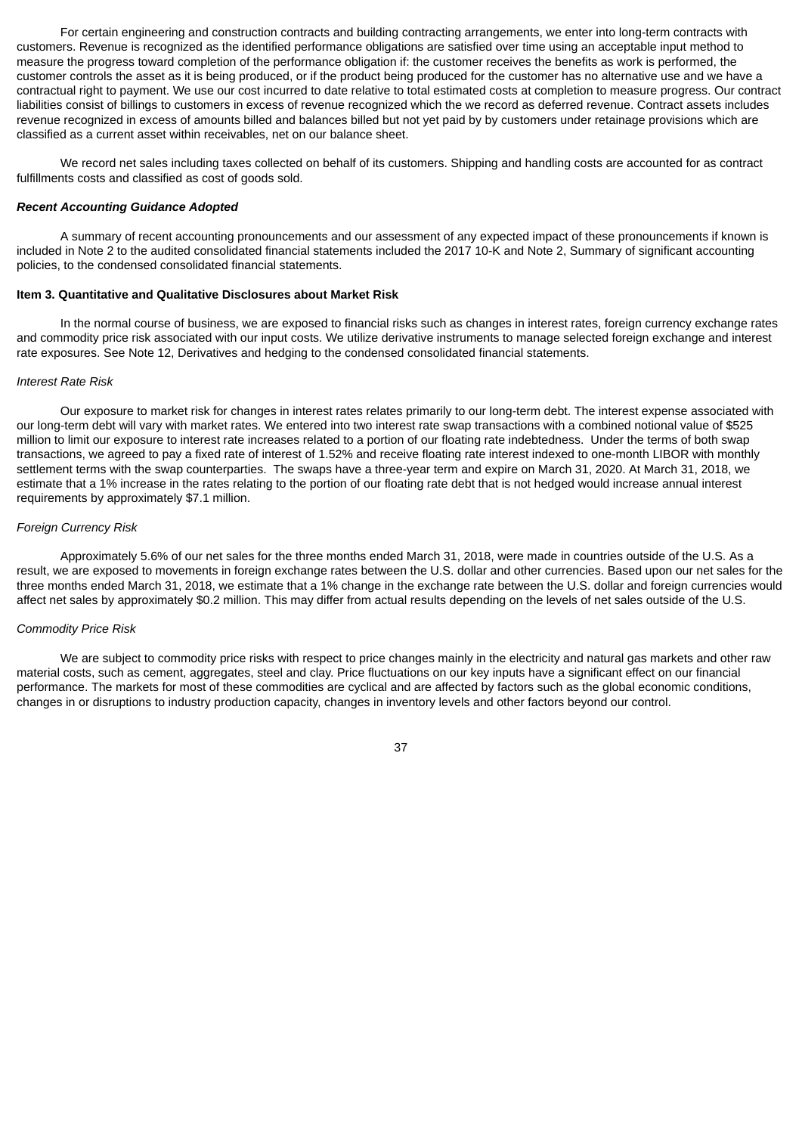For certain engineering and construction contracts and building contracting arrangements, we enter into long-term contracts with customers. Revenue is recognized as the identified performance obligations are satisfied over time using an acceptable input method to measure the progress toward completion of the performance obligation if: the customer receives the benefits as work is performed, the customer controls the asset as it is being produced, or if the product being produced for the customer has no alternative use and we have a contractual right to payment. We use our cost incurred to date relative to total estimated costs at completion to measure progress. Our contract liabilities consist of billings to customers in excess of revenue recognized which the we record as deferred revenue. Contract assets includes revenue recognized in excess of amounts billed and balances billed but not yet paid by by customers under retainage provisions which are classified as a current asset within receivables, net on our balance sheet.

We record net sales including taxes collected on behalf of its customers. Shipping and handling costs are accounted for as contract fulfillments costs and classified as cost of goods sold.

#### *Recent Accounting Guidance Adopted*

A summary of recent accounting pronouncements and our assessment of any expected impact of these pronouncements if known is included in Note 2 to the audited consolidated financial statements included the 2017 10-K and Note 2, Summary of significant accounting policies, to the condensed consolidated financial statements.

### <span id="page-38-0"></span>**Item 3. Quantitative and Qualitative Disclosures about Market Risk**

In the normal course of business, we are exposed to financial risks such as changes in interest rates, foreign currency exchange rates and commodity price risk associated with our input costs. We utilize derivative instruments to manage selected foreign exchange and interest rate exposures. See Note 12, Derivatives and hedging to the condensed consolidated financial statements.

### *Interest Rate Risk*

Our exposure to market risk for changes in interest rates relates primarily to our long-term debt. The interest expense associated with our long-term debt will vary with market rates. We entered into two interest rate swap transactions with a combined notional value of \$525 million to limit our exposure to interest rate increases related to a portion of our floating rate indebtedness. Under the terms of both swap transactions, we agreed to pay a fixed rate of interest of 1.52% and receive floating rate interest indexed to one-month LIBOR with monthly settlement terms with the swap counterparties. The swaps have a three-year term and expire on March 31, 2020. At March 31, 2018, we estimate that a 1% increase in the rates relating to the portion of our floating rate debt that is not hedged would increase annual interest requirements by approximately \$7.1 million.

### *Foreign Currency Risk*

Approximately 5.6% of our net sales for the three months ended March 31, 2018, were made in countries outside of the U.S. As a result, we are exposed to movements in foreign exchange rates between the U.S. dollar and other currencies. Based upon our net sales for the three months ended March 31, 2018, we estimate that a 1% change in the exchange rate between the U.S. dollar and foreign currencies would affect net sales by approximately \$0.2 million. This may differ from actual results depending on the levels of net sales outside of the U.S.

### *Commodity Price Risk*

We are subject to commodity price risks with respect to price changes mainly in the electricity and natural gas markets and other raw material costs, such as cement, aggregates, steel and clay. Price fluctuations on our key inputs have a significant effect on our financial performance. The markets for most of these commodities are cyclical and are affected by factors such as the global economic conditions, changes in or disruptions to industry production capacity, changes in inventory levels and other factors beyond our control.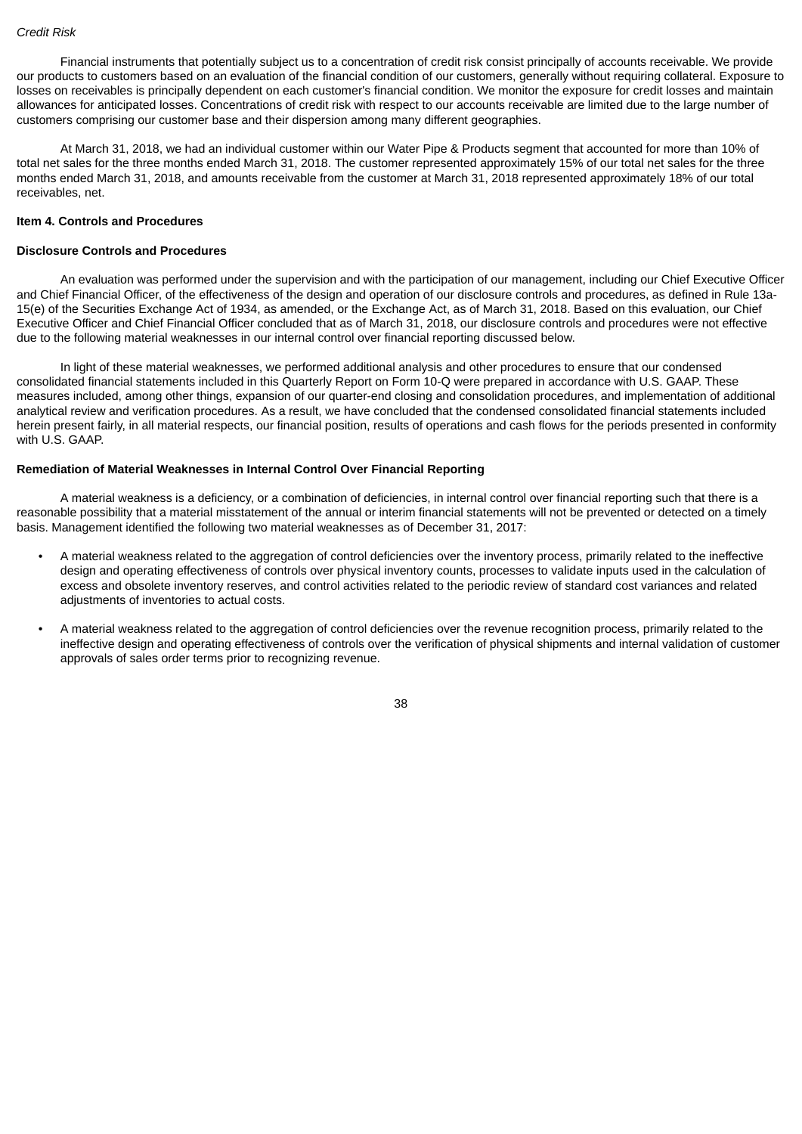Financial instruments that potentially subject us to a concentration of credit risk consist principally of accounts receivable. We provide our products to customers based on an evaluation of the financial condition of our customers, generally without requiring collateral. Exposure to losses on receivables is principally dependent on each customer's financial condition. We monitor the exposure for credit losses and maintain allowances for anticipated losses. Concentrations of credit risk with respect to our accounts receivable are limited due to the large number of customers comprising our customer base and their dispersion among many different geographies.

At March 31, 2018, we had an individual customer within our Water Pipe & Products segment that accounted for more than 10% of total net sales for the three months ended March 31, 2018. The customer represented approximately 15% of our total net sales for the three months ended March 31, 2018, and amounts receivable from the customer at March 31, 2018 represented approximately 18% of our total receivables, net.

### <span id="page-39-0"></span>**Item 4. Controls and Procedures**

### **Disclosure Controls and Procedures**

An evaluation was performed under the supervision and with the participation of our management, including our Chief Executive Officer and Chief Financial Officer, of the effectiveness of the design and operation of our disclosure controls and procedures, as defined in Rule 13a-15(e) of the Securities Exchange Act of 1934, as amended, or the Exchange Act, as of March 31, 2018. Based on this evaluation, our Chief Executive Officer and Chief Financial Officer concluded that as of March 31, 2018, our disclosure controls and procedures were not effective due to the following material weaknesses in our internal control over financial reporting discussed below.

In light of these material weaknesses, we performed additional analysis and other procedures to ensure that our condensed consolidated financial statements included in this Quarterly Report on Form 10-Q were prepared in accordance with U.S. GAAP. These measures included, among other things, expansion of our quarter-end closing and consolidation procedures, and implementation of additional analytical review and verification procedures. As a result, we have concluded that the condensed consolidated financial statements included herein present fairly, in all material respects, our financial position, results of operations and cash flows for the periods presented in conformity with U.S. GAAP.

### **Remediation of Material Weaknesses in Internal Control Over Financial Reporting**

A material weakness is a deficiency, or a combination of deficiencies, in internal control over financial reporting such that there is a reasonable possibility that a material misstatement of the annual or interim financial statements will not be prevented or detected on a timely basis. Management identified the following two material weaknesses as of December 31, 2017:

- A material weakness related to the aggregation of control deficiencies over the inventory process, primarily related to the ineffective design and operating effectiveness of controls over physical inventory counts, processes to validate inputs used in the calculation of excess and obsolete inventory reserves, and control activities related to the periodic review of standard cost variances and related adjustments of inventories to actual costs.
- A material weakness related to the aggregation of control deficiencies over the revenue recognition process, primarily related to the ineffective design and operating effectiveness of controls over the verification of physical shipments and internal validation of customer approvals of sales order terms prior to recognizing revenue.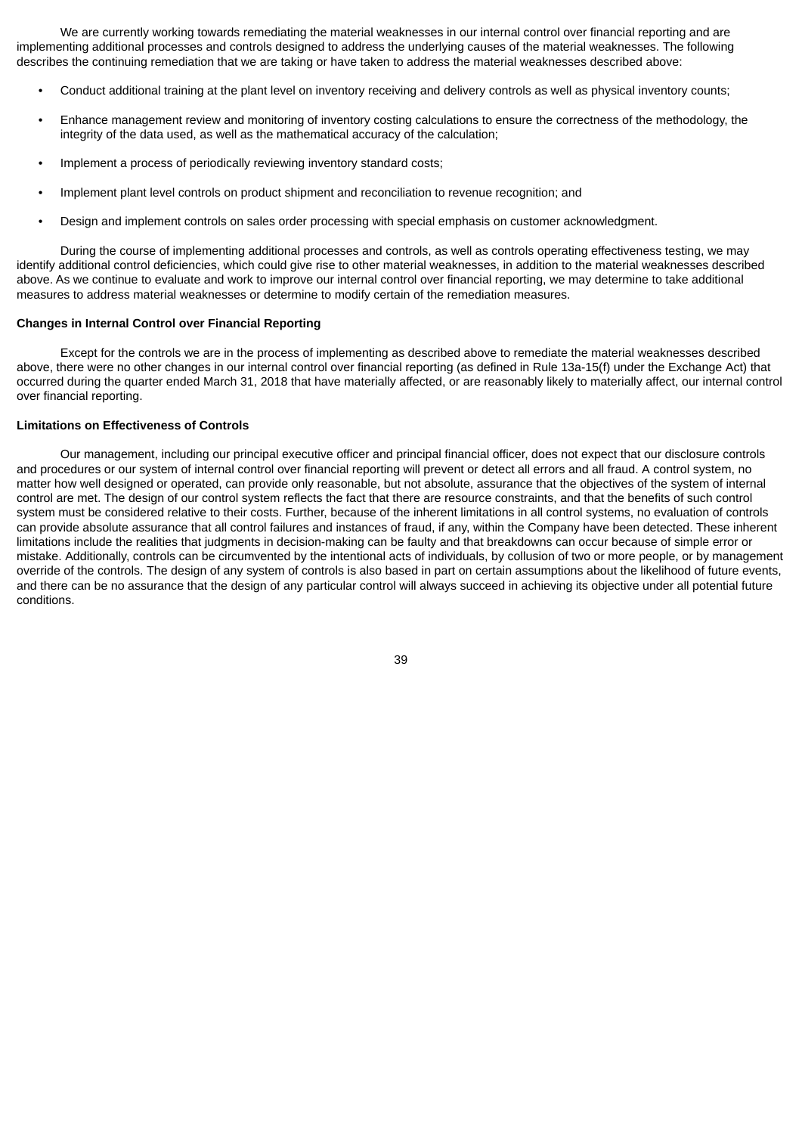We are currently working towards remediating the material weaknesses in our internal control over financial reporting and are implementing additional processes and controls designed to address the underlying causes of the material weaknesses. The following describes the continuing remediation that we are taking or have taken to address the material weaknesses described above:

- Conduct additional training at the plant level on inventory receiving and delivery controls as well as physical inventory counts;
- Enhance management review and monitoring of inventory costing calculations to ensure the correctness of the methodology, the integrity of the data used, as well as the mathematical accuracy of the calculation;
- Implement a process of periodically reviewing inventory standard costs;
- Implement plant level controls on product shipment and reconciliation to revenue recognition; and
- Design and implement controls on sales order processing with special emphasis on customer acknowledgment.

During the course of implementing additional processes and controls, as well as controls operating effectiveness testing, we may identify additional control deficiencies, which could give rise to other material weaknesses, in addition to the material weaknesses described above. As we continue to evaluate and work to improve our internal control over financial reporting, we may determine to take additional measures to address material weaknesses or determine to modify certain of the remediation measures.

#### **Changes in Internal Control over Financial Reporting**

Except for the controls we are in the process of implementing as described above to remediate the material weaknesses described above, there were no other changes in our internal control over financial reporting (as defined in Rule 13a-15(f) under the Exchange Act) that occurred during the quarter ended March 31, 2018 that have materially affected, or are reasonably likely to materially affect, our internal control over financial reporting.

# **Limitations on Effectiveness of Controls**

Our management, including our principal executive officer and principal financial officer, does not expect that our disclosure controls and procedures or our system of internal control over financial reporting will prevent or detect all errors and all fraud. A control system, no matter how well designed or operated, can provide only reasonable, but not absolute, assurance that the objectives of the system of internal control are met. The design of our control system reflects the fact that there are resource constraints, and that the benefits of such control system must be considered relative to their costs. Further, because of the inherent limitations in all control systems, no evaluation of controls can provide absolute assurance that all control failures and instances of fraud, if any, within the Company have been detected. These inherent limitations include the realities that judgments in decision-making can be faulty and that breakdowns can occur because of simple error or mistake. Additionally, controls can be circumvented by the intentional acts of individuals, by collusion of two or more people, or by management override of the controls. The design of any system of controls is also based in part on certain assumptions about the likelihood of future events, and there can be no assurance that the design of any particular control will always succeed in achieving its objective under all potential future conditions.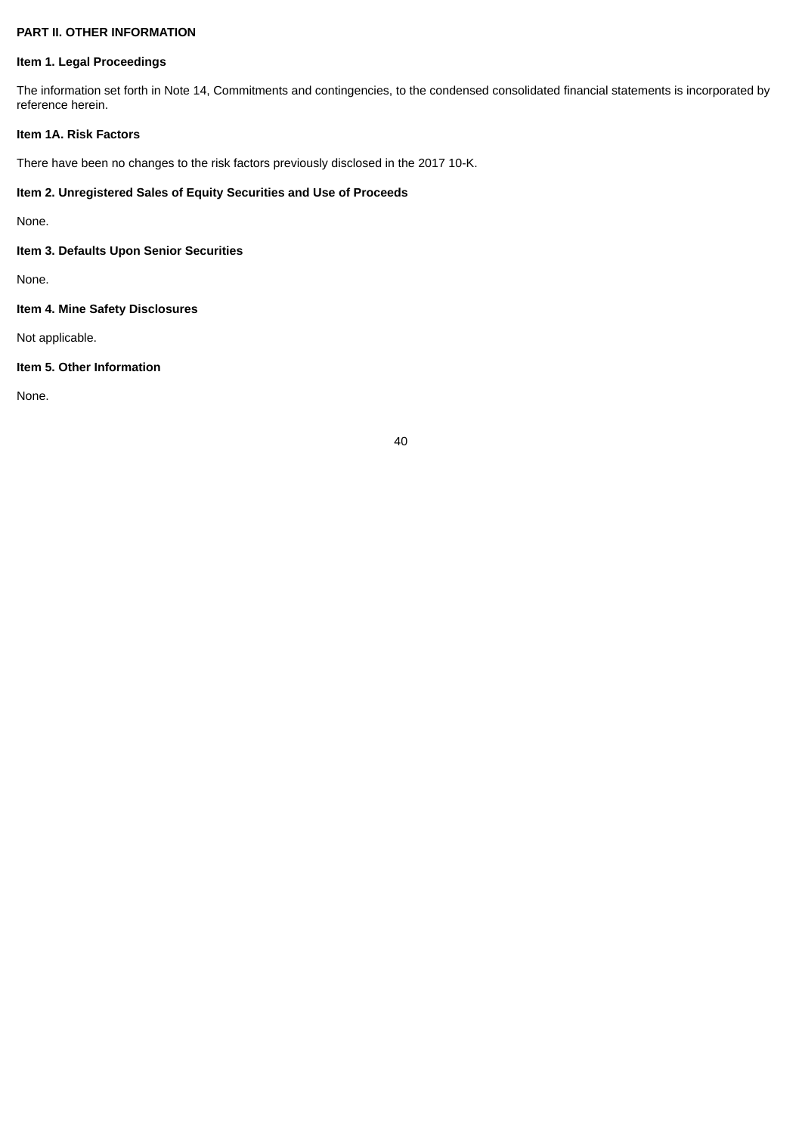# **PART II. OTHER INFORMATION**

# <span id="page-41-0"></span>**Item 1. Legal Proceedings**

The information set forth in Note 14, Commitments and contingencies, to the condensed consolidated financial statements is incorporated by reference herein.

# <span id="page-41-1"></span>**Item 1A. Risk Factors**

There have been no changes to the risk factors previously disclosed in the 2017 10-K.

# <span id="page-41-2"></span>**Item 2. Unregistered Sales of Equity Securities and Use of Proceeds**

None.

# <span id="page-41-3"></span>**Item 3. Defaults Upon Senior Securities**

None.

# <span id="page-41-4"></span>**Item 4. Mine Safety Disclosures**

Not applicable.

# <span id="page-41-5"></span>**Item 5. Other Information**

None.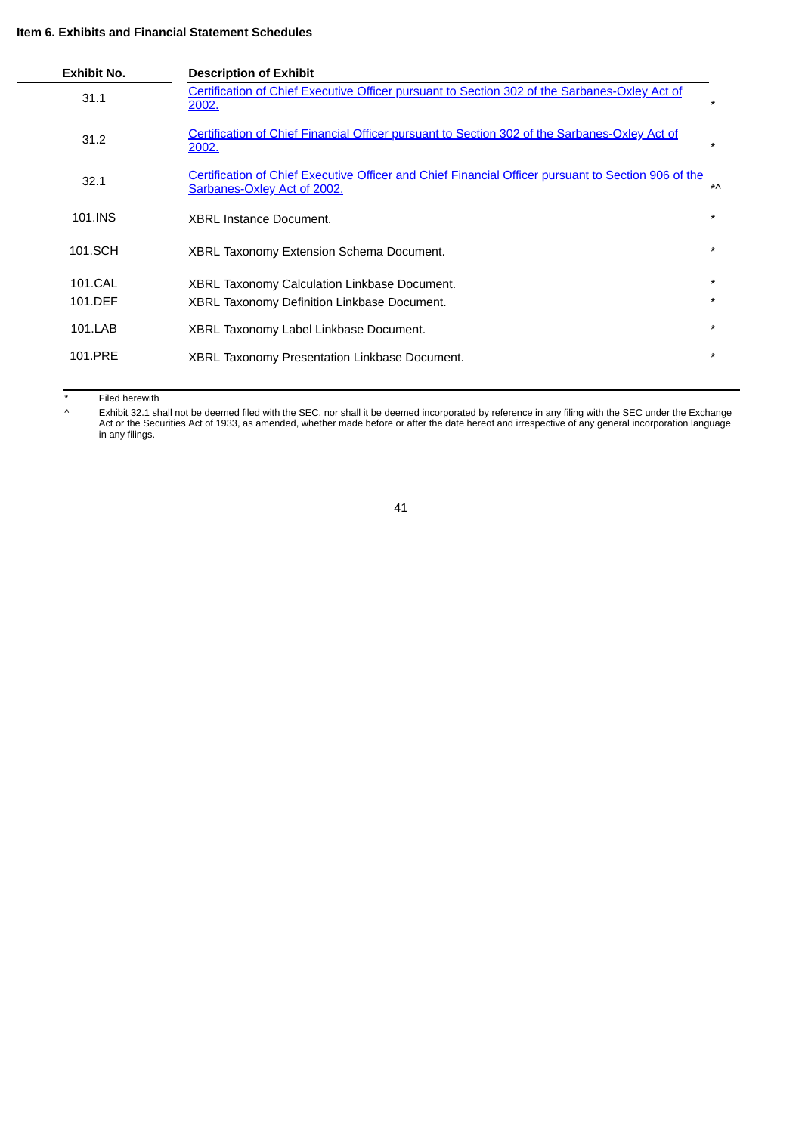# <span id="page-42-0"></span>**Item 6. Exhibits and Financial Statement Schedules**

| <b>Exhibit No.</b> | <b>Description of Exhibit</b>                                                                                                             |           |
|--------------------|-------------------------------------------------------------------------------------------------------------------------------------------|-----------|
| 31.1               | Certification of Chief Executive Officer pursuant to Section 302 of the Sarbanes-Oxley Act of<br>2002.                                    | $\star$   |
| 31.2               | <b>Certification of Chief Financial Officer pursuant to Section 302 of the Sarbanes-Oxley Act of</b><br>2002.                             | $\star$   |
| 32.1               | <u>Certification of Chief Executive Officer and Chief Financial Officer pursuant to Section 906 of the</u><br>Sarbanes-Oxley Act of 2002. | $*\wedge$ |
| 101.INS            | <b>XBRL Instance Document.</b>                                                                                                            | $\star$   |
| 101.SCH            | <b>XBRL Taxonomy Extension Schema Document.</b>                                                                                           | $\star$   |
| 101.CAL            | <b>XBRL Taxonomy Calculation Linkbase Document.</b>                                                                                       | $\star$   |
| 101.DEF            | <b>XBRL Taxonomy Definition Linkbase Document.</b>                                                                                        | $\star$   |
| 101.LAB            | XBRL Taxonomy Label Linkbase Document.                                                                                                    | $\star$   |
| 101.PRE            | <b>XBRL Taxonomy Presentation Linkbase Document.</b>                                                                                      | $\star$   |

\* Filed herewith

^ Exhibit 32.1 shall not be deemed filed with the SEC, nor shall it be deemed incorporated by reference in any filing with the SEC under the Exchange Act or the Securities Act of 1933, as amended, whether made before or after the date hereof and irrespective of any general incorporation language in any filings.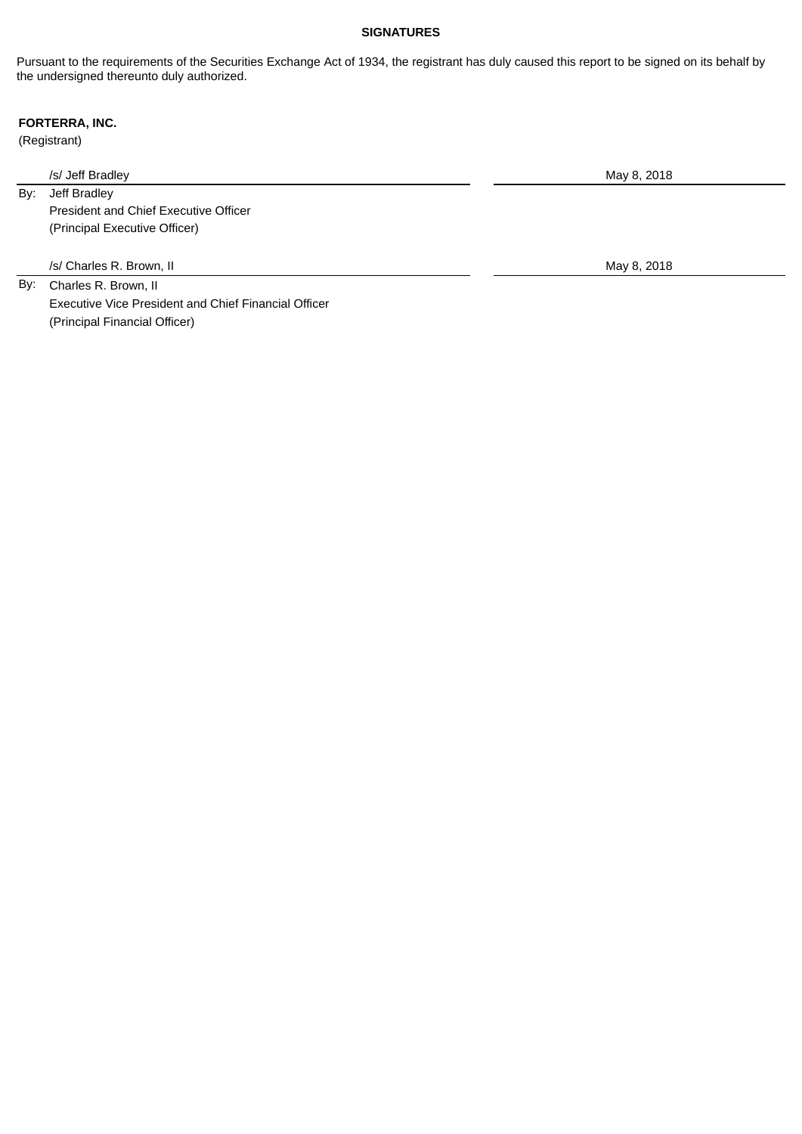# **SIGNATURES**

Pursuant to the requirements of the Securities Exchange Act of 1934, the registrant has duly caused this report to be signed on its behalf by the undersigned thereunto duly authorized.

# **FORTERRA, INC.**

(Registrant)

/s/ Jeff Bradley May 8, 2018

By: Jeff Bradley

President and Chief Executive Officer (Principal Executive Officer)

/s/ Charles R. Brown, II May 8, 2018

By: Charles R. Brown, II Executive Vice President and Chief Financial Officer (Principal Financial Officer)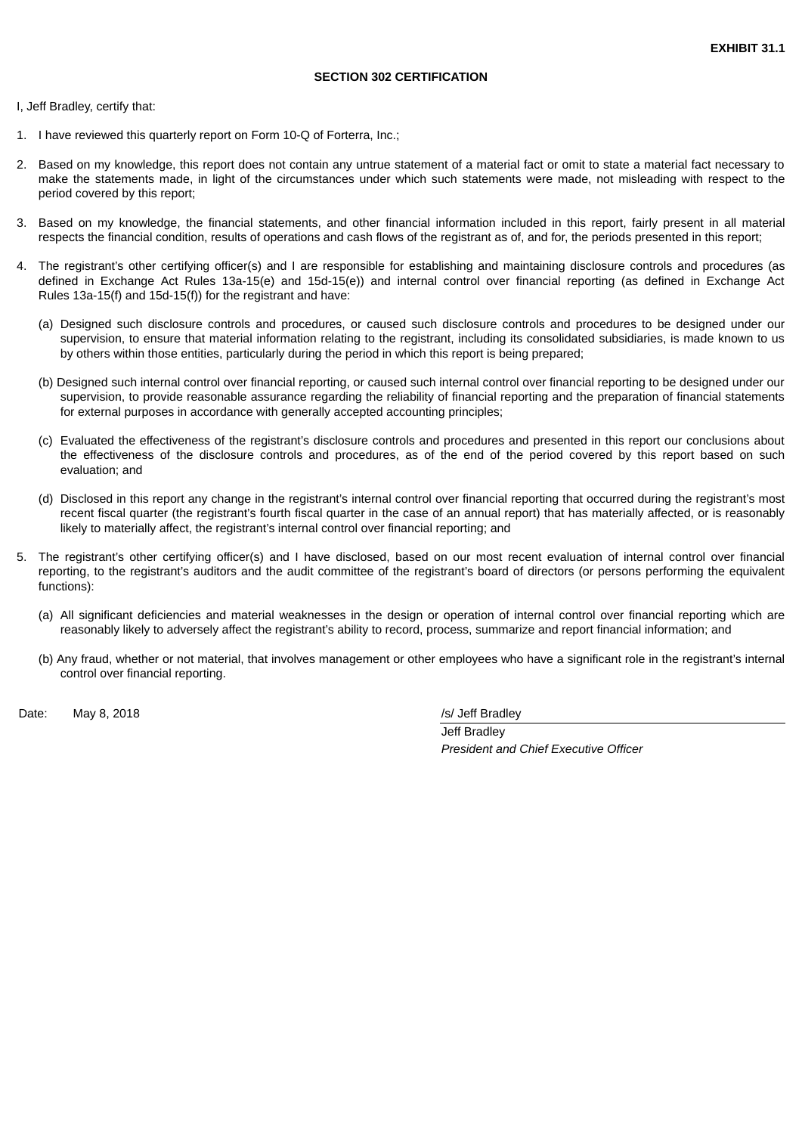### <span id="page-44-0"></span>I, Jeff Bradley, certify that:

- 1. I have reviewed this quarterly report on Form 10-Q of Forterra, Inc.;
- 2. Based on my knowledge, this report does not contain any untrue statement of a material fact or omit to state a material fact necessary to make the statements made, in light of the circumstances under which such statements were made, not misleading with respect to the period covered by this report;
- 3. Based on my knowledge, the financial statements, and other financial information included in this report, fairly present in all material respects the financial condition, results of operations and cash flows of the registrant as of, and for, the periods presented in this report;
- 4. The registrant's other certifying officer(s) and I are responsible for establishing and maintaining disclosure controls and procedures (as defined in Exchange Act Rules 13a-15(e) and 15d-15(e)) and internal control over financial reporting (as defined in Exchange Act Rules 13a-15(f) and 15d-15(f)) for the registrant and have:
	- (a) Designed such disclosure controls and procedures, or caused such disclosure controls and procedures to be designed under our supervision, to ensure that material information relating to the registrant, including its consolidated subsidiaries, is made known to us by others within those entities, particularly during the period in which this report is being prepared;
	- (b) Designed such internal control over financial reporting, or caused such internal control over financial reporting to be designed under our supervision, to provide reasonable assurance regarding the reliability of financial reporting and the preparation of financial statements for external purposes in accordance with generally accepted accounting principles;
	- (c) Evaluated the effectiveness of the registrant's disclosure controls and procedures and presented in this report our conclusions about the effectiveness of the disclosure controls and procedures, as of the end of the period covered by this report based on such evaluation; and
	- (d) Disclosed in this report any change in the registrant's internal control over financial reporting that occurred during the registrant's most recent fiscal quarter (the registrant's fourth fiscal quarter in the case of an annual report) that has materially affected, or is reasonably likely to materially affect, the registrant's internal control over financial reporting; and
- 5. The registrant's other certifying officer(s) and I have disclosed, based on our most recent evaluation of internal control over financial reporting, to the registrant's auditors and the audit committee of the registrant's board of directors (or persons performing the equivalent functions):
	- (a) All significant deficiencies and material weaknesses in the design or operation of internal control over financial reporting which are reasonably likely to adversely affect the registrant's ability to record, process, summarize and report financial information; and
	- (b) Any fraud, whether or not material, that involves management or other employees who have a significant role in the registrant's internal control over financial reporting.

Date: May 8, 2018 *Date:* May 8, 2018

Jeff Bradley *President and Chief Executive Officer*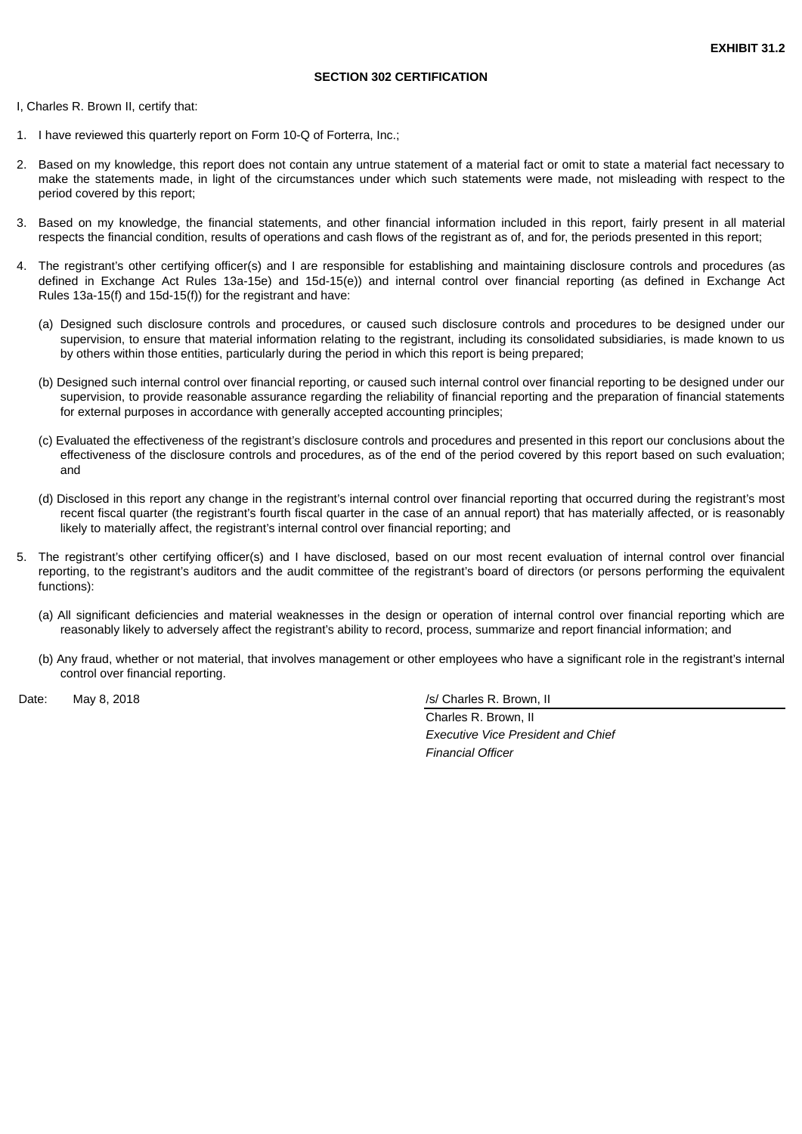<span id="page-45-0"></span>I, Charles R. Brown II, certify that:

- 1. I have reviewed this quarterly report on Form 10-Q of Forterra, Inc.;
- 2. Based on my knowledge, this report does not contain any untrue statement of a material fact or omit to state a material fact necessary to make the statements made, in light of the circumstances under which such statements were made, not misleading with respect to the period covered by this report;
- 3. Based on my knowledge, the financial statements, and other financial information included in this report, fairly present in all material respects the financial condition, results of operations and cash flows of the registrant as of, and for, the periods presented in this report;
- 4. The registrant's other certifying officer(s) and I are responsible for establishing and maintaining disclosure controls and procedures (as defined in Exchange Act Rules 13a-15e) and 15d-15(e)) and internal control over financial reporting (as defined in Exchange Act Rules 13a-15(f) and 15d-15(f)) for the registrant and have:
	- (a) Designed such disclosure controls and procedures, or caused such disclosure controls and procedures to be designed under our supervision, to ensure that material information relating to the registrant, including its consolidated subsidiaries, is made known to us by others within those entities, particularly during the period in which this report is being prepared;
	- (b) Designed such internal control over financial reporting, or caused such internal control over financial reporting to be designed under our supervision, to provide reasonable assurance regarding the reliability of financial reporting and the preparation of financial statements for external purposes in accordance with generally accepted accounting principles;
	- (c) Evaluated the effectiveness of the registrant's disclosure controls and procedures and presented in this report our conclusions about the effectiveness of the disclosure controls and procedures, as of the end of the period covered by this report based on such evaluation; and
	- (d) Disclosed in this report any change in the registrant's internal control over financial reporting that occurred during the registrant's most recent fiscal quarter (the registrant's fourth fiscal quarter in the case of an annual report) that has materially affected, or is reasonably likely to materially affect, the registrant's internal control over financial reporting; and
- 5. The registrant's other certifying officer(s) and I have disclosed, based on our most recent evaluation of internal control over financial reporting, to the registrant's auditors and the audit committee of the registrant's board of directors (or persons performing the equivalent functions):
	- (a) All significant deficiencies and material weaknesses in the design or operation of internal control over financial reporting which are reasonably likely to adversely affect the registrant's ability to record, process, summarize and report financial information; and
	- (b) Any fraud, whether or not material, that involves management or other employees who have a significant role in the registrant's internal control over financial reporting.

Date: May 8, 2018 *Date:* May 8, 2018 *Date:* May 8, 2018

Charles R. Brown, II *Executive Vice President and Chief Financial Officer*